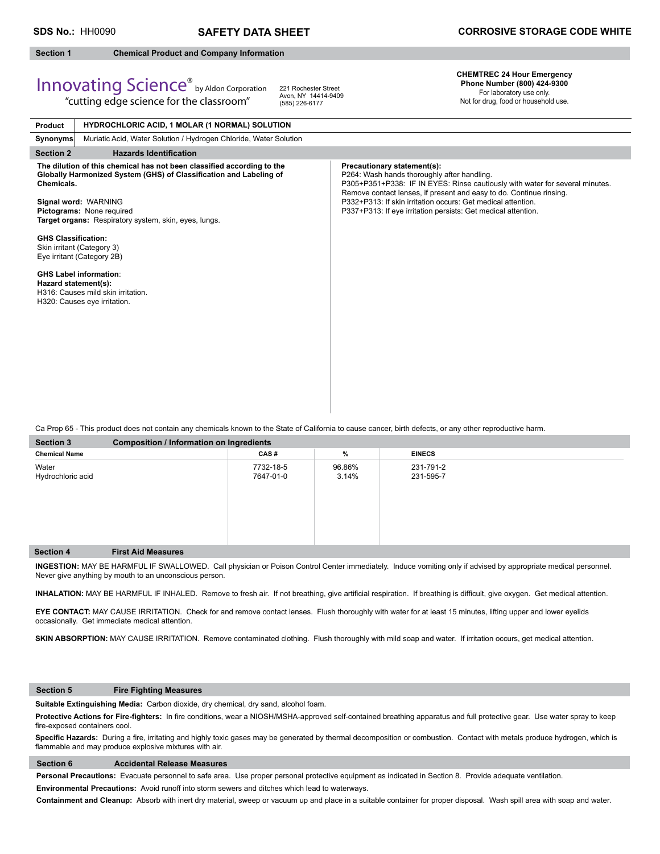## **Section 1 Chemical Product and Company Information**

Innovating Science® by Aldon Corporation "cutting edge science for the classroom"

#### **CHEMTREC 24 Hour Emergency Phone Number (800) 424-9300**

For laboratory use only. Not for drug, food or household use.

| <b>HYDROCHLORIC ACID, 1 MOLAR (1 NORMAL) SOLUTION</b><br>Product                                                                                                                                                                                                         |                                                                                                                                                                                                                                                                                                                                                                    |
|--------------------------------------------------------------------------------------------------------------------------------------------------------------------------------------------------------------------------------------------------------------------------|--------------------------------------------------------------------------------------------------------------------------------------------------------------------------------------------------------------------------------------------------------------------------------------------------------------------------------------------------------------------|
| Muriatic Acid, Water Solution / Hydrogen Chloride, Water Solution<br><b>Synonyms</b>                                                                                                                                                                                     |                                                                                                                                                                                                                                                                                                                                                                    |
| <b>Hazards Identification</b><br><b>Section 2</b>                                                                                                                                                                                                                        |                                                                                                                                                                                                                                                                                                                                                                    |
| The dilution of this chemical has not been classified according to the<br>Globally Harmonized System (GHS) of Classification and Labeling of<br>Chemicals.<br>Signal word: WARNING<br>Pictograms: None required<br>Target organs: Respiratory system, skin, eyes, lungs. | Precautionary statement(s):<br>P264: Wash hands thoroughly after handling.<br>P305+P351+P338: IF IN EYES: Rinse cautiously with water for several minutes.<br>Remove contact lenses, if present and easy to do. Continue rinsing.<br>P332+P313: If skin irritation occurs: Get medical attention.<br>P337+P313: If eye irritation persists: Get medical attention. |
| <b>GHS Classification:</b><br>Skin irritant (Category 3)<br>Eye irritant (Category 2B)                                                                                                                                                                                   |                                                                                                                                                                                                                                                                                                                                                                    |
| <b>GHS Label information:</b><br>Hazard statement(s):<br>H316: Causes mild skin irritation.<br>H320: Causes eye irritation.                                                                                                                                              |                                                                                                                                                                                                                                                                                                                                                                    |

221 Rochester Street Avon, NY 14414-9409 (585) 226-6177

Ca Prop 65 - This product does not contain any chemicals known to the State of California to cause cancer, birth defects, or any other reproductive harm.

| <b>Section 3</b>           | Composition / Information on Ingredients |                        |                 |                        |  |
|----------------------------|------------------------------------------|------------------------|-----------------|------------------------|--|
| <b>Chemical Name</b>       |                                          | CAS#                   | %               | <b>EINECS</b>          |  |
| Water<br>Hydrochloric acid |                                          | 7732-18-5<br>7647-01-0 | 96.86%<br>3.14% | 231-791-2<br>231-595-7 |  |
| <b>Section 4</b>           | <b>First Aid Measures</b>                |                        |                 |                        |  |

**INGESTION:** MAY BE HARMFUL IF SWALLOWED. Call physician or Poison Control Center immediately. Induce vomiting only if advised by appropriate medical personnel. Never give anything by mouth to an unconscious person.

INHALATION: MAY BE HARMFUL IF INHALED. Remove to fresh air. If not breathing, give artificial respiration. If breathing is difficult, give oxygen. Get medical attention.

**EYE CONTACT:** MAY CAUSE IRRITATION. Check for and remove contact lenses. Flush thoroughly with water for at least 15 minutes, lifting upper and lower eyelids occasionally. Get immediate medical attention.

SKIN ABSORPTION: MAY CAUSE IRRITATION. Remove contaminated clothing. Flush thoroughly with mild soap and water. If irritation occurs, get medical attention.

### **Section 5 Fire Fighting Measures**

**Suitable Extinguishing Media:** Carbon dioxide, dry chemical, dry sand, alcohol foam.

Protective Actions for Fire-fighters: In fire conditions, wear a NIOSH/MSHA-approved self-contained breathing apparatus and full protective gear. Use water spray to keep fire-exposed containers cool.

Specific Hazards: During a fire, irritating and highly toxic gases may be generated by thermal decomposition or combustion. Contact with metals produce hydrogen, which is flammable and may produce explosive mixtures with air.

### **Section 6 Accidental Release Measures**

**Personal Precautions:** Evacuate personnel to safe area. Use proper personal protective equipment as indicated in Section 8. Provide adequate ventilation.

**Environmental Precautions:** Avoid runoff into storm sewers and ditches which lead to waterways.

**Containment and Cleanup:** Absorb with inert dry material, sweep or vacuum up and place in a suitable container for proper disposal. Wash spill area with soap and water.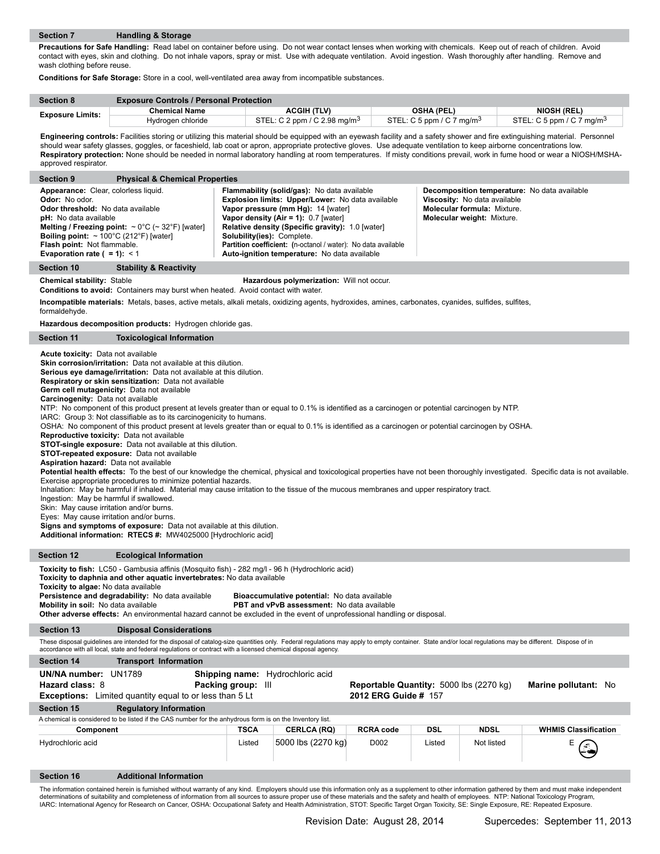**Precautions for Safe Handling:** Read label on container before using. Do not wear contact lenses when working with chemicals. Keep out of reach of children. Avoid contact with eyes, skin and clothing. Do not inhale vapors, spray or mist. Use with adequate ventilation. Avoid ingestion. Wash thoroughly after handling. Remove and wash clothing before reuse.

**Conditions for Safe Storage:** Store in a cool, well-ventilated area away from incompatible substances.

| <b>Section 8</b>        | <b>Exposure Controls / Personal Protection</b> |                                          |                              |                              |  |
|-------------------------|------------------------------------------------|------------------------------------------|------------------------------|------------------------------|--|
| <b>Exposure Limits:</b> | Chemical Name                                  | ACGIH (TLV)                              | <b>OSHA (PEL)</b>            | <b>NIOSH (REL)</b>           |  |
|                         | Hydrogen chloride                              | STEL: C 2 ppm / C 2.98 mg/m <sup>3</sup> | STEL: C 5 ppm / C 7 mg/m $3$ | STEL: C 5 ppm / C 7 mg/m $3$ |  |

Engineering controls: Facilities storing or utilizing this material should be equipped with an eyewash facility and a safety shower and fire extinguishing material. Personnel should wear safety glasses, goggles, or faceshield, lab coat or apron, appropriate protective gloves. Use adequate ventilation to keep airborne concentrations low. **Respiratory protection:** None should be needed in normal laboratory handling at room temperatures. If misty conditions prevail, work in fume hood or wear a NIOSH/MSHAapproved respirator.

| <b>Section 9</b>                                                                                                                                                                                                                                                  | <b>Physical &amp; Chemical Properties</b>                                          |                                                                                                                                                                                                                                                                                                                                                                                           |                                                                                                                                                                |  |
|-------------------------------------------------------------------------------------------------------------------------------------------------------------------------------------------------------------------------------------------------------------------|------------------------------------------------------------------------------------|-------------------------------------------------------------------------------------------------------------------------------------------------------------------------------------------------------------------------------------------------------------------------------------------------------------------------------------------------------------------------------------------|----------------------------------------------------------------------------------------------------------------------------------------------------------------|--|
| Appearance: Clear, colorless liquid.<br><b>Odor:</b> No odor.<br>Odor threshold: No data available<br><b>pH:</b> No data available<br><b>Boiling point:</b> $\sim 100^{\circ}$ C (212°F) [water]<br>Flash point: Not flammable.<br>Evaporation rate $( = 1): < 1$ | <b>Melting / Freezing point:</b> $\sim 0^{\circ}$ C ( $\sim 32^{\circ}$ F) [water] | <b>Flammability (solid/gas):</b> No data available<br>Explosion limits: Upper/Lower: No data available<br>Vapor pressure (mm Hg): 14 [water]<br>Vapor density (Air = 1): $0.7$ [water]<br>Relative density (Specific gravity): 1.0 [water]<br>Solubility(ies): Complete.<br>Partition coefficient: (n-octanol / water): No data available<br>Auto-ignition temperature: No data available | <b>Decomposition temperature:</b> No data available<br>Viscosity: No data available<br><b>Molecular formula: Mixture.</b><br><b>Molecular weight: Mixture.</b> |  |
| <b>Stability &amp; Reactivity</b><br><b>Section 10</b>                                                                                                                                                                                                            |                                                                                    |                                                                                                                                                                                                                                                                                                                                                                                           |                                                                                                                                                                |  |
| <b>Chemical stability: Stable</b><br>Hazardous polymerization: Will not occur.<br><b>Conditions to avoid:</b> Containers may burst when heated. Avoid contact with water.                                                                                         |                                                                                    |                                                                                                                                                                                                                                                                                                                                                                                           |                                                                                                                                                                |  |
| Incompatible materials: Metals, bases, active metals, alkali metals, oxidizing agents, hydroxides, amines, carbonates, cyanides, sulfides, sulfites,                                                                                                              |                                                                                    |                                                                                                                                                                                                                                                                                                                                                                                           |                                                                                                                                                                |  |

formaldehyde.

**Hazardous decomposition products:** Hydrogen chloride gas.

|                                                                                                                                                                                                                                                                                                                                                                                                                                                                                                                                                                                                                                                                                                                                                                                                                                                                                                                                                                                                                                                                                                                                                                                                                                                                                                                                                                                                                                                                                                                                                                                                                       | <b>Hazardous decomposition products:</b> Hydrogen chloride gas.                                                                                                                                                                                                                                                                                                                                                                                                                                                                             |        |                    |                   |            |             |                             |
|-----------------------------------------------------------------------------------------------------------------------------------------------------------------------------------------------------------------------------------------------------------------------------------------------------------------------------------------------------------------------------------------------------------------------------------------------------------------------------------------------------------------------------------------------------------------------------------------------------------------------------------------------------------------------------------------------------------------------------------------------------------------------------------------------------------------------------------------------------------------------------------------------------------------------------------------------------------------------------------------------------------------------------------------------------------------------------------------------------------------------------------------------------------------------------------------------------------------------------------------------------------------------------------------------------------------------------------------------------------------------------------------------------------------------------------------------------------------------------------------------------------------------------------------------------------------------------------------------------------------------|---------------------------------------------------------------------------------------------------------------------------------------------------------------------------------------------------------------------------------------------------------------------------------------------------------------------------------------------------------------------------------------------------------------------------------------------------------------------------------------------------------------------------------------------|--------|--------------------|-------------------|------------|-------------|-----------------------------|
| <b>Section 11</b>                                                                                                                                                                                                                                                                                                                                                                                                                                                                                                                                                                                                                                                                                                                                                                                                                                                                                                                                                                                                                                                                                                                                                                                                                                                                                                                                                                                                                                                                                                                                                                                                     | <b>Toxicological Information</b>                                                                                                                                                                                                                                                                                                                                                                                                                                                                                                            |        |                    |                   |            |             |                             |
| Acute toxicity: Data not available<br><b>Skin corrosion/irritation:</b> Data not available at this dilution.<br>Serious eye damage/irritation: Data not available at this dilution.<br>Respiratory or skin sensitization: Data not available<br>Germ cell mutagenicity: Data not available<br>Carcinogenity: Data not available<br>NTP: No component of this product present at levels greater than or equal to 0.1% is identified as a carcinogen or potential carcinogen by NTP.<br>IARC: Group 3: Not classifiable as to its carcinogenicity to humans.<br>OSHA: No component of this product present at levels greater than or equal to 0.1% is identified as a carcinogen or potential carcinogen by OSHA.<br>Reproductive toxicity: Data not available<br><b>STOT-single exposure:</b> Data not available at this dilution.<br>STOT-repeated exposure: Data not available<br><b>Aspiration hazard:</b> Data not available<br>Potential health effects: To the best of our knowledge the chemical, physical and toxicological properties have not been thoroughly investigated. Specific data is not available.<br>Exercise appropriate procedures to minimize potential hazards.<br>Inhalation: May be harmful if inhaled. Material may cause irritation to the tissue of the mucous membranes and upper respiratory tract.<br>Ingestion: May be harmful if swallowed.<br>Skin: May cause irritation and/or burns.<br>Eyes: May cause irritation and/or burns.<br><b>Signs and symptoms of exposure:</b> Data not available at this dilution.<br>Additional information: RTECS #: MW4025000 [Hydrochloric acid] |                                                                                                                                                                                                                                                                                                                                                                                                                                                                                                                                             |        |                    |                   |            |             |                             |
| <b>Section 12</b>                                                                                                                                                                                                                                                                                                                                                                                                                                                                                                                                                                                                                                                                                                                                                                                                                                                                                                                                                                                                                                                                                                                                                                                                                                                                                                                                                                                                                                                                                                                                                                                                     | <b>Ecological Information</b>                                                                                                                                                                                                                                                                                                                                                                                                                                                                                                               |        |                    |                   |            |             |                             |
|                                                                                                                                                                                                                                                                                                                                                                                                                                                                                                                                                                                                                                                                                                                                                                                                                                                                                                                                                                                                                                                                                                                                                                                                                                                                                                                                                                                                                                                                                                                                                                                                                       | Toxicity to fish: LC50 - Gambusia affinis (Mosquito fish) - 282 mg/l - 96 h (Hydrochloric acid)<br>Toxicity to daphnia and other aquatic invertebrates: No data available<br>Toxicity to algae: No data available<br>Persistence and degradability: No data available<br>Bioaccumulative potential: No data available<br>Mobility in soil: No data available<br><b>PBT and vPvB assessment:</b> No data available<br>Other adverse effects: An environmental hazard cannot be excluded in the event of unprofessional handling or disposal. |        |                    |                   |            |             |                             |
| <b>Section 13</b>                                                                                                                                                                                                                                                                                                                                                                                                                                                                                                                                                                                                                                                                                                                                                                                                                                                                                                                                                                                                                                                                                                                                                                                                                                                                                                                                                                                                                                                                                                                                                                                                     | <b>Disposal Considerations</b>                                                                                                                                                                                                                                                                                                                                                                                                                                                                                                              |        |                    |                   |            |             |                             |
| These disposal guidelines are intended for the disposal of catalog-size quantities only. Federal regulations may apply to empty container. State and/or local regulations may be different. Dispose of in<br>accordance with all local, state and federal regulations or contract with a licensed chemical disposal agency.                                                                                                                                                                                                                                                                                                                                                                                                                                                                                                                                                                                                                                                                                                                                                                                                                                                                                                                                                                                                                                                                                                                                                                                                                                                                                           |                                                                                                                                                                                                                                                                                                                                                                                                                                                                                                                                             |        |                    |                   |            |             |                             |
| <b>Section 14</b>                                                                                                                                                                                                                                                                                                                                                                                                                                                                                                                                                                                                                                                                                                                                                                                                                                                                                                                                                                                                                                                                                                                                                                                                                                                                                                                                                                                                                                                                                                                                                                                                     | <b>Transport Information</b>                                                                                                                                                                                                                                                                                                                                                                                                                                                                                                                |        |                    |                   |            |             |                             |
| UN/NA number: UN1789<br>Shipping name: Hydrochloric acid<br>Packing group: III<br>Hazard class: 8<br>Reportable Quantity: 5000 lbs (2270 kg)<br>Marine pollutant: No<br>2012 ERG Guide # 157<br>Exceptions: Limited quantity equal to or less than 5 Lt                                                                                                                                                                                                                                                                                                                                                                                                                                                                                                                                                                                                                                                                                                                                                                                                                                                                                                                                                                                                                                                                                                                                                                                                                                                                                                                                                               |                                                                                                                                                                                                                                                                                                                                                                                                                                                                                                                                             |        |                    |                   |            |             |                             |
| <b>Section 15</b>                                                                                                                                                                                                                                                                                                                                                                                                                                                                                                                                                                                                                                                                                                                                                                                                                                                                                                                                                                                                                                                                                                                                                                                                                                                                                                                                                                                                                                                                                                                                                                                                     | <b>Regulatory Information</b>                                                                                                                                                                                                                                                                                                                                                                                                                                                                                                               |        |                    |                   |            |             |                             |
|                                                                                                                                                                                                                                                                                                                                                                                                                                                                                                                                                                                                                                                                                                                                                                                                                                                                                                                                                                                                                                                                                                                                                                                                                                                                                                                                                                                                                                                                                                                                                                                                                       | A chemical is considered to be listed if the CAS number for the anhydrous form is on the Inventory list.                                                                                                                                                                                                                                                                                                                                                                                                                                    |        |                    |                   | <b>DSL</b> | <b>NDSL</b> |                             |
| Component                                                                                                                                                                                                                                                                                                                                                                                                                                                                                                                                                                                                                                                                                                                                                                                                                                                                                                                                                                                                                                                                                                                                                                                                                                                                                                                                                                                                                                                                                                                                                                                                             |                                                                                                                                                                                                                                                                                                                                                                                                                                                                                                                                             | TSCA   | <b>CERLCA (RQ)</b> | <b>RCRA code</b>  |            |             | <b>WHMIS Classification</b> |
| Hydrochloric acid                                                                                                                                                                                                                                                                                                                                                                                                                                                                                                                                                                                                                                                                                                                                                                                                                                                                                                                                                                                                                                                                                                                                                                                                                                                                                                                                                                                                                                                                                                                                                                                                     |                                                                                                                                                                                                                                                                                                                                                                                                                                                                                                                                             | Listed | 5000 lbs (2270 kg) | D <sub>0</sub> 02 | Listed     | Not listed  |                             |

#### **Section 16 Additional Information**

The information contained herein is furnished without warranty of any kind. Employers should use this information only as a supplement to other information gathered by them and must make independent<br>determinations of suita IARC: International Agency for Research on Cancer, OSHA: Occupational Safety and Health Administration, STOT: Specifi c Target Organ Toxicity, SE: Single Exposure, RE: Repeated Exposure.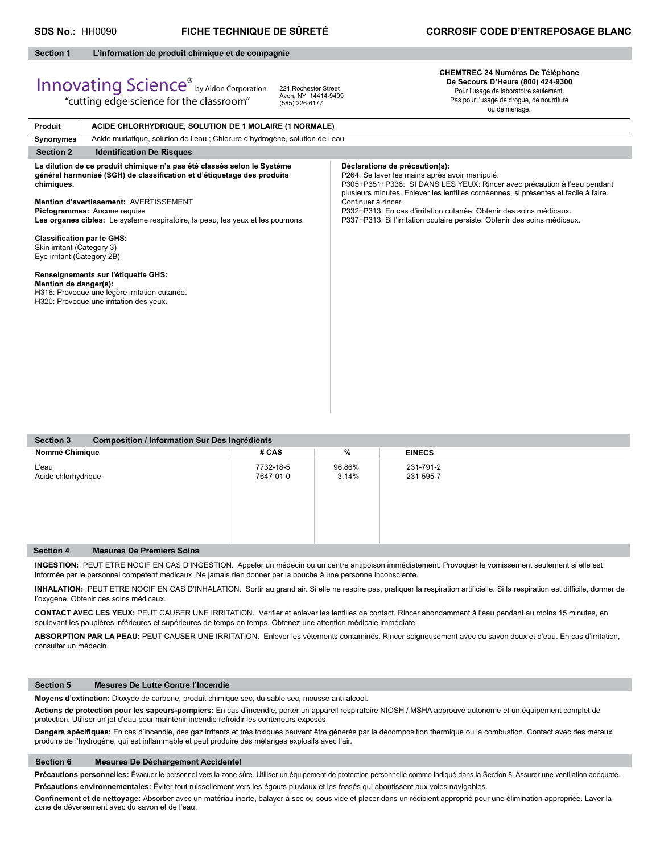#### **Section 1 L'information de produit chimique et de compagnie**

"cutting edge science for the classroom"

# Innovating Science® by Aldon Corporation

221 Rochester Street Avon, NY 14414-9409 (585) 226-6177

**CHEMTREC 24 Numéros De Téléphone De Secours D'Heure (800) 424-9300** Pour l'usage de laboratoire seulement.

Pas pour l'usage de drogue, de nourriture ou de ménage.

| Produit                                                                                       | ACIDE CHLORHYDRIQUE, SOLUTION DE 1 MOLAIRE (1 NORMALE)                                                                                                                                                                                                                                                        |                                                                                                                                                                                                                                                                                                                                                                                                                                 |  |  |  |
|-----------------------------------------------------------------------------------------------|---------------------------------------------------------------------------------------------------------------------------------------------------------------------------------------------------------------------------------------------------------------------------------------------------------------|---------------------------------------------------------------------------------------------------------------------------------------------------------------------------------------------------------------------------------------------------------------------------------------------------------------------------------------------------------------------------------------------------------------------------------|--|--|--|
| Synonymes                                                                                     | Acide muriatique, solution de l'eau ; Chlorure d'hydrogène, solution de l'eau                                                                                                                                                                                                                                 |                                                                                                                                                                                                                                                                                                                                                                                                                                 |  |  |  |
| <b>Section 2</b>                                                                              | <b>Identification De Risques</b>                                                                                                                                                                                                                                                                              |                                                                                                                                                                                                                                                                                                                                                                                                                                 |  |  |  |
| chimiques.                                                                                    | La dilution de ce produit chimique n'a pas été classés selon le Système<br>général harmonisé (SGH) de classification et d'étiquetage des produits<br>Mention d'avertissement: AVERTISSEMENT<br>Pictogrammes: Aucune requise<br>Les organes cibles: Le systeme respiratoire, la peau, les yeux et les poumons. | Déclarations de précaution(s):<br>P264: Se laver les mains après avoir manipulé.<br>P305+P351+P338: SI DANS LES YEUX: Rincer avec précaution à l'eau pendant<br>plusieurs minutes. Enlever les lentilles cornéennes, si présentes et facile à faire.<br>Continuer à rincer.<br>P332+P313: En cas d'irritation cutanée: Obtenir des soins médicaux.<br>P337+P313: Si l'irritation oculaire persiste: Obtenir des soins médicaux. |  |  |  |
| <b>Classification par le GHS:</b><br>Skin irritant (Category 3)<br>Eye irritant (Category 2B) |                                                                                                                                                                                                                                                                                                               |                                                                                                                                                                                                                                                                                                                                                                                                                                 |  |  |  |
| Mention de danger(s):                                                                         | Renseignements sur l'étiquette GHS:<br>H316: Provoque une légère irritation cutanée.<br>H320: Provoque une irritation des yeux.                                                                                                                                                                               |                                                                                                                                                                                                                                                                                                                                                                                                                                 |  |  |  |
|                                                                                               |                                                                                                                                                                                                                                                                                                               |                                                                                                                                                                                                                                                                                                                                                                                                                                 |  |  |  |

| <b>Section 3</b><br>Composition / Information Sur Des Ingrédients |                        |                 |                        |  |
|-------------------------------------------------------------------|------------------------|-----------------|------------------------|--|
| Nommé Chimique                                                    | # CAS                  | %               | <b>EINECS</b>          |  |
| L'eau<br>Acide chlorhydrique                                      | 7732-18-5<br>7647-01-0 | 96,86%<br>3,14% | 231-791-2<br>231-595-7 |  |
| <b>Mesures De Premiers Soins</b><br><b>Section 4</b>              |                        |                 |                        |  |

**INGESTION:** PEUT ETRE NOCIF EN CAS D'INGESTION. Appeler un médecin ou un centre antipoison immédiatement. Provoquer le vomissement seulement si elle est informée par le personnel compétent médicaux. Ne jamais rien donner par la bouche à une personne inconsciente.

INHALATION: PEUT ETRE NOCIF EN CAS D'INHALATION. Sortir au grand air. Si elle ne respire pas, pratiquer la respiration artificielle. Si la respiration est difficile, donner de l'oxygène. Obtenir des soins médicaux.

CONTACT AVEC LES YEUX: PEUT CAUSER UNE IRRITATION. Vérifier et enlever les lentilles de contact. Rincer abondamment à l'eau pendant au moins 15 minutes, en soulevant les paupières inférieures et supérieures de temps en temps. Obtenez une attention médicale immédiate.

**ABSORPTION PAR LA PEAU:** PEUT CAUSER UNE IRRITATION. Enlever les vêtements contaminés. Rincer soigneusement avec du savon doux et d'eau. En cas d'irritation, consulter un médecin.

#### **Section 5 Mesures De Lutte Contre l'Incendie**

**Moyens d'extinction:** Dioxyde de carbone, produit chimique sec, du sable sec, mousse anti-alcool.

**Actions de protection pour les sapeurs-pompiers:** En cas d'incendie, porter un appareil respiratoire NIOSH / MSHA approuvé autonome et un équipement complet de protection. Utiliser un jet d'eau pour maintenir incendie refroidir les conteneurs exposés.

Dangers spécifiques: En cas d'incendie, des gaz irritants et très toxiques peuvent être générés par la décomposition thermique ou la combustion. Contact avec des métaux produire de l'hydrogène, qui est inflammable et peut produire des mélanges explosifs avec l'air.

#### **Section 6 Mesures De Déchargement Accidentel**

Précautions personnelles: Évacuer le personnel vers la zone sûre. Utiliser un équipement de protection personnelle comme indiqué dans la Section 8. Assurer une ventilation adéquate. **Précautions environnementales:** Éviter tout ruissellement vers les égouts pluviaux et les fossés qui aboutissent aux voies navigables.

Confinement et de nettoyage: Absorber avec un matériau inerte, balayer à sec ou sous vide et placer dans un récipient approprié pour une élimination appropriée. Laver la zone de déversement avec du savon et de l'eau.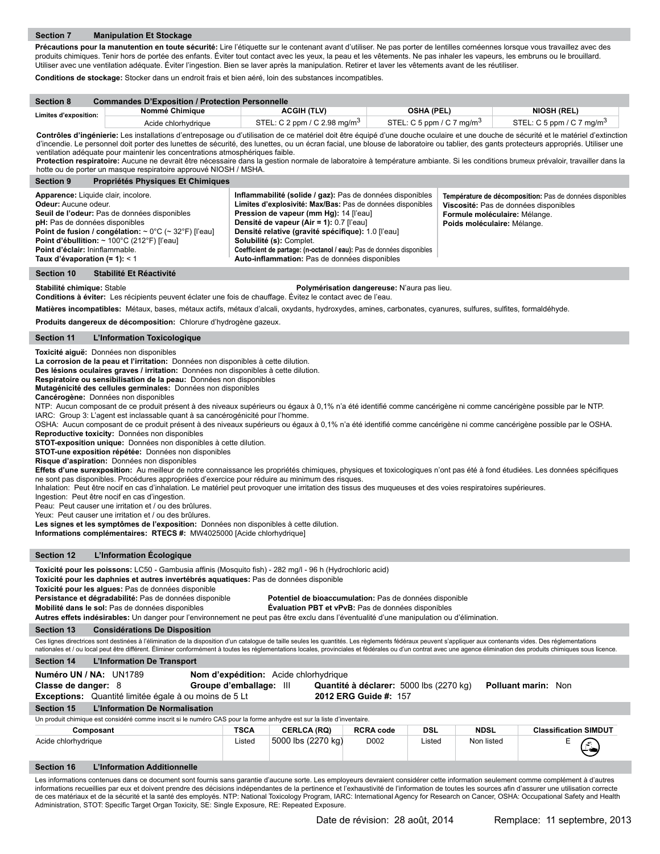Précautions pour la manutention en toute sécurité: Lire l'étiquette sur le contenant avant d'utiliser. Ne pas porter de lentilles cornéennes lorsque vous travaillez avec des produits chimiques. Tenir hors de portée des enfants. Éviter tout contact avec les yeux, la peau et les vêtements. Ne pas inhaler les vapeurs, les embruns ou le brouillard. Utiliser avec une ventilation adéquate. Éviter l'ingestion. Bien se laver après la manipulation. Retirer et laver les vêtements avant de les réutiliser.

**Conditions de stockage:** Stocker dans un endroit frais et bien aéré, loin des substances incompatibles.

Administration, STOT: Specific Target Organ Toxicity, SE: Single Exposure, RE: Repeated Exposure.

| <b>Section 8</b>                                                                                                                                                                                                                                                                                                                                                                                                                                                                                                                                                                                                                                                                                                                                                                                                                                                                                                                                                                                                                                                                                                                                                                                                                                                                                                                                                                                                                                                                                                                                                                                                                                                                                                                                                                                                                                              |                                                                                                                                                                                                                                                                                                                                                                                                                                                                                                                                                                                                                                                                                                                                                                                                                                                                                                                                   |                                          |                                             |             |                                       |
|---------------------------------------------------------------------------------------------------------------------------------------------------------------------------------------------------------------------------------------------------------------------------------------------------------------------------------------------------------------------------------------------------------------------------------------------------------------------------------------------------------------------------------------------------------------------------------------------------------------------------------------------------------------------------------------------------------------------------------------------------------------------------------------------------------------------------------------------------------------------------------------------------------------------------------------------------------------------------------------------------------------------------------------------------------------------------------------------------------------------------------------------------------------------------------------------------------------------------------------------------------------------------------------------------------------------------------------------------------------------------------------------------------------------------------------------------------------------------------------------------------------------------------------------------------------------------------------------------------------------------------------------------------------------------------------------------------------------------------------------------------------------------------------------------------------------------------------------------------------|-----------------------------------------------------------------------------------------------------------------------------------------------------------------------------------------------------------------------------------------------------------------------------------------------------------------------------------------------------------------------------------------------------------------------------------------------------------------------------------------------------------------------------------------------------------------------------------------------------------------------------------------------------------------------------------------------------------------------------------------------------------------------------------------------------------------------------------------------------------------------------------------------------------------------------------|------------------------------------------|---------------------------------------------|-------------|---------------------------------------|
| Limites d'exposition:                                                                                                                                                                                                                                                                                                                                                                                                                                                                                                                                                                                                                                                                                                                                                                                                                                                                                                                                                                                                                                                                                                                                                                                                                                                                                                                                                                                                                                                                                                                                                                                                                                                                                                                                                                                                                                         | <b>Commandes D'Exposition / Protection Personnelle</b><br>Nommé Chimique                                                                                                                                                                                                                                                                                                                                                                                                                                                                                                                                                                                                                                                                                                                                                                                                                                                          | <b>ACGIH (TLV)</b>                       | <b>OSHA (PEL)</b>                           |             | <b>NIOSH (REL)</b>                    |
|                                                                                                                                                                                                                                                                                                                                                                                                                                                                                                                                                                                                                                                                                                                                                                                                                                                                                                                                                                                                                                                                                                                                                                                                                                                                                                                                                                                                                                                                                                                                                                                                                                                                                                                                                                                                                                                               | Acide chlorhydrique                                                                                                                                                                                                                                                                                                                                                                                                                                                                                                                                                                                                                                                                                                                                                                                                                                                                                                               | STEL: C 2 ppm / C 2.98 mg/m <sup>3</sup> | STEL: C 5 ppm / C 7 mg/m <sup>3</sup>       |             | STEL: C 5 ppm / C 7 mg/m <sup>3</sup> |
| Contrôles d'ingénierie: Les installations d'entreposage ou d'utilisation de ce matériel doit être équipé d'une douche oculaire et une douche de sécurité et le matériel d'extinction<br>d'incendie. Le personnel doit porter des lunettes de sécurité, des lunettes, ou un écran facial, une blouse de laboratoire ou tablier, des gants protecteurs appropriés. Utiliser une<br>ventilation adéquate pour maintenir les concentrations atmosphériques faible.<br>Protection respiratoire: Aucune ne devrait être nécessaire dans la gestion normale de laboratoire à température ambiante. Si les conditions brumeux prévaloir, travailler dans la<br>hotte ou de porter un masque respiratoire approuvé NIOSH / MSHA.                                                                                                                                                                                                                                                                                                                                                                                                                                                                                                                                                                                                                                                                                                                                                                                                                                                                                                                                                                                                                                                                                                                                       |                                                                                                                                                                                                                                                                                                                                                                                                                                                                                                                                                                                                                                                                                                                                                                                                                                                                                                                                   |                                          |                                             |             |                                       |
| <b>Section 9</b>                                                                                                                                                                                                                                                                                                                                                                                                                                                                                                                                                                                                                                                                                                                                                                                                                                                                                                                                                                                                                                                                                                                                                                                                                                                                                                                                                                                                                                                                                                                                                                                                                                                                                                                                                                                                                                              | Propriétés Physiques Et Chimiques                                                                                                                                                                                                                                                                                                                                                                                                                                                                                                                                                                                                                                                                                                                                                                                                                                                                                                 |                                          |                                             |             |                                       |
|                                                                                                                                                                                                                                                                                                                                                                                                                                                                                                                                                                                                                                                                                                                                                                                                                                                                                                                                                                                                                                                                                                                                                                                                                                                                                                                                                                                                                                                                                                                                                                                                                                                                                                                                                                                                                                                               | Apparence: Liquide clair, incolore.<br>Inflammabilité (solide / gaz): Pas de données disponibles<br>Température de décomposition: Pas de données disponibles<br>Limites d'explosivité: Max/Bas: Pas de données disponibles<br>Odeur: Aucune odeur.<br>Viscosité: Pas de données disponibles<br>Seuil de l'odeur: Pas de données disponibles<br>Pression de vapeur (mm Hg): 14 [l'eau]<br>Formule moléculaire: Mélange.<br>pH: Pas de données disponibles<br>Densité de vapeur (Air = 1): 0.7 [l'eau]<br>Poids moléculaire: Mélange.<br>Point de fusion / congélation: ~ 0°C (~ 32°F) [l'eau]<br>Densité relative (gravité spécifique): 1.0 [l'eau]<br>Point d'ébullition: $\sim$ 100°C (212°F) [l'eau]<br>Solubilité (s): Complet.<br>Coefficient de partage: (n-octanol / eau): Pas de données disponibles<br>Point d'éclair: Ininflammable.<br>Auto-inflammation: Pas de données disponibles<br>Taux d'évaporation $(= 1): < 1$ |                                          |                                             |             |                                       |
| Section 10                                                                                                                                                                                                                                                                                                                                                                                                                                                                                                                                                                                                                                                                                                                                                                                                                                                                                                                                                                                                                                                                                                                                                                                                                                                                                                                                                                                                                                                                                                                                                                                                                                                                                                                                                                                                                                                    | Stabilité Et Réactivité                                                                                                                                                                                                                                                                                                                                                                                                                                                                                                                                                                                                                                                                                                                                                                                                                                                                                                           |                                          |                                             |             |                                       |
| Stabilité chimique: Stable                                                                                                                                                                                                                                                                                                                                                                                                                                                                                                                                                                                                                                                                                                                                                                                                                                                                                                                                                                                                                                                                                                                                                                                                                                                                                                                                                                                                                                                                                                                                                                                                                                                                                                                                                                                                                                    | Conditions à éviter: Les récipients peuvent éclater une fois de chauffage. Évitez le contact avec de l'eau.                                                                                                                                                                                                                                                                                                                                                                                                                                                                                                                                                                                                                                                                                                                                                                                                                       |                                          | Polymérisation dangereuse: N'aura pas lieu. |             |                                       |
|                                                                                                                                                                                                                                                                                                                                                                                                                                                                                                                                                                                                                                                                                                                                                                                                                                                                                                                                                                                                                                                                                                                                                                                                                                                                                                                                                                                                                                                                                                                                                                                                                                                                                                                                                                                                                                                               | Matières incompatibles: Métaux, bases, métaux actifs, métaux d'alcali, oxydants, hydroxydes, amines, carbonates, cyanures, sulfures, sulfites, formaldéhyde.                                                                                                                                                                                                                                                                                                                                                                                                                                                                                                                                                                                                                                                                                                                                                                      |                                          |                                             |             |                                       |
|                                                                                                                                                                                                                                                                                                                                                                                                                                                                                                                                                                                                                                                                                                                                                                                                                                                                                                                                                                                                                                                                                                                                                                                                                                                                                                                                                                                                                                                                                                                                                                                                                                                                                                                                                                                                                                                               | Produits dangereux de décomposition: Chlorure d'hydrogène gazeux.                                                                                                                                                                                                                                                                                                                                                                                                                                                                                                                                                                                                                                                                                                                                                                                                                                                                 |                                          |                                             |             |                                       |
| <b>Section 11</b>                                                                                                                                                                                                                                                                                                                                                                                                                                                                                                                                                                                                                                                                                                                                                                                                                                                                                                                                                                                                                                                                                                                                                                                                                                                                                                                                                                                                                                                                                                                                                                                                                                                                                                                                                                                                                                             | L'Information Toxicologique                                                                                                                                                                                                                                                                                                                                                                                                                                                                                                                                                                                                                                                                                                                                                                                                                                                                                                       |                                          |                                             |             |                                       |
| Toxicité aiguë: Données non disponibles<br>La corrosion de la peau et l'irritation: Données non disponibles à cette dilution.<br>Des lésions oculaires graves / irritation: Données non disponibles à cette dilution.<br>Respiratoire ou sensibilisation de la peau: Données non disponibles<br>Mutagénicité des cellules germinales: Données non disponibles<br>Cancérogène: Données non disponibles<br>NTP: Aucun composant de ce produit présent à des niveaux supérieurs ou égaux à 0,1% n'a été identifié comme cancérigène ni comme cancérigène possible par le NTP.<br>IARC: Group 3: L'agent est inclassable quant à sa cancérogénicité pour l'homme.<br>OSHA: Aucun composant de ce produit présent à des niveaux supérieurs ou égaux à 0,1% n'a été identifié comme cancérigène ni comme cancérigène possible par le OSHA.<br>Reproductive toxicity: Données non disponibles<br>STOT-exposition unique: Données non disponibles à cette dilution.<br>STOT-une exposition répétée: Données non disponibles<br>Risque d'aspiration: Données non disponibles<br>Effets d'une surexposition: Au meilleur de notre connaissance les propriétés chimiques, physiques et toxicologiques n'ont pas été à fond étudiées. Les données spécifiques<br>ne sont pas disponibles. Procédures appropriées d'exercice pour réduire au minimum des risques.<br>Inhalation: Peut être nocif en cas d'inhalation. Le matériel peut provoquer une irritation des tissus des muqueuses et des voies respiratoires supérieures.<br>Ingestion: Peut être nocif en cas d'ingestion.<br>Peau: Peut causer une irritation et / ou des brûlures.<br>Yeux: Peut causer une irritation et / ou des brûlures.<br>Les signes et les symptômes de l'exposition: Données non disponibles à cette dilution.<br>Informations complémentaires: RTECS #: MW4025000 [Acide chlorhydrique] |                                                                                                                                                                                                                                                                                                                                                                                                                                                                                                                                                                                                                                                                                                                                                                                                                                                                                                                                   |                                          |                                             |             |                                       |
| <b>Section 12</b>                                                                                                                                                                                                                                                                                                                                                                                                                                                                                                                                                                                                                                                                                                                                                                                                                                                                                                                                                                                                                                                                                                                                                                                                                                                                                                                                                                                                                                                                                                                                                                                                                                                                                                                                                                                                                                             | L'Information Ecologique                                                                                                                                                                                                                                                                                                                                                                                                                                                                                                                                                                                                                                                                                                                                                                                                                                                                                                          |                                          |                                             |             |                                       |
| Toxicité pour les poissons: LC50 - Gambusia affinis (Mosquito fish) - 282 mg/l - 96 h (Hydrochloric acid)<br>Toxicité pour les daphnies et autres invertébrés aquatiques: Pas de données disponible<br>Toxicité pour les algues: Pas de données disponible<br>Persistance et dégradabilité: Pas de données disponible<br>Potentiel de bioaccumulation: Pas de données disponible<br>Mobilité dans le sol: Pas de données disponibles<br>Evaluation PBT et vPvB: Pas de données disponibles<br>Autres effets indésirables: Un danger pour l'environnement ne peut pas être exclu dans l'éventualité d'une manipulation ou d'élimination.                                                                                                                                                                                                                                                                                                                                                                                                                                                                                                                                                                                                                                                                                                                                                                                                                                                                                                                                                                                                                                                                                                                                                                                                                       |                                                                                                                                                                                                                                                                                                                                                                                                                                                                                                                                                                                                                                                                                                                                                                                                                                                                                                                                   |                                          |                                             |             |                                       |
| <b>Section 13</b>                                                                                                                                                                                                                                                                                                                                                                                                                                                                                                                                                                                                                                                                                                                                                                                                                                                                                                                                                                                                                                                                                                                                                                                                                                                                                                                                                                                                                                                                                                                                                                                                                                                                                                                                                                                                                                             | <b>Considérations De Disposition</b><br>Ces lignes directrices sont destinées à l'élimination de la disposition d'un catalogue de taille seules les quantités. Les règlements fédéraux peuvent s'appliquer aux contenants vides. Des réglementations                                                                                                                                                                                                                                                                                                                                                                                                                                                                                                                                                                                                                                                                              |                                          |                                             |             |                                       |
|                                                                                                                                                                                                                                                                                                                                                                                                                                                                                                                                                                                                                                                                                                                                                                                                                                                                                                                                                                                                                                                                                                                                                                                                                                                                                                                                                                                                                                                                                                                                                                                                                                                                                                                                                                                                                                                               | nationales et / ou local peut être différent. Éliminer conformément à toutes les réglementations locales, provinciales et fédérales ou d'un contrat avec une agence élimination des produits chimiques sous licence.                                                                                                                                                                                                                                                                                                                                                                                                                                                                                                                                                                                                                                                                                                              |                                          |                                             |             |                                       |
| <b>Section 14</b>                                                                                                                                                                                                                                                                                                                                                                                                                                                                                                                                                                                                                                                                                                                                                                                                                                                                                                                                                                                                                                                                                                                                                                                                                                                                                                                                                                                                                                                                                                                                                                                                                                                                                                                                                                                                                                             | L'Information De Transport                                                                                                                                                                                                                                                                                                                                                                                                                                                                                                                                                                                                                                                                                                                                                                                                                                                                                                        |                                          |                                             |             |                                       |
| Numéro UN / NA: UN1789<br>Nom d'expédition: Acide chlorhydrique<br>Groupe d'emballage: III<br>Quantité à déclarer: 5000 lbs (2270 kg)<br><b>Polluant marin: Non</b><br>Classe de danger: 8<br>2012 ERG Guide #: 157<br><b>Exceptions:</b> Quantité limitée égale à ou moins de 5 Lt                                                                                                                                                                                                                                                                                                                                                                                                                                                                                                                                                                                                                                                                                                                                                                                                                                                                                                                                                                                                                                                                                                                                                                                                                                                                                                                                                                                                                                                                                                                                                                           |                                                                                                                                                                                                                                                                                                                                                                                                                                                                                                                                                                                                                                                                                                                                                                                                                                                                                                                                   |                                          |                                             |             |                                       |
| <b>Section 15</b>                                                                                                                                                                                                                                                                                                                                                                                                                                                                                                                                                                                                                                                                                                                                                                                                                                                                                                                                                                                                                                                                                                                                                                                                                                                                                                                                                                                                                                                                                                                                                                                                                                                                                                                                                                                                                                             | L'Information De Normalisation                                                                                                                                                                                                                                                                                                                                                                                                                                                                                                                                                                                                                                                                                                                                                                                                                                                                                                    |                                          |                                             |             |                                       |
|                                                                                                                                                                                                                                                                                                                                                                                                                                                                                                                                                                                                                                                                                                                                                                                                                                                                                                                                                                                                                                                                                                                                                                                                                                                                                                                                                                                                                                                                                                                                                                                                                                                                                                                                                                                                                                                               | Un produit chimique est considéré comme inscrit si le numéro CAS pour la forme anhydre est sur la liste d'inventaire.                                                                                                                                                                                                                                                                                                                                                                                                                                                                                                                                                                                                                                                                                                                                                                                                             |                                          |                                             |             |                                       |
| Composant                                                                                                                                                                                                                                                                                                                                                                                                                                                                                                                                                                                                                                                                                                                                                                                                                                                                                                                                                                                                                                                                                                                                                                                                                                                                                                                                                                                                                                                                                                                                                                                                                                                                                                                                                                                                                                                     |                                                                                                                                                                                                                                                                                                                                                                                                                                                                                                                                                                                                                                                                                                                                                                                                                                                                                                                                   | <b>TSCA</b><br><b>CERLCA (RQ)</b>        | DSL<br><b>RCRA code</b>                     | <b>NDSL</b> | <b>Classification SIMDUT</b>          |
| Acide chlorhydrique                                                                                                                                                                                                                                                                                                                                                                                                                                                                                                                                                                                                                                                                                                                                                                                                                                                                                                                                                                                                                                                                                                                                                                                                                                                                                                                                                                                                                                                                                                                                                                                                                                                                                                                                                                                                                                           |                                                                                                                                                                                                                                                                                                                                                                                                                                                                                                                                                                                                                                                                                                                                                                                                                                                                                                                                   | 5000 lbs (2270 kg)<br>Listed             | D002<br>Listed                              | Non listed  | Ε                                     |
| <b>Section 16</b>                                                                                                                                                                                                                                                                                                                                                                                                                                                                                                                                                                                                                                                                                                                                                                                                                                                                                                                                                                                                                                                                                                                                                                                                                                                                                                                                                                                                                                                                                                                                                                                                                                                                                                                                                                                                                                             | <b>L'Information Additionnelle</b>                                                                                                                                                                                                                                                                                                                                                                                                                                                                                                                                                                                                                                                                                                                                                                                                                                                                                                |                                          |                                             |             |                                       |
|                                                                                                                                                                                                                                                                                                                                                                                                                                                                                                                                                                                                                                                                                                                                                                                                                                                                                                                                                                                                                                                                                                                                                                                                                                                                                                                                                                                                                                                                                                                                                                                                                                                                                                                                                                                                                                                               | Les informations contenues dans ce document sont fournis sans garantie d'aucune sorte. Les employeurs devraient considérer cette information seulement comme complément à d'autres<br>informations recueillies par eux et doivent prendre des décisions indépendantes de la pertinence et l'exhaustivité de l'information de toutes les sources afin d'assurer une utilisation correcte<br>de ces matériaux et de la sécurité et la santé des employés. NTP: National Toxicology Program, IARC: International Agency for Research on Cancer, OSHA: Occupational Safety and Health                                                                                                                                                                                                                                                                                                                                                 |                                          |                                             |             |                                       |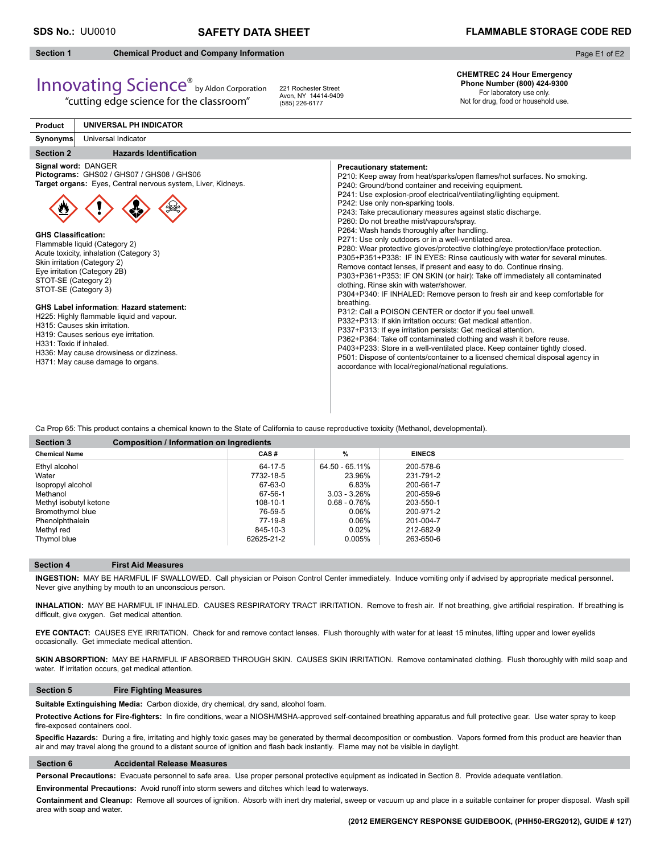**CHEMTREC 24 Hour Emergency Phone Number (800) 424-9300**  For laboratory use only. Not for drug, food or household use.

## **Section 1 Chemical Product and Company Information**

Page E1 of E2

# Innovating Science® by Aldon Corporation

"cutting edge science for the classroom"

221 Rochester Street Avon, NY 14414-9409 (585) 226-6177

#### **Section 2** Hazards Identification **Product Synonyms UNIVERSAL PH INDICATOR** Universal Indicator **Signal word:** DANGER **Pictograms:** GHS02 / GHS07 / GHS08 / GHS06 **Target organs:** Eyes, Central nervous system, Liver, Kidneys. **GHS Classification:** Flammable liquid (Category 2) Acute toxicity, inhalation (Category 3) Skin irritation (Category 2) Eye irritation (Category 2B) STOT-SE (Category 2) STOT-SE (Category 3) **GHS Label information**: **Hazard statement:** H225: Highly flammable liquid and vapour. H315: Causes skin irritation. H319: Causes serious eye irritation. H331: Toxic if inhaled. H336: May cause drowsiness or dizziness. H371: May cause damage to organs. **Precautionary statement:** P210: Keep away from heat/sparks/open flames/hot surfaces. No smoking. P240: Ground/bond container and receiving equipment. P241: Use explosion-proof electrical/ventilating/lighting equipment. P242: Use only non-sparking tools. P243: Take precautionary measures against static discharge. P260: Do not breathe mist/vapours/spray. P264: Wash hands thoroughly after handling. P271: Use only outdoors or in a well-ventilated area. P280: Wear protective gloves/protective clothing/eye protection/face protection. P305+P351+P338: IF IN EYES: Rinse cautiously with water for several minutes. Remove contact lenses, if present and easy to do. Continue rinsing. P303+P361+P353: IF ON SKIN (or hair): Take off immediately all contaminated clothing. Rinse skin with water/shower. P304+P340: IF INHALED: Remove person to fresh air and keep comfortable for breathing. P312: Call a POISON CENTER or doctor if you feel unwell. P332+P313: If skin irritation occurs: Get medical attention. P337+P313: If eye irritation persists: Get medical attention. P362+P364: Take off contaminated clothing and wash it before reuse. P403+P233: Store in a well-ventilated place. Keep container tightly closed. P501: Dispose of contents/container to a licensed chemical disposal agency in accordance with local/regional/national regulations.

Ca Prop 65: This product contains a chemical known to the State of California to cause reproductive toxicity (Methanol, developmental).

| <b>Section 3</b><br>Composition / Information on Ingredients |            |                 |               |  |
|--------------------------------------------------------------|------------|-----------------|---------------|--|
| <b>Chemical Name</b>                                         | CAS#       | %               | <b>EINECS</b> |  |
| Ethyl alcohol                                                | 64-17-5    | 64.50 - 65.11%  | 200-578-6     |  |
| Water                                                        | 7732-18-5  | 23.96%          | 231-791-2     |  |
| Isopropyl alcohol                                            | 67-63-0    | 6.83%           | 200-661-7     |  |
| Methanol                                                     | 67-56-1    | $3.03 - 3.26\%$ | 200-659-6     |  |
| Methyl isobutyl ketone                                       | 108-10-1   | $0.68 - 0.76%$  | 203-550-1     |  |
| Bromothymol blue                                             | 76-59-5    | 0.06%           | 200-971-2     |  |
| Phenolphthalein                                              | 77-19-8    | 0.06%           | 201-004-7     |  |
| Methyl red                                                   | 845-10-3   | 0.02%           | 212-682-9     |  |
| Thymol blue                                                  | 62625-21-2 | 0.005%          | 263-650-6     |  |

#### **Section 4 First Aid Measures**

**INGESTION:** MAY BE HARMFUL IF SWALLOWED. Call physician or Poison Control Center immediately. Induce vomiting only if advised by appropriate medical personnel. Never give anything by mouth to an unconscious person.

INHALATION: MAY BE HARMFUL IF INHALED. CAUSES RESPIRATORY TRACT IRRITATION. Remove to fresh air. If not breathing, give artificial respiration. If breathing is difficult, give oxygen. Get medical attention.

**EYE CONTACT:** CAUSES EYE IRRITATION. Check for and remove contact lenses. Flush thoroughly with water for at least 15 minutes, lifting upper and lower eyelids occasionally. Get immediate medical attention.

SKIN ABSORPTION: MAY BE HARMFUL IF ABSORBED THROUGH SKIN. CAUSES SKIN IRRITATION. Remove contaminated clothing. Flush thoroughly with mild soap and water. If irritation occurs, get medical attention.

### **Section 5 Fire Fighting Measures**

**Suitable Extinguishing Media:** Carbon dioxide, dry chemical, dry sand, alcohol foam.

Protective Actions for Fire-fighters: In fire conditions, wear a NIOSH/MSHA-approved self-contained breathing apparatus and full protective gear. Use water spray to keep fire-exposed containers cool.

Specific Hazards: During a fire, irritating and highly toxic gases may be generated by thermal decomposition or combustion. Vapors formed from this product are heavier than air and may travel along the ground to a distant source of ignition and flash back instantly. Flame may not be visible in daylight.

### **Section 6 Accidental Release Measures**

**Personal Precautions:** Evacuate personnel to safe area. Use proper personal protective equipment as indicated in Section 8. Provide adequate ventilation.

**Environmental Precautions:** Avoid runoff into storm sewers and ditches which lead to waterways.

**Containment and Cleanup:** Remove all sources of ignition. Absorb with inert dry material, sweep or vacuum up and place in a suitable container for proper disposal. Wash spill area with soap and water.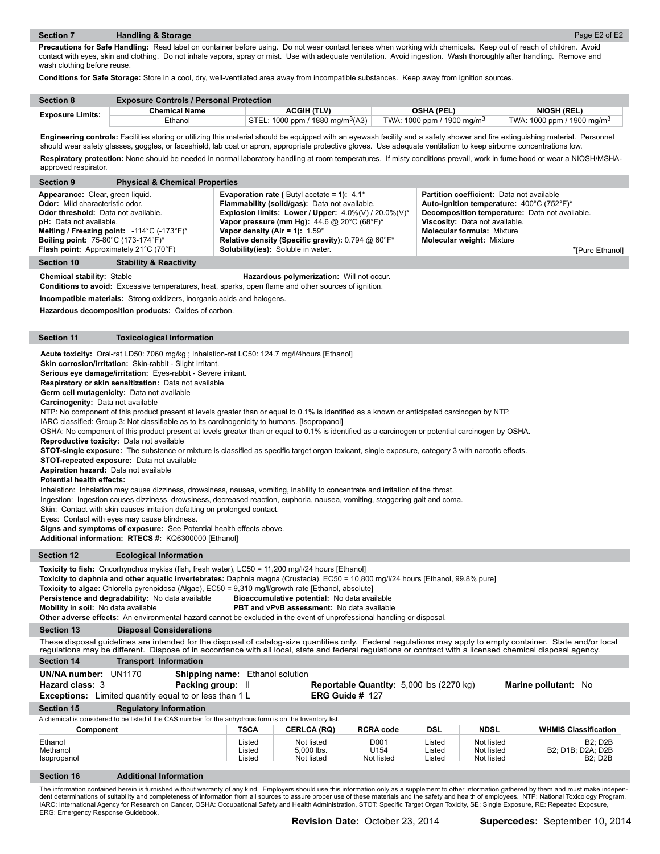**Precautions for Safe Handling:** Read label on container before using. Do not wear contact lenses when working with chemicals. Keep out of reach of children. Avoid contact with eyes, skin and clothing. Do not inhale vapors, spray or mist. Use with adequate ventilation. Avoid ingestion. Wash thoroughly after handling. Remove and wash clothing before reuse.

**Conditions for Safe Storage:** Store in a cool, dry, well-ventilated area away from incompatible substances. Keep away from ignition sources.

| <b>Section 8</b>        | <b>Exposure Controls / Personal Protection</b> |                                              |                                        |                                        |  |
|-------------------------|------------------------------------------------|----------------------------------------------|----------------------------------------|----------------------------------------|--|
| <b>Exposure Limits:</b> | <b>Chemical Name</b>                           | <b>ACGIH (TLV)</b>                           | <b>OSHA (PEL)</b>                      | <b>NIOSH (REL)</b>                     |  |
|                         | Ethanol                                        | STEL: 1000 ppm / 1880 mg/m <sup>3</sup> (A3) | TWA: 1000 ppm / 1900 mg/m <sup>3</sup> | TWA: 1000 ppm / 1900 mg/m <sup>3</sup> |  |

**Engineering controls:** Facilities storing or utilizing this material should be equipped with an eyewash facility and a safety shower and fire extinguishing material. Personnel should wear safety glasses, goggles, or faceshield, lab coat or apron, appropriate protective gloves. Use adequate ventilation to keep airborne concentrations low. **Respiratory protection:** None should be needed in normal laboratory handling at room temperatures. If misty conditions prevail, work in fume hood or wear a NIOSH/MSHAapproved respirator.

| <b>Physical &amp; Chemical Properties</b><br><b>Section 9</b>   |                                                                |                                                  |
|-----------------------------------------------------------------|----------------------------------------------------------------|--------------------------------------------------|
| Appearance: Clear, green liquid.                                | <b>Evaporation rate (</b> Butyl acetate = 1): $4.1^*$          | <b>Partition coefficient:</b> Data not available |
| <b>Odor:</b> Mild characteristic odor.                          | Flammability (solid/gas): Data not available.                  | Auto-ignition temperature: 400°C (752°F)*        |
| <b>Odor threshold:</b> Data not available.                      | Explosion limits: Lower / Upper: $4.0\%$ (V) / 20.0% (V)*      | Decomposition temperature: Data not available.   |
| <b>pH:</b> Data not available.                                  | Vapor pressure (mm Hg): $44.6 \text{ @ } 20^{\circ}$ C (68°F)* | Viscosity: Data not available.                   |
| Melting / Freezing point: $-114^{\circ}$ C ( $-173^{\circ}$ F)* | Vapor density (Air = 1): $1.59^*$                              | <b>Molecular formula: Mixture</b>                |
| <b>Boiling point: 75-80°C (173-174°F)*</b>                      | Relative density (Specific gravity): 0.794 @ 60°F*             | <b>Molecular weight: Mixture</b>                 |
| Flash point: Approximately 21°C (70°F)                          | <b>Solubility(ies):</b> Soluble in water.                      | *[Pure Ethanol]                                  |

#### **Section 10 Stability & Reactivity**

**Chemical stability:** Stable **Hazardous polymerization:** Will not occur.

**Conditions to avoid:** Excessive temperatures, heat, sparks, open flame and other sources of ignition.

**Incompatible materials:** Strong oxidizers, inorganic acids and halogens.

**Hazardous decomposition products:** Oxides of carbon.

#### **Section 11 Toxicological Information**

**Acute toxicity:** Oral-rat LD50: 7060 mg/kg ; Inhalation-rat LC50: 124.7 mg/l/4hours [Ethanol]

**Skin corrosion/irritation:** Skin-rabbit - Slight irritant.

**Serious eye damage/irritation:** Eyes-rabbit - Severe irritant.

**Respiratory or skin sensitization:** Data not available

**Germ cell mutagenicity:** Data not available

**Carcinogenity:** Data not available

NTP: No component of this product present at levels greater than or equal to 0.1% is identified as a known or anticipated carcinogen by NTP.

IARC classified: Group 3: Not classifiable as to its carcinogenicity to humans. [Isopropanol]

OSHA: No component of this product present at levels greater than or equal to 0.1% is identified as a carcinogen or potential carcinogen by OSHA. **Reproductive toxicity:** Data not available

STOT-single exposure: The substance or mixture is classified as specific target organ toxicant, single exposure, category 3 with narcotic effects.

**STOT-repeated exposure:** Data not available

**Aspiration hazard:** Data not available **Potential health effects:** 

Inhalation: Inhalation may cause dizziness, drowsiness, nausea, vomiting, inability to concentrate and irritation of the throat.

Ingestion: Ingestion causes dizziness, drowsiness, decreased reaction, euphoria, nausea, vomiting, staggering gait and coma.

Skin: Contact with skin causes irritation defatting on prolonged contact.

Eyes: Contact with eyes may cause blindness.

**Signs and symptoms of exposure:** See Potential health effects above.

**Additional information: RTECS #:** KQ6300000 [Ethanol]

#### **Section 12 Ecological Information**

**Section 13 Disposal Considerations Section 14 Transport Information Section 15 Regulatory Information** A chemical is considered to be listed if the CAS number for the anhydrous form is on the Inventory list. These disposal guidelines are intended for the disposal of catalog-size quantities only. Federal regulations may apply to empty container. State and/or local regulations may be different. Dispose of in accordance with all local, state and federal regulations or contract with a licensed chemical disposal agency. **Component TSCA CERLCA (RQ) RCRA code DSL NDSL WHMIS Classification** Toxicity to fish: Oncorhynchus mykiss (fish, fresh water), LC50 = 11,200 mg/l/24 hours [Ethanol] **Toxicity to daphnia and other aquatic invertebrates:** Daphnia magna (Crustacia), EC50 = 10,800 mg/l/24 hours [Ethanol, 99.8% pure] **Toxicity to algae:** Chlorella pyrenoidosa (Algae), EC50 = 9,310 mg/l/growth rate [Ethanol, absolute] **Persistence and degradability:** No data available **Bioaccumulative potential:** No data available **Mobility in soil:** No data available **PBT and vPvB assessment:** No data available **Other adverse effects:** An environmental hazard cannot be excluded in the event of unprofessional handling or disposal. Ethanol Listed Not listed D001 Listed Not listed B2; D2B Methanol Listed 5,000 lbs. U154 Listed Not listed B2; D1B; D2A; D2B Isopropanol Listed Not listed Not listed Listed Not listed B2; D2B **UN/NA number:** UN1170 **Shipping name:** Ethanol solution **Hazard class:** 3 **Packing group:** II **Reportable Quantity:** 5,000 lbs (2270 kg) **Marine pollutant:** No **Exceptions:** Limited quantity equal to or less than 1 L **ERG Guide #** 127

#### **Section 16 Additional Information**

The information contained herein is furnished without warranty of any kind. Employers should use this information only as a supplement to other information gathered by them and must make independent determinations of suitability and completeness of information from all sources to assure proper use of these materials and the safety and health of employees. NTP: National Toxicology Program, IARC: International Agency for Research on Cancer, OSHA: Occupational Safety and Health Administration, STOT: Specific Target Organ Toxicity, SE: Single Exposure, RE: Repeated Exposure, ERG: Emergency Response Guidebook.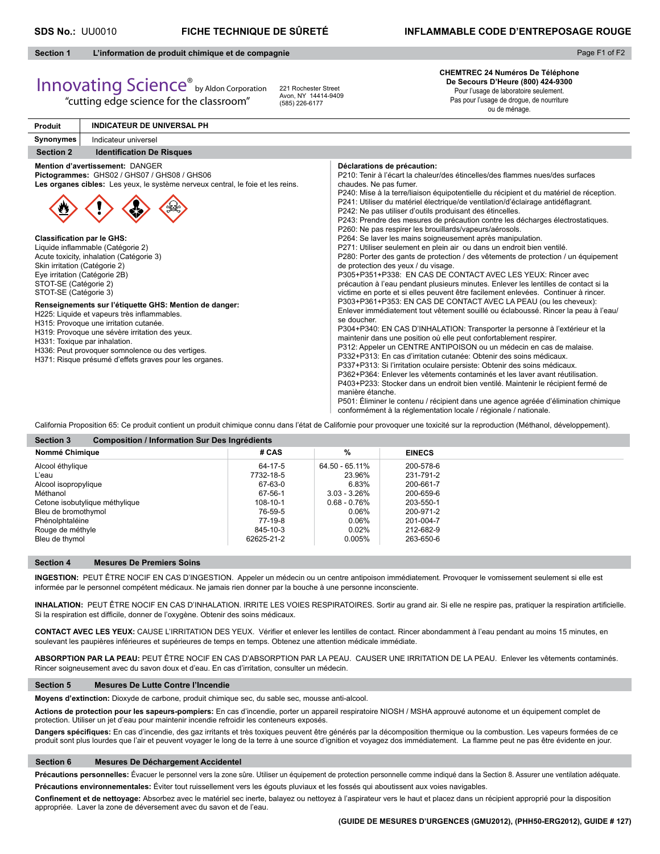### **SDS No.:** UU0010 **FICHE TECHNIQUE DE SÛRETÉ INFLAMMABLE CODE D'ENTREPOSAGE ROUGE**

Page F1 of F2

#### **Section 1 L'information de produit chimique et de compagnie**

# Innovating Science® by Aldon Corporation

"cutting edge science for the classroom"

221 Rochester Street Avon, NY 14414-9409 (585) 226-6177

**CHEMTREC 24 Numéros De Téléphone De Secours D'Heure (800) 424-9300** Pour l'usage de laboratoire seulement. Pas pour l'usage de drogue, de nourriture

ou de ménage.

| <b>Produit</b>                                                                                                                                                                         | <b>INDICATEUR DE UNIVERSAL PH</b>                                                                                                                                                                                                                                                                                                                                                                                                                                                                                                                                     |                                                                                                                                                                                                                                                                                                                                                                                                                                                                                                                                                                                                                                                                                                                                                                                                                                                                                                                                                                                                                                                                                                                                                                                                                                                                                                                                                                                                                                                                                                                                                                                                                                                                                                                                                                                                                                                                                                                                                                 |
|----------------------------------------------------------------------------------------------------------------------------------------------------------------------------------------|-----------------------------------------------------------------------------------------------------------------------------------------------------------------------------------------------------------------------------------------------------------------------------------------------------------------------------------------------------------------------------------------------------------------------------------------------------------------------------------------------------------------------------------------------------------------------|-----------------------------------------------------------------------------------------------------------------------------------------------------------------------------------------------------------------------------------------------------------------------------------------------------------------------------------------------------------------------------------------------------------------------------------------------------------------------------------------------------------------------------------------------------------------------------------------------------------------------------------------------------------------------------------------------------------------------------------------------------------------------------------------------------------------------------------------------------------------------------------------------------------------------------------------------------------------------------------------------------------------------------------------------------------------------------------------------------------------------------------------------------------------------------------------------------------------------------------------------------------------------------------------------------------------------------------------------------------------------------------------------------------------------------------------------------------------------------------------------------------------------------------------------------------------------------------------------------------------------------------------------------------------------------------------------------------------------------------------------------------------------------------------------------------------------------------------------------------------------------------------------------------------------------------------------------------------|
| Synonymes                                                                                                                                                                              | Indicateur universel                                                                                                                                                                                                                                                                                                                                                                                                                                                                                                                                                  |                                                                                                                                                                                                                                                                                                                                                                                                                                                                                                                                                                                                                                                                                                                                                                                                                                                                                                                                                                                                                                                                                                                                                                                                                                                                                                                                                                                                                                                                                                                                                                                                                                                                                                                                                                                                                                                                                                                                                                 |
| <b>Section 2</b>                                                                                                                                                                       | <b>Identification De Risques</b>                                                                                                                                                                                                                                                                                                                                                                                                                                                                                                                                      |                                                                                                                                                                                                                                                                                                                                                                                                                                                                                                                                                                                                                                                                                                                                                                                                                                                                                                                                                                                                                                                                                                                                                                                                                                                                                                                                                                                                                                                                                                                                                                                                                                                                                                                                                                                                                                                                                                                                                                 |
| <b>Classification par le GHS:</b><br>Skin irritation (Catégorie 2)<br>Eye irritation (Catégorie 2B)<br>STOT-SE (Catégorie 2)<br>STOT-SE (Catégorie 3)<br>H331: Toxique par inhalation. | Mention d'avertissement: DANGER<br>Pictogrammes: GHS02 / GHS07 / GHS08 / GHS06<br>Les organes cibles: Les yeux, le système nerveux central, le foie et les reins.<br>Liquide inflammable (Catégorie 2)<br>Acute toxicity, inhalation (Catégorie 3)<br>Renseignements sur l'étiquette GHS: Mention de danger:<br>H225: Liquide et vapeurs très inflammables.<br>H315: Provoque une irritation cutanée.<br>H319: Provoque une sévère irritation des yeux.<br>H336: Peut provoquer somnolence ou des vertiges.<br>H371: Risque présumé d'effets graves pour les organes. | Déclarations de précaution:<br>P210: Tenir à l'écart la chaleur/des étincelles/des flammes nues/des surfaces<br>chaudes. Ne pas fumer.<br>P240: Mise à la terre/liaison équipotentielle du récipient et du matériel de réception.<br>P241: Utiliser du matériel électrique/de ventilation/d'éclairage antidéflagrant.<br>P242: Ne pas utiliser d'outils produisant des étincelles.<br>P243: Prendre des mesures de précaution contre les décharges électrostatiques.<br>P260: Ne pas respirer les brouillards/vapeurs/aérosols.<br>P264: Se laver les mains soigneusement après manipulation.<br>P271: Utiliser seulement en plein air ou dans un endroit bien ventilé.<br>P280: Porter des gants de protection / des vêtements de protection / un équipement<br>de protection des yeux / du visage.<br>P305+P351+P338: EN CAS DE CONTACT AVEC LES YEUX: Rincer avec<br>précaution à l'eau pendant plusieurs minutes. Enlever les lentilles de contact si la<br>victime en porte et si elles peuvent être facilement enlevées. Continuer à rincer.<br>P303+P361+P353: EN CAS DE CONTACT AVEC LA PEAU (ou les cheveux):<br>Enlever immédiatement tout vêtement souillé ou éclaboussé. Rincer la peau à l'eau/<br>se doucher.<br>P304+P340: EN CAS D'INHALATION: Transporter la personne à l'extérieur et la<br>maintenir dans une position où elle peut confortablement respirer.<br>P312: Appeler un CENTRE ANTIPOISON ou un médecin en cas de malaise.<br>P332+P313: En cas d'irritation cutanée: Obtenir des soins médicaux.<br>P337+P313: Si l'irritation oculaire persiste: Obtenir des soins médicaux.<br>P362+P364: Enlever les vêtements contaminés et les laver avant réutilisation.<br>P403+P233: Stocker dans un endroit bien ventilé. Maintenir le récipient fermé de<br>manière étanche.<br>P501: Éliminer le contenu / récipient dans une agence agréée d'élimination chimique<br>conformément à la réglementation locale / régionale / nationale. |

California Proposition 65: Ce produit contient un produit chimique connu dans l'état de Californie pour provoquer une toxicité sur la reproduction (Méthanol, développement).

| Nommé Chimique                 | # CAS      | %               | <b>EINECS</b> |
|--------------------------------|------------|-----------------|---------------|
| Alcool éthylique               | 64-17-5    | 64.50 - 65.11%  | 200-578-6     |
| L'eau                          | 7732-18-5  | 23.96%          | 231-791-2     |
| Alcool isopropylique           | 67-63-0    | 6.83%           | 200-661-7     |
| Méthanol                       | 67-56-1    | $3.03 - 3.26\%$ | 200-659-6     |
| Cetone isobutylique méthylique | 108-10-1   | $0.68 - 0.76\%$ | 203-550-1     |
| Bleu de bromothymol            | 76-59-5    | 0.06%           | 200-971-2     |
| Phénolphtaléine                | 77-19-8    | 0.06%           | 201-004-7     |
| Rouge de méthyle               | 845-10-3   | 0.02%           | 212-682-9     |
| Bleu de thymol                 | 62625-21-2 | 0.005%          | 263-650-6     |

#### **Section 4 Mesures De Premiers Soins**

**INGESTION:** PEUT ÊTRE NOCIF EN CAS D'INGESTION. Appeler un médecin ou un centre antipoison immédiatement. Provoquer le vomissement seulement si elle est informée par le personnel compétent médicaux. Ne jamais rien donner par la bouche à une personne inconsciente.

INHALATION: PEUT ÊTRE NOCIF EN CAS D'INHALATION. IRRITE LES VOIES RESPIRATOIRES. Sortir au grand air. Si elle ne respire pas, pratiquer la respiration artificielle. Si la respiration est difficile, donner de l'oxygène. Obtenir des soins médicaux.

CONTACT AVEC LES YEUX: CAUSE L'IRRITATION DES YEUX. Vérifier et enlever les lentilles de contact. Rincer abondamment à l'eau pendant au moins 15 minutes, en soulevant les paupières inférieures et supérieures de temps en temps. Obtenez une attention médicale immédiate.

**ABSORPTION PAR LA PEAU:** PEUT ÊTRE NOCIF EN CAS D'ABSORPTION PAR LA PEAU. CAUSER UNE IRRITATION DE LA PEAU. Enlever les vêtements contaminés. Rincer soigneusement avec du savon doux et d'eau. En cas d'irritation, consulter un médecin.

#### **Section 5 Mesures De Lutte Contre l'Incendie**

**Moyens d'extinction:** Dioxyde de carbone, produit chimique sec, du sable sec, mousse anti-alcool.

**Actions de protection pour les sapeurs-pompiers:** En cas d'incendie, porter un appareil respiratoire NIOSH / MSHA approuvé autonome et un équipement complet de protection. Utiliser un jet d'eau pour maintenir incendie refroidir les conteneurs exposés.

Dangers spécifiques: En cas d'incendie, des gaz irritants et très toxiques peuvent être générés par la décomposition thermique ou la combustion. Les vapeurs formées de ce produit sont plus lourdes que l'air et peuvent voyager le long de la terre à une source d'ignition et voyagez dos immédiatement. La flamme peut ne pas être évidente en jour.

#### **Section 6 Mesures De Déchargement Accidentel**

Précautions personnelles: Évacuer le personnel vers la zone sûre. Utiliser un équipement de protection personnelle comme indiqué dans la Section 8. Assurer une ventilation adéquate.

**Précautions environnementales:** Éviter tout ruissellement vers les égouts pluviaux et les fossés qui aboutissent aux voies navigables.

Confinement et de nettoyage: Absorbez avec le matériel sec inerte, balayez ou nettoyez à l'aspirateur vers le haut et placez dans un récipient approprié pour la disposition appropriée. Laver la zone de déversement avec du savon et de l'eau.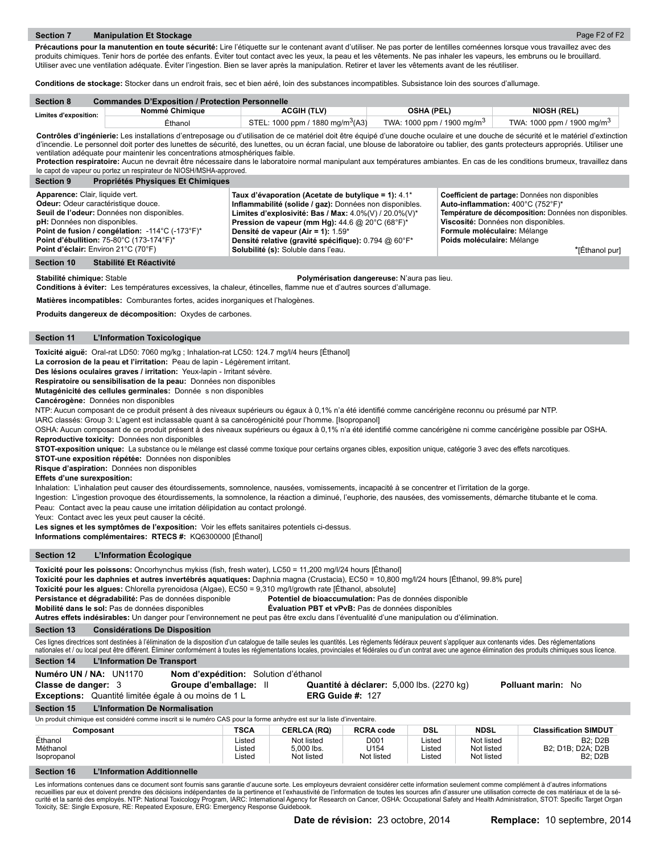Page F2 of F2

Précautions pour la manutention en toute sécurité: Lire l'étiquette sur le contenant avant d'utiliser. Ne pas porter de lentilles cornéennes lorsque vous travaillez avec des produits chimiques. Tenir hors de portée des enfants. Éviter tout contact avec les yeux, la peau et les vêtements. Ne pas inhaler les vapeurs, les embruns ou le brouillard. Utiliser avec une ventilation adéquate. Éviter l'ingestion. Bien se laver après la manipulation. Retirer et laver les vêtements avant de les réutiliser.

**Conditions de stockage:** Stocker dans un endroit frais, sec et bien aéré, loin des substances incompatibles. Subsistance loin des sources d'allumage.

| <b>Section 8</b>      | <b>Commandes D'Exposition / Protection Personnelle</b> |                                              |                                        |                                        |  |  |  |
|-----------------------|--------------------------------------------------------|----------------------------------------------|----------------------------------------|----------------------------------------|--|--|--|
| Limites d'exposition: | Nommé Chimiaue                                         | <b>ACGIH (TLV)</b>                           | <b>OSHA (PEL)</b>                      | <b>NIOSH (REL)</b>                     |  |  |  |
|                       | Éthanol                                                | STEL: 1000 ppm / 1880 mg/m <sup>3</sup> (A3) | TWA: 1000 ppm / 1900 mg/m <sup>3</sup> | TWA: 1000 ppm / 1900 mg/m <sup>3</sup> |  |  |  |

Contrôles d'ingénierie: Les installations d'entreposage ou d'utilisation de ce matériel doit être équipé d'une douche oculaire et une douche de sécurité et le matériel d'extinction d'incendie. Le personnel doit porter des lunettes de sécurité, des lunettes, ou un écran facial, une blouse de laboratoire ou tablier, des gants protecteurs appropriés. Utiliser une ventilation adéquate pour maintenir les concentrations atmosphériques faible.

Protection respiratoire: Aucun ne devrait être nécessaire dans le laboratoire normal manipulant aux températures ambiantes. En cas de les conditions brumeux, travaillez dans le capot de vapeur ou portez un respirateur de NIOSH/MSHA-approved.

| <b>Section 9</b><br>Propriétés Physiques Et Chimiques                                                                                                                                                                                                                                                           |                                                                                                                                                                                                                                                                                                                                                                                                   |                                                                                                                                                                                                                                                                       |
|-----------------------------------------------------------------------------------------------------------------------------------------------------------------------------------------------------------------------------------------------------------------------------------------------------------------|---------------------------------------------------------------------------------------------------------------------------------------------------------------------------------------------------------------------------------------------------------------------------------------------------------------------------------------------------------------------------------------------------|-----------------------------------------------------------------------------------------------------------------------------------------------------------------------------------------------------------------------------------------------------------------------|
| Apparence: Clair, liquide vert.<br><b>Odeur:</b> Odeur caractéristique douce.<br>Seuil de l'odeur: Données non disponibles.<br>pH: Données non disponibles.<br><b>Point de fusion / congélation:</b> -114°C (-173°F)*<br><b>Point d'ébullition: 75-80°C (173-174°F)*</b><br>Point d'éclair: Environ 21°C (70°F) | Taux d'évaporation (Acetate de butylique = 1): 4.1*<br>Inflammabilité (solide / gaz): Données non disponibles.<br>Limites d'explosivité: Bas / Max: $4.0\%$ (V) / 20.0% (V)*<br><b>Pression de vapeur (mm Hg):</b> 44.6 @ 20 $^{\circ}$ C (68 $^{\circ}$ F)*<br>Densité de vapeur (Air = 1): 1.59*<br>Densité relative (gravité spécifique): 0.794 @ 60°F*<br>Solubilité (s): Soluble dans l'eau. | Coefficient de partage: Données non disponibles<br>Auto-inflammation: 400°C (752°F)*<br>Température de décomposition: Données non disponibles.<br>Viscosité: Données non disponibles.<br>Formule moléculaire: Mélange<br>Poids moléculaire: Mélange<br>*IÉthanol purl |
| Stabilité Et Réactivité<br><b>Section 10</b>                                                                                                                                                                                                                                                                    |                                                                                                                                                                                                                                                                                                                                                                                                   |                                                                                                                                                                                                                                                                       |

**Stabilité chimique:** Stable **Polymérisation dangereuse:** N'aura pas lieu.

Conditions à éviter: Les températures excessives, la chaleur, étincelles, flamme nue et d'autres sources d'allumage.

**Matières incompatibles:** Comburantes fortes, acides inorganiques et l'halogènes.

**Produits dangereux de décomposition:** Oxydes de carbones.

#### **Section 11 L'Information Toxicologique**

**Toxicité aiguë:** Oral-rat LD50: 7060 mg/kg ; Inhalation-rat LC50: 124.7 mg/l/4 heurs [Éthanol]

**La corrosion de la peau et l'irritation:** Peau de lapin - Légèrement irritant.

**Des lésions oculaires graves / irritation:** Yeux-lapin - Irritant sévère.

**Respiratoire ou sensibilisation de la peau:** Données non disponibles

**Mutagénicité des cellules germinales:** Donnée s non disponibles

**Cancérogène:** Données non disponibles

NTP: Aucun composant de ce produit présent à des niveaux supérieurs ou égaux à 0.1% n'a été identifié comme cancérigène reconnu ou présumé par NTP.

IARC classés: Group 3: L'agent est inclassable quant à sa cancérogénicité pour l'homme. [Isopropanol]

OSHA: Aucun composant de ce produit présent à des niveaux supérieurs ou égaux à 0,1% n'a été identifié comme cancérigène ni comme cancérigène possible par OSHA. **Reproductive toxicity:** Données non disponibles

**STOT-exposition unique:** La substance ou le mélange est classé comme toxique pour certains organes cibles, exposition unique, catégorie 3 avec des effets narcotiques.

**STOT-une exposition répétée:** Données non disponibles

**Risque d'aspiration:** Données non disponibles

### **Effets d'une surexposition:**

Inhalation: L'inhalation peut causer des étourdissements, somnolence, nausées, vomissements, incapacité à se concentrer et l'irritation de la gorge.

Ingestion: L'ingestion provoque des étourdissements, la somnolence, la réaction a diminué, l'euphorie, des nausées, des vomissements, démarche titubante et le coma. Peau: Contact avec la peau cause une irritation délipidation au contact prolongé.

Yeux: Contact avec les yeux peut causer la cécité.

**Les signes et les symptômes de l'exposition:** Voir les effets sanitaires potentiels ci-dessus.

**Informations complémentaires: RTECS #:** KQ6300000 [Éthanol]

#### **Section 12 L'Information Écologique**

**Section 13 Considérations De Disposition** Ces lignes directrices sont destinées à l'élimination de la disposition d'un catalogue de taille seules les quantités. Les règlements fédéraux peuvent s'appliquer aux contenants vides. Des réglementations nationales et / ou local peut être différent. Éliminer conformément à toutes les réglementations locales, provinciales et fédérales ou d'un contrat avec une agence élimination des produits chimiques sous licence. Toxicité pour les poissons: Oncorhynchus mykiss (fish, fresh water), LC50 = 11,200 mg/l/24 hours [Éthanol] **Toxicité pour les daphnies et autres invertébrés aquatiques:** Daphnia magna (Crustacia), EC50 = 10,800 mg/l/24 hours [Éthanol, 99.8% pure] **Toxicité pour les algues:** Chlorella pyrenoidosa (Algae), EC50 = 9,310 mg/l/growth rate [Éthanol, absolute] **Persistance et dégradabilité:** Pas de données disponible **Potentiel de bioaccumulation:** Pas de données disponible **Mobilité dans le sol:** Pas de données disponibles **Évaluation PBT et vPvB:** Pas de données disponibles **Autres effets indésirables:** Un danger pour l'environnement ne peut pas être exclu dans l'éventualité d'une manipulation ou d'élimination.

#### **Section 14 L'Information De Transport**

**Section 16 L'Information Additionnelle Section 15 L'Information De Normalisation** Un produit chimique est considéré comme inscrit si le numéro CAS pour la forme anhydre est sur la liste d'inventaire. **Composant COMPOSANT CERLCA (RQ)** RCRA code DSL NDSL Classification SIMDUT Éthanol Listed Not listed D001 Listed Not listed B2; D2B Méthanol Listed 5,000 lbs. U154 Listed Not listed B2; D1B; D2A; D2B Isopropanol Listed Not listed Not listed Listed Not listed B2; D2B **Numéro UN / NA:** UN1170 **Nom d'expédition:** Solution d'éthanol **Classe de danger:** 3 **Groupe d'emballage:** II **Quantité à déclarer:** 5,000 lbs. (2270 kg) **Polluant marin:** No **Exceptions:** Quantité limitée égale à ou moins de 1 L **ERG Guide #:** 127

Les informations contenues dans ce document sont fournis sans garantie d'aucune sorte. Les employeurs devraient considérer cette information seulement comme complément à d'autres informations<br>recueillies par eux et doivent Toxicity, SE: Single Exposure, RE: Repeated Exposure, ERG: Emergency Response Guidebook.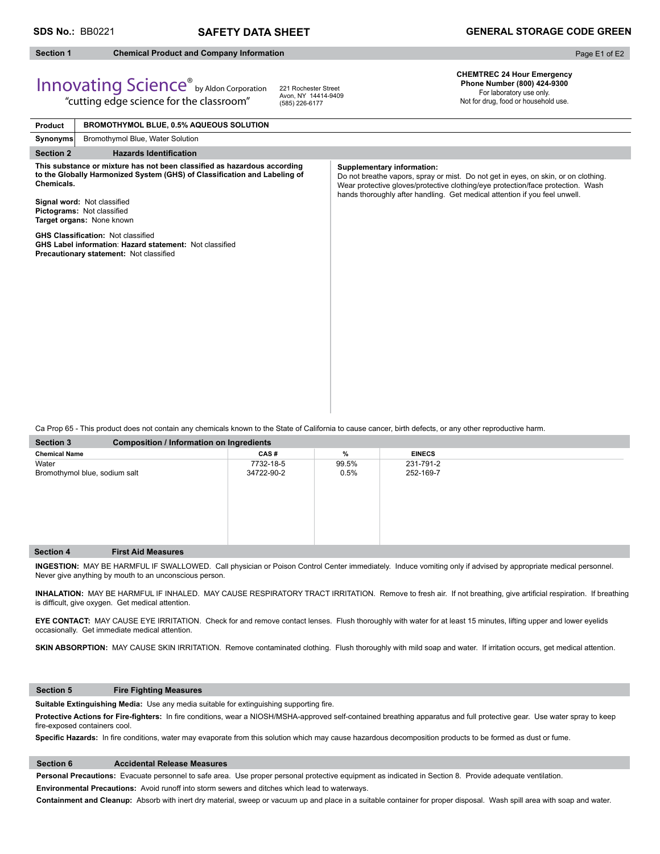## **Section 1 Chemical Product and Company Information**

Page E1 of E2

## Innovating Science® by Aldon Corporation "cutting edge science for the classroom"

221 Rochester Street Avon, NY 14414-9409 (585) 226-6177

**CHEMTREC 24 Hour Emergency Phone Number (800) 424-9300** 

For laboratory use only. Not for drug, food or household use.

| Product          | <b>BROMOTHYMOL BLUE, 0.5% AQUEOUS SOLUTION</b>                                                                                                                                                                                                  |                                                                                                                                                                                                                                                                                   |
|------------------|-------------------------------------------------------------------------------------------------------------------------------------------------------------------------------------------------------------------------------------------------|-----------------------------------------------------------------------------------------------------------------------------------------------------------------------------------------------------------------------------------------------------------------------------------|
| Synonyms         | Bromothymol Blue, Water Solution                                                                                                                                                                                                                |                                                                                                                                                                                                                                                                                   |
| <b>Section 2</b> | <b>Hazards Identification</b>                                                                                                                                                                                                                   |                                                                                                                                                                                                                                                                                   |
| Chemicals.       | This substance or mixture has not been classified as hazardous according<br>to the Globally Harmonized System (GHS) of Classification and Labeling of<br>Signal word: Not classified<br>Pictograms: Not classified<br>Target organs: None known | Supplementary information:<br>Do not breathe vapors, spray or mist. Do not get in eyes, on skin, or on clothing.<br>Wear protective gloves/protective clothing/eye protection/face protection. Wash<br>hands thoroughly after handling. Get medical attention if you feel unwell. |
|                  | <b>GHS Classification: Not classified</b><br><b>GHS Label information: Hazard statement: Not classified</b><br>Precautionary statement: Not classified                                                                                          |                                                                                                                                                                                                                                                                                   |

Ca Prop 65 - This product does not contain any chemicals known to the State of California to cause cancer, birth defects, or any other reproductive harm.

| <b>Section 3</b>              | <b>Composition / Information on Ingredients</b> |            |       |               |  |  |
|-------------------------------|-------------------------------------------------|------------|-------|---------------|--|--|
| <b>Chemical Name</b>          |                                                 | CAS#       | %     | <b>EINECS</b> |  |  |
| Water                         |                                                 | 7732-18-5  | 99.5% | 231-791-2     |  |  |
| Bromothymol blue, sodium salt |                                                 | 34722-90-2 | 0.5%  | 252-169-7     |  |  |
|                               |                                                 |            |       |               |  |  |
|                               |                                                 |            |       |               |  |  |
|                               |                                                 |            |       |               |  |  |
|                               |                                                 |            |       |               |  |  |
|                               |                                                 |            |       |               |  |  |
|                               |                                                 |            |       |               |  |  |
|                               |                                                 |            |       |               |  |  |
| <b>Section 4</b>              | <b>First Aid Measures</b>                       |            |       |               |  |  |

**INGESTION:** MAY BE HARMFUL IF SWALLOWED. Call physician or Poison Control Center immediately. Induce vomiting only if advised by appropriate medical personnel. Never give anything by mouth to an unconscious person.

INHALATION: MAY BE HARMFUL IF INHALED. MAY CAUSE RESPIRATORY TRACT IRRITATION. Remove to fresh air. If not breathing, give artificial respiration. If breathing is difficult, give oxygen. Get medical attention.

**EYE CONTACT:** MAY CAUSE EYE IRRITATION. Check for and remove contact lenses. Flush thoroughly with water for at least 15 minutes, lifting upper and lower eyelids occasionally. Get immediate medical attention.

SKIN ABSORPTION: MAY CAUSE SKIN IRRITATION. Remove contaminated clothing. Flush thoroughly with mild soap and water. If irritation occurs, get medical attention.

#### **Section 5 Fire Fighting Measures**

Suitable Extinguishing Media: Use any media suitable for extinguishing supporting fire.

Protective Actions for Fire-fighters: In fire conditions, wear a NIOSH/MSHA-approved self-contained breathing apparatus and full protective gear. Use water spray to keep fire-exposed containers cool.

Specific Hazards: In fire conditions, water may evaporate from this solution which may cause hazardous decomposition products to be formed as dust or fume.

#### **Section 6 Accidental Release Measures**

**Personal Precautions:** Evacuate personnel to safe area. Use proper personal protective equipment as indicated in Section 8. Provide adequate ventilation. **Environmental Precautions:** Avoid runoff into storm sewers and ditches which lead to waterways.

**Containment and Cleanup:** Absorb with inert dry material, sweep or vacuum up and place in a suitable container for proper disposal. Wash spill area with soap and water.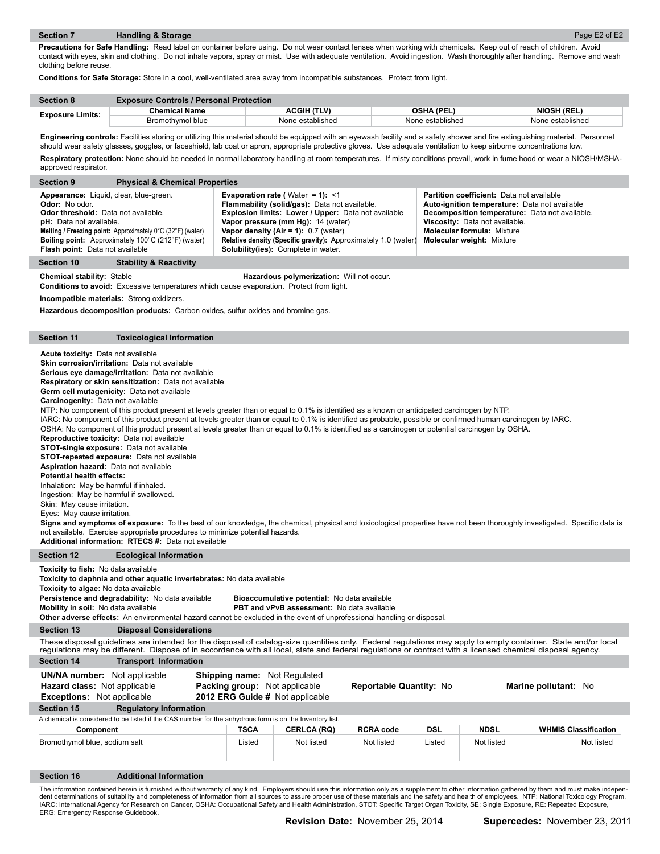**Precautions for Safe Handling:** Read label on container before using. Do not wear contact lenses when working with chemicals. Keep out of reach of children. Avoid contact with eyes, skin and clothing. Do not inhale vapors, spray or mist. Use with adequate ventilation. Avoid ingestion. Wash thoroughly after handling. Remove and wash clothing before reuse.

**Conditions for Safe Storage:** Store in a cool, well-ventilated area away from incompatible substances. Protect from light.

| <b>Section 8</b>        | <b>Exposure Controls / Personal Protection</b> |                  |                  |                    |  |
|-------------------------|------------------------------------------------|------------------|------------------|--------------------|--|
|                         | Chemical Name                                  | ACGIH (TLV)      | OSHA (PEL)       | <b>NIOSH (REL)</b> |  |
| <b>Exposure Limits:</b> | Bromothymol blue                               | None established | None established | None established   |  |

Engineering controls: Facilities storing or utilizing this material should be equipped with an eyewash facility and a safety shower and fire extinguishing material. Personnel should wear safety glasses, goggles, or faceshield, lab coat or apron, appropriate protective gloves. Use adequate ventilation to keep airborne concentrations low. Respiratory protection: None should be needed in normal laboratory handling at room temperatures. If misty conditions prevail, work in fume hood or wear a NIOSH/MSHA-

| approved respirator.                                                                                                                                                                                                                                                                                                                                                                                                                                                                                                                                                                                                                                                                                                                                                                                                                                                                                                                                                                                                                                                                                                                                                                                                                                                                                                                                                                                          |                                                                                                                                                                                                                                 |                                                                                                         |                                                                                                                                                                                                                                                                                                                                                 |                         |        |                                                                                                                                                      |                                                                                                 |
|---------------------------------------------------------------------------------------------------------------------------------------------------------------------------------------------------------------------------------------------------------------------------------------------------------------------------------------------------------------------------------------------------------------------------------------------------------------------------------------------------------------------------------------------------------------------------------------------------------------------------------------------------------------------------------------------------------------------------------------------------------------------------------------------------------------------------------------------------------------------------------------------------------------------------------------------------------------------------------------------------------------------------------------------------------------------------------------------------------------------------------------------------------------------------------------------------------------------------------------------------------------------------------------------------------------------------------------------------------------------------------------------------------------|---------------------------------------------------------------------------------------------------------------------------------------------------------------------------------------------------------------------------------|---------------------------------------------------------------------------------------------------------|-------------------------------------------------------------------------------------------------------------------------------------------------------------------------------------------------------------------------------------------------------------------------------------------------------------------------------------------------|-------------------------|--------|------------------------------------------------------------------------------------------------------------------------------------------------------|-------------------------------------------------------------------------------------------------|
| <b>Section 9</b>                                                                                                                                                                                                                                                                                                                                                                                                                                                                                                                                                                                                                                                                                                                                                                                                                                                                                                                                                                                                                                                                                                                                                                                                                                                                                                                                                                                              | <b>Physical &amp; Chemical Properties</b>                                                                                                                                                                                       |                                                                                                         |                                                                                                                                                                                                                                                                                                                                                 |                         |        |                                                                                                                                                      |                                                                                                 |
| Appearance: Liquid, clear, blue-green.<br>Odor: No odor.<br>Odor threshold: Data not available.<br><b>pH:</b> Data not available.<br>Flash point: Data not available                                                                                                                                                                                                                                                                                                                                                                                                                                                                                                                                                                                                                                                                                                                                                                                                                                                                                                                                                                                                                                                                                                                                                                                                                                          | Melting / Freezing point: Approximately 0°C (32°F) (water)<br>Boiling point: Approximately 100°C (212°F) (water)                                                                                                                |                                                                                                         | Evaporation rate (Water = 1): <1<br>Flammability (solid/gas): Data not available.<br>Explosion limits: Lower / Upper: Data not available<br>Vapor pressure (mm Hg): 14 (water)<br>Vapor density (Air = 1): $0.7$ (water)<br><b>Relative density (Specific gravity):</b> Approximately 1.0 (water)<br><b>Solubility(ies):</b> Complete in water. |                         |        | Partition coefficient: Data not available<br>Viscosity: Data not available.<br><b>Molecular formula: Mixture</b><br><b>Molecular weight: Mixture</b> | Auto-ignition temperature: Data not available<br>Decomposition temperature: Data not available. |
| Section 10                                                                                                                                                                                                                                                                                                                                                                                                                                                                                                                                                                                                                                                                                                                                                                                                                                                                                                                                                                                                                                                                                                                                                                                                                                                                                                                                                                                                    | <b>Stability &amp; Reactivity</b>                                                                                                                                                                                               |                                                                                                         |                                                                                                                                                                                                                                                                                                                                                 |                         |        |                                                                                                                                                      |                                                                                                 |
| <b>Chemical stability: Stable</b>                                                                                                                                                                                                                                                                                                                                                                                                                                                                                                                                                                                                                                                                                                                                                                                                                                                                                                                                                                                                                                                                                                                                                                                                                                                                                                                                                                             | <b>Conditions to avoid:</b> Excessive temperatures which cause evaporation. Protect from light.<br>Incompatible materials: Strong oxidizers.<br>Hazardous decomposition products: Carbon oxides, sulfur oxides and bromine gas. |                                                                                                         | Hazardous polymerization: Will not occur.                                                                                                                                                                                                                                                                                                       |                         |        |                                                                                                                                                      |                                                                                                 |
|                                                                                                                                                                                                                                                                                                                                                                                                                                                                                                                                                                                                                                                                                                                                                                                                                                                                                                                                                                                                                                                                                                                                                                                                                                                                                                                                                                                                               |                                                                                                                                                                                                                                 |                                                                                                         |                                                                                                                                                                                                                                                                                                                                                 |                         |        |                                                                                                                                                      |                                                                                                 |
| <b>Section 11</b>                                                                                                                                                                                                                                                                                                                                                                                                                                                                                                                                                                                                                                                                                                                                                                                                                                                                                                                                                                                                                                                                                                                                                                                                                                                                                                                                                                                             | <b>Toxicological Information</b>                                                                                                                                                                                                |                                                                                                         |                                                                                                                                                                                                                                                                                                                                                 |                         |        |                                                                                                                                                      |                                                                                                 |
| Acute toxicity: Data not available<br>Skin corrosion/irritation: Data not available<br>Serious eye damage/irritation: Data not available<br>Respiratory or skin sensitization: Data not available<br>Germ cell mutagenicity: Data not available<br>Carcinogenity: Data not available<br>NTP: No component of this product present at levels greater than or equal to 0.1% is identified as a known or anticipated carcinogen by NTP.<br>IARC: No component of this product present at levels greater than or equal to 0.1% is identified as probable, possible or confirmed human carcinogen by IARC.<br>OSHA: No component of this product present at levels greater than or equal to 0.1% is identified as a carcinogen or potential carcinogen by OSHA.<br>Reproductive toxicity: Data not available<br><b>STOT-single exposure:</b> Data not available<br><b>STOT-repeated exposure:</b> Data not available<br>Aspiration hazard: Data not available<br><b>Potential health effects:</b><br>Inhalation: May be harmful if inhaled.<br>Ingestion: May be harmful if swallowed.<br>Skin: May cause irritation.<br>Eyes: May cause irritation.<br>Signs and symptoms of exposure: To the best of our knowledge, the chemical, physical and toxicological properties have not been thoroughly investigated. Specific data is<br>not available. Exercise appropriate procedures to minimize potential hazards. |                                                                                                                                                                                                                                 |                                                                                                         |                                                                                                                                                                                                                                                                                                                                                 |                         |        |                                                                                                                                                      |                                                                                                 |
| <b>Section 12</b>                                                                                                                                                                                                                                                                                                                                                                                                                                                                                                                                                                                                                                                                                                                                                                                                                                                                                                                                                                                                                                                                                                                                                                                                                                                                                                                                                                                             | <b>Ecological Information</b>                                                                                                                                                                                                   |                                                                                                         |                                                                                                                                                                                                                                                                                                                                                 |                         |        |                                                                                                                                                      |                                                                                                 |
| Toxicity to fish: No data available<br>Toxicity to daphnia and other aquatic invertebrates: No data available<br>Toxicity to algae: No data available<br>Persistence and degradability: No data available<br>Bioaccumulative potential: No data available<br>PBT and vPvB assessment: No data available<br>Mobility in soil: No data available<br>Other adverse effects: An environmental hazard cannot be excluded in the event of unprofessional handling or disposal.                                                                                                                                                                                                                                                                                                                                                                                                                                                                                                                                                                                                                                                                                                                                                                                                                                                                                                                                      |                                                                                                                                                                                                                                 |                                                                                                         |                                                                                                                                                                                                                                                                                                                                                 |                         |        |                                                                                                                                                      |                                                                                                 |
| <b>Section 13</b>                                                                                                                                                                                                                                                                                                                                                                                                                                                                                                                                                                                                                                                                                                                                                                                                                                                                                                                                                                                                                                                                                                                                                                                                                                                                                                                                                                                             | <b>Disposal Considerations</b>                                                                                                                                                                                                  |                                                                                                         |                                                                                                                                                                                                                                                                                                                                                 |                         |        |                                                                                                                                                      |                                                                                                 |
| These disposal guidelines are intended for the disposal of catalog-size quantities only. Federal regulations may apply to empty container. State and/or local<br>regulations may be different. Dispose of in accordance with all local, state and federal regulations or contract with a licensed chemical disposal agency.<br><b>Section 14</b><br><b>Transport Information</b>                                                                                                                                                                                                                                                                                                                                                                                                                                                                                                                                                                                                                                                                                                                                                                                                                                                                                                                                                                                                                              |                                                                                                                                                                                                                                 |                                                                                                         |                                                                                                                                                                                                                                                                                                                                                 |                         |        |                                                                                                                                                      |                                                                                                 |
|                                                                                                                                                                                                                                                                                                                                                                                                                                                                                                                                                                                                                                                                                                                                                                                                                                                                                                                                                                                                                                                                                                                                                                                                                                                                                                                                                                                                               |                                                                                                                                                                                                                                 |                                                                                                         |                                                                                                                                                                                                                                                                                                                                                 |                         |        |                                                                                                                                                      |                                                                                                 |
| <b>UN/NA number:</b> Not applicable<br>Hazard class: Not applicable<br><b>Exceptions:</b> Not applicable                                                                                                                                                                                                                                                                                                                                                                                                                                                                                                                                                                                                                                                                                                                                                                                                                                                                                                                                                                                                                                                                                                                                                                                                                                                                                                      |                                                                                                                                                                                                                                 | <b>Shipping name:</b> Not Regulated<br>Packing group: Not applicable<br>2012 ERG Guide # Not applicable |                                                                                                                                                                                                                                                                                                                                                 | Reportable Quantity: No |        |                                                                                                                                                      | Marine pollutant: No                                                                            |
| <b>Section 15</b><br><b>Regulatory Information</b>                                                                                                                                                                                                                                                                                                                                                                                                                                                                                                                                                                                                                                                                                                                                                                                                                                                                                                                                                                                                                                                                                                                                                                                                                                                                                                                                                            |                                                                                                                                                                                                                                 |                                                                                                         |                                                                                                                                                                                                                                                                                                                                                 |                         |        |                                                                                                                                                      |                                                                                                 |
|                                                                                                                                                                                                                                                                                                                                                                                                                                                                                                                                                                                                                                                                                                                                                                                                                                                                                                                                                                                                                                                                                                                                                                                                                                                                                                                                                                                                               | A chemical is considered to be listed if the CAS number for the anhydrous form is on the Inventory list.                                                                                                                        |                                                                                                         |                                                                                                                                                                                                                                                                                                                                                 |                         |        |                                                                                                                                                      |                                                                                                 |
| Component                                                                                                                                                                                                                                                                                                                                                                                                                                                                                                                                                                                                                                                                                                                                                                                                                                                                                                                                                                                                                                                                                                                                                                                                                                                                                                                                                                                                     |                                                                                                                                                                                                                                 | <b>TSCA</b>                                                                                             | <b>CERLCA (RQ)</b>                                                                                                                                                                                                                                                                                                                              | <b>RCRA code</b>        | DSL    | <b>NDSL</b>                                                                                                                                          | <b>WHMIS Classification</b>                                                                     |
| Bromothymol blue, sodium salt                                                                                                                                                                                                                                                                                                                                                                                                                                                                                                                                                                                                                                                                                                                                                                                                                                                                                                                                                                                                                                                                                                                                                                                                                                                                                                                                                                                 |                                                                                                                                                                                                                                 | Listed                                                                                                  | Not listed                                                                                                                                                                                                                                                                                                                                      | Not listed              | Listed | Not listed                                                                                                                                           | Not listed                                                                                      |
| <b>Section 16</b>                                                                                                                                                                                                                                                                                                                                                                                                                                                                                                                                                                                                                                                                                                                                                                                                                                                                                                                                                                                                                                                                                                                                                                                                                                                                                                                                                                                             | <b>Additional Information</b>                                                                                                                                                                                                   |                                                                                                         |                                                                                                                                                                                                                                                                                                                                                 |                         |        |                                                                                                                                                      |                                                                                                 |

The information contained herein is furnished without warranty of any kind. Employers should use this information only as a supplement to other information gathered by them and must make indepen-<br>dent determinations of sui IARC: International Agency for Research on Cancer, OSHA: Occupational Safety and Health Administration, STOT: Specific Target Organ Toxicity, SE: Single Exposure, RE: Repeated Exposure,<br>ERG: Emergency Response Guidebook.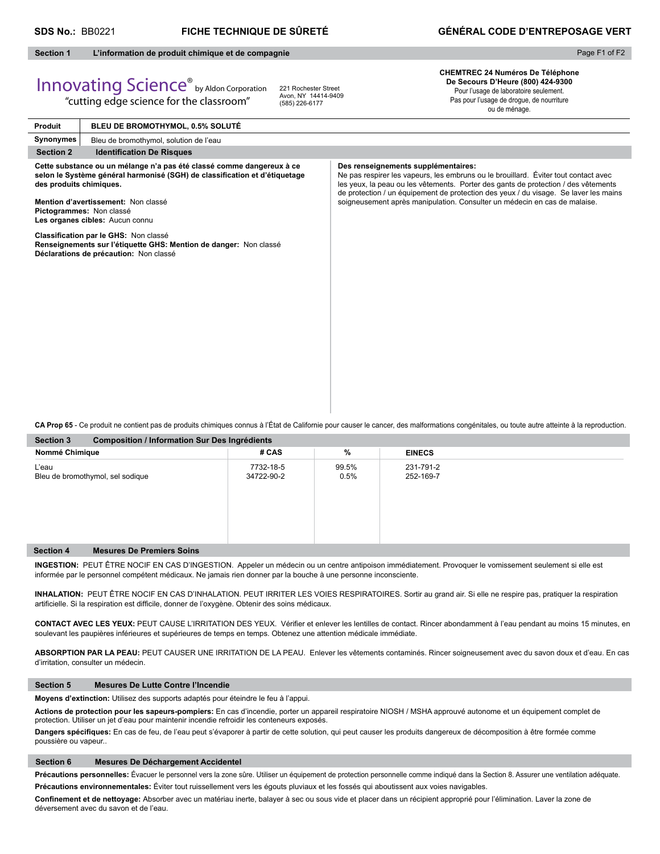## **SDS No.:** BB0221 **FICHE TECHNIQUE DE SÛRETÉ GÉNÉRAL CODE D'ENTREPOSAGE VERT**

#### **Section 1 L'information de produit chimique et de compagnie**

## Page F1 of F2

## Innovating Science® by Aldon Corporation "cutting edge science for the classroom"

221 Rochester Street Avon, NY 14414-9409 (585) 226-6177

**CHEMTREC 24 Numéros De Téléphone De Secours D'Heure (800) 424-9300** Pour l'usage de laboratoire seulement. Pas pour l'usage de drogue, de nourriture ou de ménage.

**Produit Synonymes Section 2** Identification De Risques **Cette substance ou un mélange n'a pas été classé comme dangereux à ce**  selon le Système général harmonisé (SGH) de classification et d'étiquetage **des produits chimiques. Mention d'avertissement:** Non classé **Pictogrammes:** Non classé **Les organes cibles:** Aucun connu **Classifi cation par le GHS:** Non classé **Renseignements sur l'étiquette GHS: Mention de danger:** Non classé **Déclarations de précaution:** Non classé **Des renseignements supplémentaires:** Ne pas respirer les vapeurs, les embruns ou le brouillard. Éviter tout contact avec les yeux, la peau ou les vêtements. Porter des gants de protection / des vêtements de protection / un équipement de protection des yeux / du visage. Se laver les mains soigneusement après manipulation. Consulter un médecin en cas de malaise. **BLEU DE BROMOTHYMOL, 0.5% SOLUTÉ** Bleu de bromothymol, solution de l'eau

**Section 3 Composition / Information Sur Des Ingrédients CA Prop 65** - Ce produit ne contient pas de produits chimiques connus à l'État de Californie pour causer le cancer, des malformations congénitales, ou toute autre atteinte à la reproduction.

| Section 3<br>Composition / Information Sur Des Ingredients |                                  |                         |               |                        |  |  |
|------------------------------------------------------------|----------------------------------|-------------------------|---------------|------------------------|--|--|
| Nommé Chimique                                             |                                  | # CAS                   | %             | <b>EINECS</b>          |  |  |
| L'eau                                                      | Bleu de bromothymol, sel sodique | 7732-18-5<br>34722-90-2 | 99.5%<br>0.5% | 231-791-2<br>252-169-7 |  |  |
| <b>Section 4</b>                                           | <b>Mesures De Premiers Soins</b> |                         |               |                        |  |  |

**INGESTION:** PEUT ÊTRE NOCIF EN CAS D'INGESTION. Appeler un médecin ou un centre antipoison immédiatement. Provoquer le vomissement seulement si elle est informée par le personnel compétent médicaux. Ne jamais rien donner par la bouche à une personne inconsciente.

**INHALATION:** PEUT ÊTRE NOCIF EN CAS D'INHALATION. PEUT IRRITER LES VOIES RESPIRATOIRES. Sortir au grand air. Si elle ne respire pas, pratiquer la respiration artificielle. Si la respiration est difficile, donner de l'oxygène. Obtenir des soins médicaux.

CONTACT AVEC LES YEUX: PEUT CAUSE L'IRRITATION DES YEUX. Vérifier et enlever les lentilles de contact. Rincer abondamment à l'eau pendant au moins 15 minutes, en soulevant les paupières inférieures et supérieures de temps en temps. Obtenez une attention médicale immédiate.

**ABSORPTION PAR LA PEAU:** PEUT CAUSER UNE IRRITATION DE LA PEAU. Enlever les vêtements contaminés. Rincer soigneusement avec du savon doux et d'eau. En cas d'irritation, consulter un médecin.

### **Section 5 Mesures De Lutte Contre l'Incendie**

**Moyens d'extinction:** Utilisez des supports adaptés pour éteindre le feu à l'appui.

**Actions de protection pour les sapeurs-pompiers:** En cas d'incendie, porter un appareil respiratoire NIOSH / MSHA approuvé autonome et un équipement complet de protection. Utiliser un jet d'eau pour maintenir incendie refroidir les conteneurs exposés.

Dangers spécifiques: En cas de feu, de l'eau peut s'évaporer à partir de cette solution, qui peut causer les produits dangereux de décomposition à être formée comme poussière ou vapeur..

### **Section 6 Mesures De Déchargement Accidentel**

Précautions personnelles: Évacuer le personnel vers la zone sûre. Utiliser un équipement de protection personnelle comme indiqué dans la Section 8. Assurer une ventilation adéquate. **Précautions environnementales:** Éviter tout ruissellement vers les égouts pluviaux et les fossés qui aboutissent aux voies navigables.

Confinement et de nettoyage: Absorber avec un matériau inerte, balayer à sec ou sous vide et placer dans un récipient approprié pour l'élimination. Laver la zone de déversement avec du savon et de l'eau.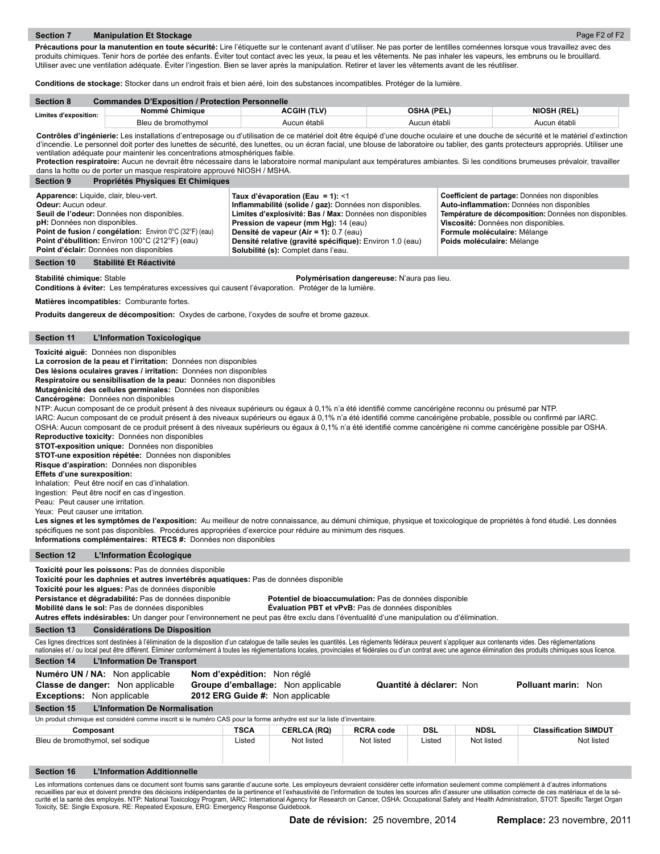Précautions pour la manutention en toute sécurité: Lire l'étiquette sur le contenant avant d'utiliser. Ne pas porter de lentilles cornéennes lorsque vous travaillez avec des produits chimiques. Tenir hors de portée des enfants. Éviter tout contact avec les yeux, la peau et les vêtements. Ne pas inhaler les vapeurs, les embruns ou le brouillard. Utiliser avec une ventilation adéquate. Éviter l'ingestion. Bien se laver après la manipulation. Retirer et laver les vêtements avant de les réutiliser.

**Conditions de stockage:** Stocker dans un endroit frais et bien aéré, loin des substances incompatibles. Protéger de la lumière.

| <b>Section 8</b>      | <b>Commandes D'Exposition / Protection Personnelle</b> |                    |              |                    |  |  |  |
|-----------------------|--------------------------------------------------------|--------------------|--------------|--------------------|--|--|--|
| Limites d'exposition: | Nommé Chimique                                         | <b>ACGIH (TLV)</b> | OSHA (PEL)   | <b>NIOSH (REL)</b> |  |  |  |
|                       | Bleu de bromothymol                                    | Aucun établi       | Aucun établi | Aucun établi       |  |  |  |

Contrôles d'ingénierie: Les installations d'entreposage ou d'utilisation de ce matériel doit être équipé d'une douche oculaire et une douche de sécurité et le matériel d'extinction d'incendie. Le personnel doit porter des lunettes de sécurité, des lunettes, ou un écran facial, une blouse de laboratoire ou tablier, des gants protecteurs appropriés. Utiliser une ventilation adéquate pour maintenir les concentrations atmosphériques faible.

Protection respiratoire: Aucun ne devrait être nécessaire dans le laboratoire normal manipulant aux températures ambiantes. Si les conditions brumeuses prévaloir, travailler dans la hotte ou de porter un masque respiratoire approuvé NIOSH / MSHA.

| <b>Section 9</b><br>Propriétés Physiques Et Chimiques                                                                                                                                                                                                                                                      |                                                                                                                                                                                                                                                                                                                                               |                                                                                                                                                                                                                                                              |
|------------------------------------------------------------------------------------------------------------------------------------------------------------------------------------------------------------------------------------------------------------------------------------------------------------|-----------------------------------------------------------------------------------------------------------------------------------------------------------------------------------------------------------------------------------------------------------------------------------------------------------------------------------------------|--------------------------------------------------------------------------------------------------------------------------------------------------------------------------------------------------------------------------------------------------------------|
| Apparence: Liquide, clair, bleu-vert.<br><b>Odeur:</b> Aucun odeur.<br>Seuil de l'odeur: Données non disponibles.<br>pH: Données non disponibles.<br>Point de fusion / congélation: Environ 0°C (32°F) (eau)<br>Point d'ébullition: Environ 100°C (212°F) (eau)<br>Point d'éclair: Données non disponibles | Taux d'évaporation (Eau = 1): <1<br>Inflammabilité (solide / gaz): Données non disponibles.<br>Limites d'explosivité: Bas / Max: Données non disponibles<br>Pression de vapeur (mm Hg): 14 (eau)<br>Densité de vapeur (Air = 1): 0.7 (eau)<br>Densité relative (gravité spécifique): Environ 1.0 (eau)<br>Solubilité (s): Complet dans l'eau. | Coefficient de partage: Données non disponibles<br>Auto-inflammation: Données non disponibles<br>Température de décomposition: Données non disponibles.<br>Viscosité: Données non disponibles.<br>Formule moléculaire: Mélange<br>Poids moléculaire: Mélange |
| Stabilité Et Réactivité<br>Section 10                                                                                                                                                                                                                                                                      |                                                                                                                                                                                                                                                                                                                                               |                                                                                                                                                                                                                                                              |

**Stabilité chimique:** Stable **Polymérisation dangereuse:** N'aura pas lieu.

**Conditions à éviter:** Les températures excessives qui causent l'évaporation. Protéger de la lumière.

**Matières incompatibles:** Comburante fortes.

**Produits dangereux de décomposition:** Oxydes de carbone, l'oxydes de soufre et brome gazeux.

#### **Section 11 L'Information Toxicologique**

**Toxicité aiguë:** Données non disponibles

**La corrosion de la peau et l'irritation:** Données non disponibles

**Des lésions oculaires graves / irritation:** Données non disponibles

**Respiratoire ou sensibilisation de la peau:** Données non disponibles **Mutagénicité des cellules germinales:** Données non disponibles

**Cancérogène:** Données non disponibles

NTP: Aucun composant de ce produit présent à des niveaux supérieurs ou égaux à 0,1% n'a été identifié comme cancérigène reconnu ou présumé par NTP.

IARC: Aucun composant de ce produit présent à des niveaux supérieurs ou égaux à 0,1% n'a été identifié comme cancérigène probable, possible ou confirmé par IARC. OSHA: Aucun composant de ce produit présent à des niveaux supérieurs ou égaux à 0,1% n'a été identifié comme cancérigène ni comme cancérigène possible par OSHA.

**Reproductive toxicity:** Données non disponibles

**STOT-exposition unique:** Données non disponibles

**STOT-une exposition répétée:** Données non disponibles **Risque d'aspiration:** Données non disponibles

**Effets d'une surexposition:** 

Inhalation: Peut être nocif en cas d'inhalation.

Ingestion: Peut être nocif en cas d'ingestion.

Peau: Peut causer une irritation.

Yeux: Peut causer une irritation.

Les signes et les symptômes de l'exposition: Au meilleur de notre connaissance, au démuni chimique, physique et toxicologique de propriétés à fond étudié. Les données spécifiques ne sont pas disponibles. Procédures appropriées d'exercice pour réduire au minimum des risques. **Informations complémentaires: RTECS #:** Données non disponibles

#### **Section 12 L'Information Écologique**

**Toxicité pour les poissons:** Pas de données disponible

**Toxicité pour les daphnies et autres invertébrés aquatiques:** Pas de données disponible

**Toxicité pour les algues:** Pas de données disponible

**Persistance et dégradabilité:** Pas de données disponible **Potentiel de bioaccumulation:** Pas de données disponible

**Mobilité dans le sol:** Pas de données disponibles **Évaluation PBT et vPvB:** Pas de données disponibles

**Autres effets indésirables:** Un danger pour l'environnement ne peut pas être exclu dans l'éventualité d'une manipulation ou d'élimination.

**Section 13 Considérations De Disposition**

Ces lignes directrices sont destinées à l'élimination de la disposition d'un catalogue de taille seules les quantités. Les règlements fédéraux peuvent s'appliquer aux contenants vides. Des réglementations nationales et / ou local peut être différent. Éliminer conformément à toutes les réglementations locales, provinciales et fédérales ou d'un contrat avec une agence élimination des produits chimiques sous licence.

| nationales et / ou local peut ette umerent. Emmiler comomientem a toutes les regiermentations locales, provinciales et leuerales ou u un comitat avec une agence emmilation des produits chimiques sous incence. |                                                                                                                       |                    |                  |                          |             |                              |  |
|------------------------------------------------------------------------------------------------------------------------------------------------------------------------------------------------------------------|-----------------------------------------------------------------------------------------------------------------------|--------------------|------------------|--------------------------|-------------|------------------------------|--|
| <b>L'Information De Transport</b><br>Section 14                                                                                                                                                                  |                                                                                                                       |                    |                  |                          |             |                              |  |
| Numéro UN / NA: Non applicable<br><b>Classe de danger:</b> Non applicable<br><b>Exceptions:</b> Non applicable                                                                                                   | Nom d'expédition: Non réglé<br>Groupe d'emballage: Non applicable<br>2012 ERG Guide #: Non applicable                 |                    |                  | Quantité à déclarer: Non |             | <b>Polluant marin: Non</b>   |  |
| L'Information De Normalisation<br>Section 15                                                                                                                                                                     |                                                                                                                       |                    |                  |                          |             |                              |  |
|                                                                                                                                                                                                                  | Un produit chimique est considéré comme inscrit si le numéro CAS pour la forme anhydre est sur la liste d'inventaire. |                    |                  |                          |             |                              |  |
| Composant                                                                                                                                                                                                        | <b>TSCA</b>                                                                                                           | <b>CERLCA (RQ)</b> | <b>RCRA code</b> | <b>DSL</b>               | <b>NDSL</b> | <b>Classification SIMDUT</b> |  |
| Bleu de bromothymol, sel sodique                                                                                                                                                                                 | Listed                                                                                                                | Not listed         | Not listed       | Listed                   | Not listed  | Not listed                   |  |
| Section 16<br><b>L'Information Additionnelle</b>                                                                                                                                                                 |                                                                                                                       |                    |                  |                          |             |                              |  |
| Les informations contenues dans ce document sont fournis sans garantie d'aucune sorte. Les employeurs devraient considérer cette information seulement comme complément à d'autres informations                  |                                                                                                                       |                    |                  |                          |             |                              |  |

Les informations contenues dans ce document sont fournis sans garantie d'aucune sorte. Les employeurs devraient considérer cette information seulement comme complément à d'autres informations<br>recueillies par eux et doivent curité et la santé des employés. NTP: National Toxicology Program, IARC: International Agency for Research on Cancer, OSHA: Occupational Safety and Health Administration, STOT: Specific Target Organ Toxicity, SE: Single Exposure, RE: Repeated Exposure, ERG: Emergency Response Guidebook.

Page F2 of F2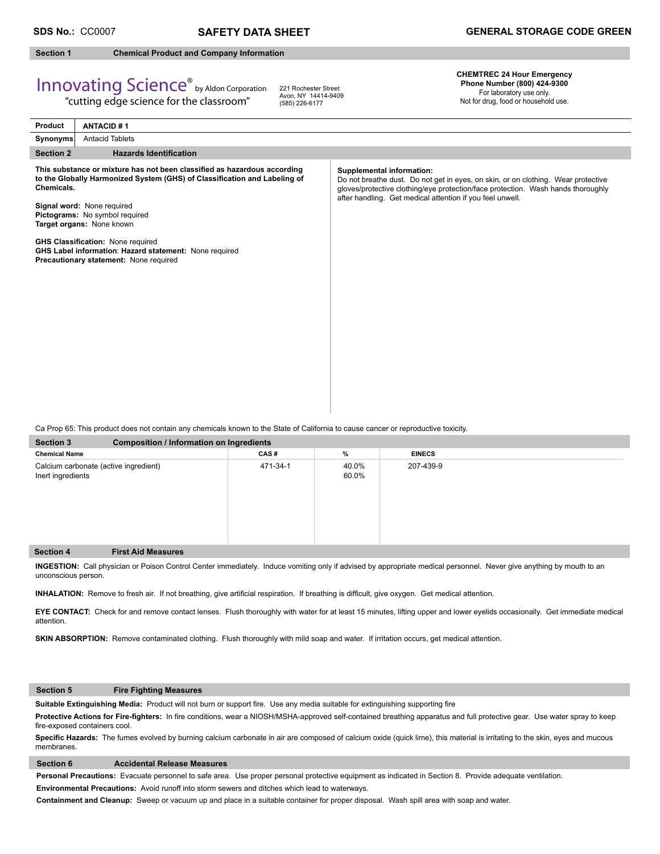#### **Section 1 Chemical Product and Company Information**

## Innovating Science® by Aldon Corporation

"cutting edge science for the classroom"

221 Rochester Street Avon, NY 14414-9409 (585) 226-6177

**CHEMTREC 24 Hour Emergency Phone Number (800) 424-9300**  For laboratory use only.

Not for drug, food or household use.

| <b>ANTACID#1</b><br><b>Product</b>                                                                                                                                                                                                                                                                                                                                                                               |                                                                                                                                                                                                                                                                 |
|------------------------------------------------------------------------------------------------------------------------------------------------------------------------------------------------------------------------------------------------------------------------------------------------------------------------------------------------------------------------------------------------------------------|-----------------------------------------------------------------------------------------------------------------------------------------------------------------------------------------------------------------------------------------------------------------|
| <b>Antacid Tablets</b><br>Synonyms                                                                                                                                                                                                                                                                                                                                                                               |                                                                                                                                                                                                                                                                 |
| <b>Hazards Identification</b><br><b>Section 2</b>                                                                                                                                                                                                                                                                                                                                                                |                                                                                                                                                                                                                                                                 |
| This substance or mixture has not been classified as hazardous according<br>to the Globally Harmonized System (GHS) of Classification and Labeling of<br>Chemicals.<br>Signal word: None required<br>Pictograms: No symbol required<br>Target organs: None known<br><b>GHS Classification: None required</b><br>GHS Label information: Hazard statement: None required<br>Precautionary statement: None required | Supplemental information:<br>Do not breathe dust. Do not get in eyes, on skin, or on clothing. Wear protective<br>gloves/protective clothing/eye protection/face protection. Wash hands thoroughly<br>after handling. Get medical attention if you feel unwell. |

Ca Prop 65: This product does not contain any chemicals known to the State of California to cause cancer or reproductive toxicity.

| <b>Section 3</b>                                           | <b>Composition / Information on Ingredients</b> |          |                |               |  |  |  |
|------------------------------------------------------------|-------------------------------------------------|----------|----------------|---------------|--|--|--|
| <b>Chemical Name</b>                                       |                                                 | CAS#     | %              | <b>EINECS</b> |  |  |  |
| Calcium carbonate (active ingredient)<br>Inert ingredients |                                                 | 471-34-1 | 40.0%<br>60.0% | 207-439-9     |  |  |  |
| <b>Section 4</b>                                           | <b>First Aid Measures</b>                       |          |                |               |  |  |  |

**INGESTION:** Call physician or Poison Control Center immediately. Induce vomiting only if advised by appropriate medical personnel.Never give anything by mouth to an unconscious person.

INHALATION: Remove to fresh air. If not breathing, give artificial respiration. If breathing is difficult, give oxygen. Get medical attention.

**EYE CONTACT:** Check for and remove contact lenses. Flush thoroughly with water for at least 15 minutes, lifting upper and lower eyelids occasionally. Get immediate medical attention.

**SKIN ABSORPTION:** Remove contaminated clothing. Flush thoroughly with mild soap and water. If irritation occurs, get medical attention.

### **Section 5 Fire Fighting Measures**

Suitable Extinguishing Media: Product will not burn or support fire. Use any media suitable for extinguishing supporting fire

Protective Actions for Fire-fighters: In fire conditions, wear a NIOSH/MSHA-approved self-contained breathing apparatus and full protective gear. Use water spray to keep fire-exposed containers cool.

Specific Hazards: The fumes evolved by burning calcium carbonate in air are composed of calcium oxide (quick lime), this material is irritating to the skin, eyes and mucous membranes.

#### **Section 6 Accidental Release Measures**

**Personal Precautions:** Evacuate personnel to safe area. Use proper personal protective equipment as indicated in Section 8. Provide adequate ventilation.

**Environmental Precautions:** Avoid runoff into storm sewers and ditches which lead to waterways.

**Containment and Cleanup:** Sweep or vacuum up and place in a suitable container for proper disposal. Wash spill area with soap and water.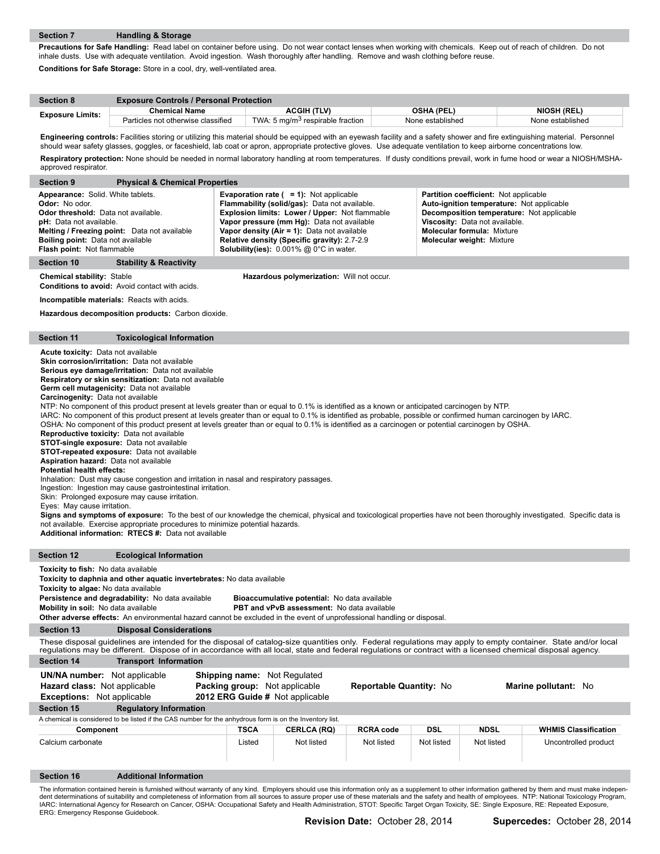**Precautions for Safe Handling:** Read label on container before using. Do not wear contact lenses when working with chemicals. Keep out of reach of children. Do not inhale dusts. Use with adequate ventilation. Avoid ingestion. Wash thoroughly after handling. Remove and wash clothing before reuse. **Conditions for Safe Storage:** Store in a cool, dry, well-ventilated area.

| <b>Section 8</b>        | <b>Exposure Controls / Personal Protection</b> |                                              |                   |                    |  |  |  |  |
|-------------------------|------------------------------------------------|----------------------------------------------|-------------------|--------------------|--|--|--|--|
|                         | <b>Chemical Name</b>                           | ACGIH (TLV)                                  | <b>OSHA (PEL)</b> | <b>NIOSH (REL)</b> |  |  |  |  |
| <b>Exposure Limits:</b> | Particles not otherwise classified             | TWA: 5 mg/m <sup>3</sup> respirable fraction | None established  | None established   |  |  |  |  |

Engineering controls: Facilities storing or utilizing this material should be equipped with an eyewash facility and a safety shower and fire extinguishing material. Personnel should wear safety glasses, goggles, or faceshield, lab coat or apron, appropriate protective gloves. Use adequate ventilation to keep airborne concentrations low. **Respiratory protection:** None should be needed in normal laboratory handling at room temperatures. If dusty conditions prevail, work in fume hood or wear a NIOSH/MSHA-

| approved respirator.                                                                                                                                                                                                                                                                                                                                                                                                                                                     |                                                                                                                                                                                                                                                                                                                                                                                                                                                                                                                                                                                                                                                                                                                                                                                                                                                                                                                                                                                                                                                                                                                                                                                                                                                                                                                                                                                                                                                                                                      |             |                                           |                  |            |             |                                                                                                                                                                                                                                                                                                                                                                                                              |
|--------------------------------------------------------------------------------------------------------------------------------------------------------------------------------------------------------------------------------------------------------------------------------------------------------------------------------------------------------------------------------------------------------------------------------------------------------------------------|------------------------------------------------------------------------------------------------------------------------------------------------------------------------------------------------------------------------------------------------------------------------------------------------------------------------------------------------------------------------------------------------------------------------------------------------------------------------------------------------------------------------------------------------------------------------------------------------------------------------------------------------------------------------------------------------------------------------------------------------------------------------------------------------------------------------------------------------------------------------------------------------------------------------------------------------------------------------------------------------------------------------------------------------------------------------------------------------------------------------------------------------------------------------------------------------------------------------------------------------------------------------------------------------------------------------------------------------------------------------------------------------------------------------------------------------------------------------------------------------------|-------------|-------------------------------------------|------------------|------------|-------------|--------------------------------------------------------------------------------------------------------------------------------------------------------------------------------------------------------------------------------------------------------------------------------------------------------------------------------------------------------------------------------------------------------------|
| <b>Section 9</b>                                                                                                                                                                                                                                                                                                                                                                                                                                                         | <b>Physical &amp; Chemical Properties</b>                                                                                                                                                                                                                                                                                                                                                                                                                                                                                                                                                                                                                                                                                                                                                                                                                                                                                                                                                                                                                                                                                                                                                                                                                                                                                                                                                                                                                                                            |             |                                           |                  |            |             |                                                                                                                                                                                                                                                                                                                                                                                                              |
| Odor: No odor.                                                                                                                                                                                                                                                                                                                                                                                                                                                           | Appearance: Solid. White tablets.<br><b>Evaporation rate (<math>= 1</math>):</b> Not applicable<br>Partition coefficient: Not applicable<br>Flammability (solid/gas): Data not available.<br>Auto-ignition temperature: Not applicable<br>Odor threshold: Data not available.<br>Explosion limits: Lower / Upper: Not flammable<br>Decomposition temperature: Not applicable<br>pH: Data not available.<br>Vapor pressure (mm Hg): Data not available<br>Viscosity: Data not available.<br>Melting / Freezing point: Data not available<br>Vapor density (Air = 1): Data not available<br><b>Molecular formula: Mixture</b><br><b>Boiling point: Data not available</b><br>Relative density (Specific gravity): 2.7-2.9<br><b>Molecular weight: Mixture</b><br>Solubility(ies): 0.001% @ 0°C in water.<br>Flash point: Not flammable                                                                                                                                                                                                                                                                                                                                                                                                                                                                                                                                                                                                                                                                 |             |                                           |                  |            |             |                                                                                                                                                                                                                                                                                                                                                                                                              |
| Section 10                                                                                                                                                                                                                                                                                                                                                                                                                                                               | <b>Stability &amp; Reactivity</b>                                                                                                                                                                                                                                                                                                                                                                                                                                                                                                                                                                                                                                                                                                                                                                                                                                                                                                                                                                                                                                                                                                                                                                                                                                                                                                                                                                                                                                                                    |             |                                           |                  |            |             |                                                                                                                                                                                                                                                                                                                                                                                                              |
| <b>Chemical stability: Stable</b>                                                                                                                                                                                                                                                                                                                                                                                                                                        | Conditions to avoid: Avoid contact with acids.                                                                                                                                                                                                                                                                                                                                                                                                                                                                                                                                                                                                                                                                                                                                                                                                                                                                                                                                                                                                                                                                                                                                                                                                                                                                                                                                                                                                                                                       |             | Hazardous polymerization: Will not occur. |                  |            |             |                                                                                                                                                                                                                                                                                                                                                                                                              |
|                                                                                                                                                                                                                                                                                                                                                                                                                                                                          | <b>Incompatible materials:</b> Reacts with acids.                                                                                                                                                                                                                                                                                                                                                                                                                                                                                                                                                                                                                                                                                                                                                                                                                                                                                                                                                                                                                                                                                                                                                                                                                                                                                                                                                                                                                                                    |             |                                           |                  |            |             |                                                                                                                                                                                                                                                                                                                                                                                                              |
|                                                                                                                                                                                                                                                                                                                                                                                                                                                                          | Hazardous decomposition products: Carbon dioxide.                                                                                                                                                                                                                                                                                                                                                                                                                                                                                                                                                                                                                                                                                                                                                                                                                                                                                                                                                                                                                                                                                                                                                                                                                                                                                                                                                                                                                                                    |             |                                           |                  |            |             |                                                                                                                                                                                                                                                                                                                                                                                                              |
| <b>Section 11</b>                                                                                                                                                                                                                                                                                                                                                                                                                                                        | <b>Toxicological Information</b>                                                                                                                                                                                                                                                                                                                                                                                                                                                                                                                                                                                                                                                                                                                                                                                                                                                                                                                                                                                                                                                                                                                                                                                                                                                                                                                                                                                                                                                                     |             |                                           |                  |            |             |                                                                                                                                                                                                                                                                                                                                                                                                              |
| Additional information: RTECS #: Data not available                                                                                                                                                                                                                                                                                                                                                                                                                      | Acute toxicity: Data not available<br>Skin corrosion/irritation: Data not available<br>Serious eye damage/irritation: Data not available<br>Respiratory or skin sensitization: Data not available<br>Germ cell mutagenicity: Data not available<br>Carcinogenity: Data not available<br>NTP: No component of this product present at levels greater than or equal to 0.1% is identified as a known or anticipated carcinogen by NTP.<br>IARC: No component of this product present at levels greater than or equal to 0.1% is identified as probable, possible or confirmed human carcinogen by IARC.<br>OSHA: No component of this product present at levels greater than or equal to 0.1% is identified as a carcinogen or potential carcinogen by OSHA.<br>Reproductive toxicity: Data not available<br><b>STOT-single exposure:</b> Data not available<br>STOT-repeated exposure: Data not available<br><b>Aspiration hazard:</b> Data not available<br><b>Potential health effects:</b><br>Inhalation: Dust may cause congestion and irritation in nasal and respiratory passages.<br>Ingestion: Ingestion may cause gastrointestinal irritation.<br>Skin: Prolonged exposure may cause irritation.<br>Eyes: May cause irritation.<br>Signs and symptoms of exposure: To the best of our knowledge the chemical, physical and toxicological properties have not been thoroughly investigated. Specific data is<br>not available. Exercise appropriate procedures to minimize potential hazards. |             |                                           |                  |            |             |                                                                                                                                                                                                                                                                                                                                                                                                              |
| <b>Section 12</b>                                                                                                                                                                                                                                                                                                                                                                                                                                                        | <b>Ecological Information</b>                                                                                                                                                                                                                                                                                                                                                                                                                                                                                                                                                                                                                                                                                                                                                                                                                                                                                                                                                                                                                                                                                                                                                                                                                                                                                                                                                                                                                                                                        |             |                                           |                  |            |             |                                                                                                                                                                                                                                                                                                                                                                                                              |
| Toxicity to fish: No data available<br>Toxicity to daphnia and other aquatic invertebrates: No data available<br>Toxicity to algae: No data available<br>Persistence and degradability: No data available<br>Bioaccumulative potential: No data available<br>PBT and vPvB assessment: No data available<br>Mobility in soil: No data available<br>Other adverse effects: An environmental hazard cannot be excluded in the event of unprofessional handling or disposal. |                                                                                                                                                                                                                                                                                                                                                                                                                                                                                                                                                                                                                                                                                                                                                                                                                                                                                                                                                                                                                                                                                                                                                                                                                                                                                                                                                                                                                                                                                                      |             |                                           |                  |            |             |                                                                                                                                                                                                                                                                                                                                                                                                              |
| <b>Section 13</b>                                                                                                                                                                                                                                                                                                                                                                                                                                                        | <b>Disposal Considerations</b>                                                                                                                                                                                                                                                                                                                                                                                                                                                                                                                                                                                                                                                                                                                                                                                                                                                                                                                                                                                                                                                                                                                                                                                                                                                                                                                                                                                                                                                                       |             |                                           |                  |            |             |                                                                                                                                                                                                                                                                                                                                                                                                              |
|                                                                                                                                                                                                                                                                                                                                                                                                                                                                          | These disposal guidelines are intended for the disposal of catalog-size quantities only. Federal regulations may apply to empty container. State and/or local<br>regulations may be different. Dispose of in accordance with all local, state and federal regulations or contract with a licensed chemical disposal agency.                                                                                                                                                                                                                                                                                                                                                                                                                                                                                                                                                                                                                                                                                                                                                                                                                                                                                                                                                                                                                                                                                                                                                                          |             |                                           |                  |            |             |                                                                                                                                                                                                                                                                                                                                                                                                              |
| <b>Section 14</b>                                                                                                                                                                                                                                                                                                                                                                                                                                                        | <b>Transport Information</b>                                                                                                                                                                                                                                                                                                                                                                                                                                                                                                                                                                                                                                                                                                                                                                                                                                                                                                                                                                                                                                                                                                                                                                                                                                                                                                                                                                                                                                                                         |             |                                           |                  |            |             |                                                                                                                                                                                                                                                                                                                                                                                                              |
|                                                                                                                                                                                                                                                                                                                                                                                                                                                                          | <b>UN/NA number:</b> Not applicable<br><b>Shipping name:</b> Not Regulated<br>Packing group: Not applicable<br>Reportable Quantity: No<br>Marine pollutant: No<br><b>Hazard class:</b> Not applicable<br>Exceptions: Not applicable<br>2012 ERG Guide # Not applicable                                                                                                                                                                                                                                                                                                                                                                                                                                                                                                                                                                                                                                                                                                                                                                                                                                                                                                                                                                                                                                                                                                                                                                                                                               |             |                                           |                  |            |             |                                                                                                                                                                                                                                                                                                                                                                                                              |
| <b>Section 15</b>                                                                                                                                                                                                                                                                                                                                                                                                                                                        | <b>Regulatory Information</b>                                                                                                                                                                                                                                                                                                                                                                                                                                                                                                                                                                                                                                                                                                                                                                                                                                                                                                                                                                                                                                                                                                                                                                                                                                                                                                                                                                                                                                                                        |             |                                           |                  |            |             |                                                                                                                                                                                                                                                                                                                                                                                                              |
|                                                                                                                                                                                                                                                                                                                                                                                                                                                                          | A chemical is considered to be listed if the CAS number for the anhydrous form is on the Inventory list.                                                                                                                                                                                                                                                                                                                                                                                                                                                                                                                                                                                                                                                                                                                                                                                                                                                                                                                                                                                                                                                                                                                                                                                                                                                                                                                                                                                             |             |                                           |                  |            |             |                                                                                                                                                                                                                                                                                                                                                                                                              |
| Component                                                                                                                                                                                                                                                                                                                                                                                                                                                                |                                                                                                                                                                                                                                                                                                                                                                                                                                                                                                                                                                                                                                                                                                                                                                                                                                                                                                                                                                                                                                                                                                                                                                                                                                                                                                                                                                                                                                                                                                      | <b>TSCA</b> | <b>CERLCA (RQ)</b>                        | <b>RCRA code</b> | <b>DSL</b> | <b>NDSL</b> | <b>WHMIS Classification</b>                                                                                                                                                                                                                                                                                                                                                                                  |
| Calcium carbonate                                                                                                                                                                                                                                                                                                                                                                                                                                                        |                                                                                                                                                                                                                                                                                                                                                                                                                                                                                                                                                                                                                                                                                                                                                                                                                                                                                                                                                                                                                                                                                                                                                                                                                                                                                                                                                                                                                                                                                                      | Listed      | Not listed                                | Not listed       | Not listed | Not listed  | Uncontrolled product                                                                                                                                                                                                                                                                                                                                                                                         |
| <b>Section 16</b>                                                                                                                                                                                                                                                                                                                                                                                                                                                        | <b>Additional Information</b>                                                                                                                                                                                                                                                                                                                                                                                                                                                                                                                                                                                                                                                                                                                                                                                                                                                                                                                                                                                                                                                                                                                                                                                                                                                                                                                                                                                                                                                                        |             |                                           |                  |            |             |                                                                                                                                                                                                                                                                                                                                                                                                              |
| ERG: Emergency Response Guidebook.                                                                                                                                                                                                                                                                                                                                                                                                                                       | IARC: International Agency for Research on Cancer, OSHA: Occupational Safety and Health Administration, STOT: Specific Target Organ Toxicity, SE: Single Exposure, RE: Repeated Exposure,                                                                                                                                                                                                                                                                                                                                                                                                                                                                                                                                                                                                                                                                                                                                                                                                                                                                                                                                                                                                                                                                                                                                                                                                                                                                                                            |             |                                           |                  |            |             | The information contained herein is furnished without warranty of any kind. Employers should use this information only as a supplement to other information gathered by them and must make indepen-<br>dent determinations of suitability and completeness of information from all sources to assure proper use of these materials and the safety and health of employees. NTP: National Toxicology Program, |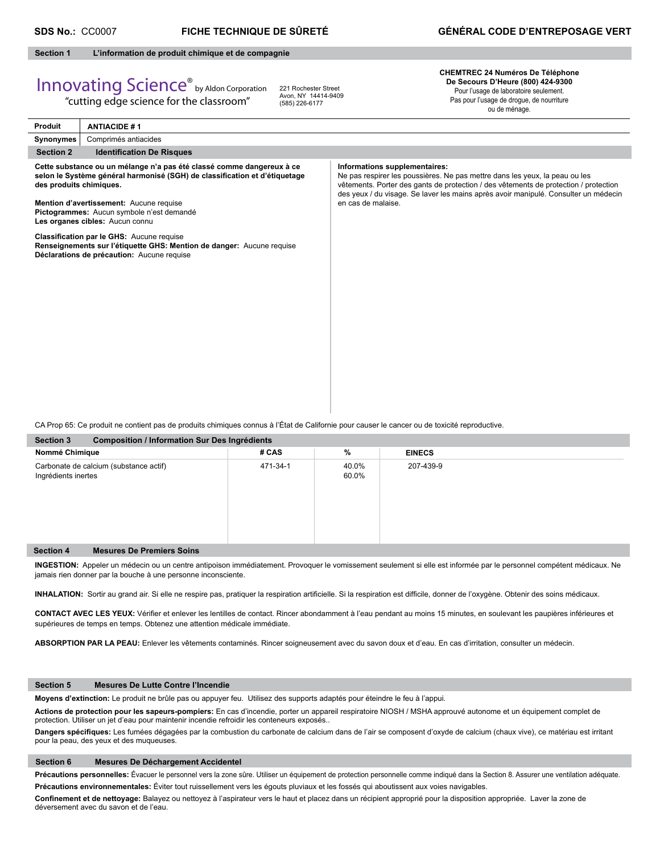#### **Section 1 L'information de produit chimique et de compagnie**

# Innovating Science® by Aldon Corporation

"cutting edge science for the classroom"

221 Rochester Street Avon, NY 14414-9409 (585) 226-6177

#### **CHEMTREC 24 Numéros De Téléphone De Secours D'Heure (800) 424-9300** Pour l'usage de laboratoire seulement. Pas pour l'usage de drogue, de nourriture

ou de ménage.

| Synonymes<br>Comprimés antiacides<br><b>Section 2</b><br><b>Identification De Risques</b><br>Cette substance ou un mélange n'a pas été classé comme dangereux à ce<br>Informations supplementaires:<br>selon le Système général harmonisé (SGH) de classification et d'étiquetage<br>Ne pas respirer les poussières. Ne pas mettre dans les yeux, la peau ou les<br>vêtements. Porter des gants de protection / des vêtements de protection / protection<br>des produits chimiques.<br>des yeux / du visage. Se laver les mains après avoir manipulé. Consulter un médecin<br>en cas de malaise.<br>Mention d'avertissement: Aucune requise<br>Pictogrammes: Aucun symbole n'est demandé<br>Les organes cibles: Aucun connu<br>Classification par le GHS: Aucune requise<br>Renseignements sur l'étiquette GHS: Mention de danger: Aucune requise<br>Déclarations de précaution: Aucune requise<br>CA Prop 65: Ce produit ne contient pas de produits chimiques connus à l'État de Californie pour causer le cancer ou de toxicité reproductive.<br><b>Section 3</b><br><b>Composition / Information Sur Des Ingrédients</b> | <b>Produit</b> | <b>ANTIACIDE #1</b> |  |
|------------------------------------------------------------------------------------------------------------------------------------------------------------------------------------------------------------------------------------------------------------------------------------------------------------------------------------------------------------------------------------------------------------------------------------------------------------------------------------------------------------------------------------------------------------------------------------------------------------------------------------------------------------------------------------------------------------------------------------------------------------------------------------------------------------------------------------------------------------------------------------------------------------------------------------------------------------------------------------------------------------------------------------------------------------------------------------------------------------------------------|----------------|---------------------|--|
|                                                                                                                                                                                                                                                                                                                                                                                                                                                                                                                                                                                                                                                                                                                                                                                                                                                                                                                                                                                                                                                                                                                              |                |                     |  |
|                                                                                                                                                                                                                                                                                                                                                                                                                                                                                                                                                                                                                                                                                                                                                                                                                                                                                                                                                                                                                                                                                                                              |                |                     |  |
|                                                                                                                                                                                                                                                                                                                                                                                                                                                                                                                                                                                                                                                                                                                                                                                                                                                                                                                                                                                                                                                                                                                              |                |                     |  |
|                                                                                                                                                                                                                                                                                                                                                                                                                                                                                                                                                                                                                                                                                                                                                                                                                                                                                                                                                                                                                                                                                                                              |                |                     |  |
|                                                                                                                                                                                                                                                                                                                                                                                                                                                                                                                                                                                                                                                                                                                                                                                                                                                                                                                                                                                                                                                                                                                              |                |                     |  |
|                                                                                                                                                                                                                                                                                                                                                                                                                                                                                                                                                                                                                                                                                                                                                                                                                                                                                                                                                                                                                                                                                                                              |                |                     |  |

| Nommé Chimique                                                | # CAS    | %              | <b>EINECS</b> |  |
|---------------------------------------------------------------|----------|----------------|---------------|--|
| Carbonate de calcium (substance actif)<br>Ingrédients inertes | 471-34-1 | 40.0%<br>60.0% | 207-439-9     |  |
| <b>Mesures De Premiers Soins</b><br>Section 4                 |          |                |               |  |

**INGESTION:** Appeler un médecin ou un centre antipoison immédiatement. Provoquer le vomissement seulement si elle est informée par le personnel compétent médicaux. Ne jamais rien donner par la bouche à une personne inconsciente.

INHALATION: Sortir au grand air. Si elle ne respire pas, pratiquer la respiration artificielle. Si la respiration est difficile, donner de l'oxygène. Obtenir des soins médicaux.

CONTACT AVEC LES YEUX: Vérifier et enlever les lentilles de contact. Rincer abondamment à l'eau pendant au moins 15 minutes, en soulevant les paupières inférieures et supérieures de temps en temps. Obtenez une attention médicale immédiate.

**ABSORPTION PAR LA PEAU:** Enlever les vêtements contaminés. Rincer soigneusement avec du savon doux et d'eau. En cas d'irritation, consulter un médecin.

#### **Section 5 Mesures De Lutte Contre l'Incendie**

**Moyens d'extinction:** Le produit ne brûle pas ou appuyer feu. Utilisez des supports adaptés pour éteindre le feu à l'appui.

**Actions de protection pour les sapeurs-pompiers:** En cas d'incendie, porter un appareil respiratoire NIOSH / MSHA approuvé autonome et un équipement complet de protection. Utiliser un jet d'eau pour maintenir incendie refroidir les conteneurs exposés..

Dangers spécifiques: Les fumées dégagées par la combustion du carbonate de calcium dans de l'air se composent d'oxyde de calcium (chaux vive), ce matériau est irritant pour la peau, des yeux et des muqueuses.

#### **Section 6 Mesures De Déchargement Accidentel**

Précautions personnelles: Évacuer le personnel vers la zone sûre. Utiliser un équipement de protection personnelle comme indiqué dans la Section 8. Assurer une ventilation adéquate. **Précautions environnementales:** Éviter tout ruissellement vers les égouts pluviaux et les fossés qui aboutissent aux voies navigables.

Confinement et de nettoyage: Balayez ou nettoyez à l'aspirateur vers le haut et placez dans un récipient approprié pour la disposition appropriée. Laver la zone de déversement avec du savon et de l'eau.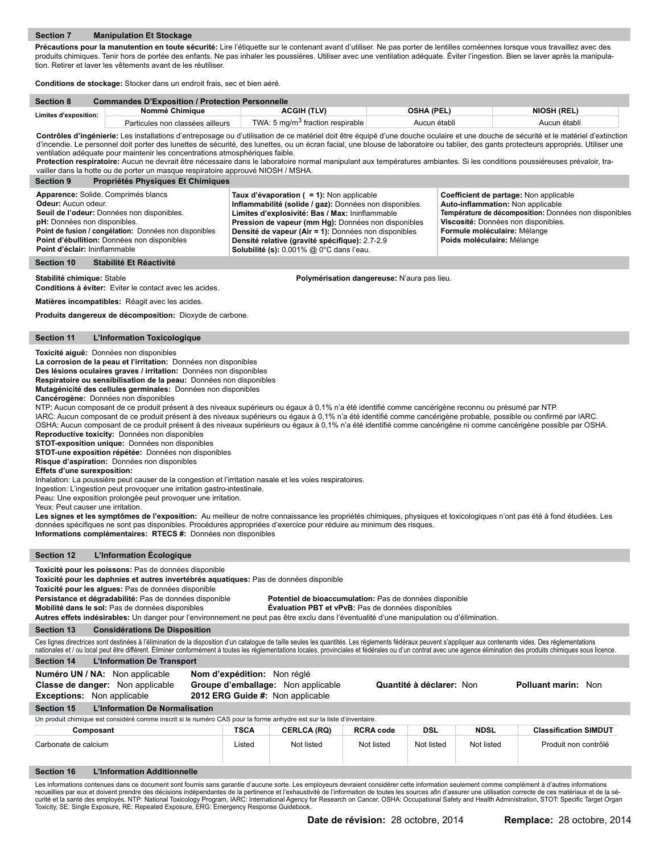Précautions pour la manutention en toute sécurité: Lire l'étiquette sur le contenant avant d'utiliser. Ne pas porter de lentilles cornéennes lorsque vous travaillez avec des produits chimiques. Tenir hors de portée des enfants. Ne pas inhaler les poussières. Utiliser avec une ventilation adéquate. Éviter l'ingestion. Bien se laver après la manipulation. Retirer et laver les vêtements avant de les réutiliser.

**Conditions de stockage:** Stocker dans un endroit frais, sec et bien aéré.

| <b>Section 8</b>      | <b>Commandes D'Exposition / Protection Personnelle</b> |                                              |              |                    |  |  |  |  |
|-----------------------|--------------------------------------------------------|----------------------------------------------|--------------|--------------------|--|--|--|--|
| Limites d'exposition: | Nommé Chimiaue                                         | <b>ACGIH (TLV)</b>                           | OSHA (PEL)   | <b>NIOSH (REL)</b> |  |  |  |  |
|                       | Particules non classées ailleurs                       | TWA: 5 mg/m <sup>3</sup> fraction respirable | Aucun établi | Aucun établi       |  |  |  |  |

Contrôles d'ingénierie: Les installations d'entreposage ou d'utilisation de ce matériel doit être équipé d'une douche oculaire et une douche de sécurité et le matériel d'extinction d'incendie. Le personnel doit porter des lunettes de sécurité, des lunettes, ou un écran facial, une blouse de laboratoire ou tablier, des gants protecteurs appropriés. Utiliser une ventilation adéquate pour maintenir les concentrations atmosphériques faible.

**Protection respiratoire:** Aucun ne devrait être nécessaire dans le laboratoire normal manipulant aux températures ambiantes. Si les conditions poussiéreuses prévaloir, travailler dans la hotte ou de porter un masque respiratoire approuvé NIOSH / MSHA.

| <b>Propriétés Physiques Et Chimiques</b><br><b>Section 9</b>                                                                                                                                                                                                                              |                                                                                                                                                                                                                                                                                                                                                                         |                                                                                                                                                                                                                                           |
|-------------------------------------------------------------------------------------------------------------------------------------------------------------------------------------------------------------------------------------------------------------------------------------------|-------------------------------------------------------------------------------------------------------------------------------------------------------------------------------------------------------------------------------------------------------------------------------------------------------------------------------------------------------------------------|-------------------------------------------------------------------------------------------------------------------------------------------------------------------------------------------------------------------------------------------|
| Apparence: Solide. Comprimés blancs<br>Odeur: Aucun odeur.<br>Seuil de l'odeur: Données non disponibles.<br><b>pH:</b> Données non disponibles.<br>Point de fusion / congélation: Données non disponibles<br>Point d'ébullition: Données non disponibles<br>Point d'éclair: Ininflammable | Taux d'évaporation $( = 1)$ : Non applicable<br>Inflammabilité (solide / gaz): Données non disponibles.<br>Limites d'explosivité: Bas / Max: Ininflammable<br>Pression de vapeur (mm Hg): Données non disponibles<br>Densité de vapeur (Air = 1): Données non disponibles<br>Densité relative (gravité spécifique): 2.7-2.9<br>Solubilité (s): 0.001% @ 0°C dans l'eau. | Coefficient de partage: Non applicable<br>Auto-inflammation: Non applicable<br>Température de décomposition: Données non disponibles<br>Viscosité: Données non disponibles.<br>Formule moléculaire: Mélange<br>Poids moléculaire: Mélange |
| Section 10<br>Stabilité Et Réactivité                                                                                                                                                                                                                                                     |                                                                                                                                                                                                                                                                                                                                                                         |                                                                                                                                                                                                                                           |

**Stabilité chimique:** Stable **Polymérisation dangereuse:** N'aura pas lieu.

**Conditions à éviter:** Eviter le contact avec les acides.

**Matières incompatibles:** Réagit avec les acides.

**Produits dangereux de décomposition:** Dioxyde de carbone.

#### **Section 11 L'Information Toxicologique**

**Toxicité aiguë:** Données non disponibles

**La corrosion de la peau et l'irritation:** Données non disponibles

**Des lésions oculaires graves / irritation:** Données non disponibles

**Respiratoire ou sensibilisation de la peau:** Données non disponibles

**Mutagénicité des cellules germinales:** Données non disponibles

**Cancérogène:** Données non disponibles

NTP: Aucun composant de ce produit présent à des niveaux supérieurs ou égaux à 0,1% n'a été identifié comme cancérigène reconnu ou présumé par NTP.

IARC: Aucun composant de ce produit présent à des niveaux supérieurs ou égaux à 0,1% n'a été identifié comme cancérigène probable, possible ou confirmé par IARC. OSHA: Aucun composant de ce produit présent à des niveaux supérieurs ou égaux à 0,1% n'a été identifié comme cancérigène ni comme cancérigène possible par OSHA.

**Reproductive toxicity:** Données non disponibles

**STOT-exposition unique:** Données non disponibles

**STOT-une exposition répétée:** Données non disponibles

**Risque d'aspiration:** Données non disponibles

**Effets d'une surexposition:** 

Inhalation: La poussière peut causer de la congestion et l'irritation nasale et les voies respiratoires.

Ingestion: L'ingestion peut provoquer une irritation gastro-intestinale.

Peau: Une exposition prolongée peut provoquer une irritation.

Yeux: Peut causer une irritation.

Les signes et les symptômes de l'exposition: Au meilleur de notre connaissance les propriétés chimiques, physiques et toxicologiques n'ont pas été à fond étudiées. Les données spécifiques ne sont pas disponibles. Procédures appropriées d'exercice pour réduire au minimum des risques. **Informations complémentaires: RTECS #:** Données non disponibles

**Section 12 L'Information Écologique**

**Toxicité pour les poissons:** Pas de données disponible

**Toxicité pour les daphnies et autres invertébrés aquatiques:** Pas de données disponible

**Toxicité pour les algues:** Pas de données disponible

**Persistance et dégradabilité:** Pas de données disponible **Potentiel de bioaccumulation:** Pas de données disponible

**Mobilité dans le sol:** Pas de données disponibles **Évaluation PBT et vPvB:** Pas de données disponibles

**Autres effets indésirables:** Un danger pour l'environnement ne peut pas être exclu dans l'éventualité d'une manipulation ou d'élimination.

**Section 13 Considérations De Disposition**

Ces lignes directrices sont destinées à l'élimination de la disposition d'un catalogue de taille seules les quantités. Les règlements fédéraux peuvent s'appliquer aux contenants vides. Des réglementations nationales et / ou local peut être différent. Éliminer conformément à toutes les réglementations locales, provinciales et fédérales ou d'un contrat avec une agence élimination des produits chimiques sous licence.

| nationales et / ou local peut ette unierent. Emmier comomientent a toutes les regiermentations locales, provinciales et leucrales ou u un comula avec une agence emmiation ues proudits chimiques sous illeritie.                                                                                                                                                                                                     |                                                                                                       |                    |                  |                          |                      |                              |  |
|-----------------------------------------------------------------------------------------------------------------------------------------------------------------------------------------------------------------------------------------------------------------------------------------------------------------------------------------------------------------------------------------------------------------------|-------------------------------------------------------------------------------------------------------|--------------------|------------------|--------------------------|----------------------|------------------------------|--|
| <b>L'Information De Transport</b><br>Section 14                                                                                                                                                                                                                                                                                                                                                                       |                                                                                                       |                    |                  |                          |                      |                              |  |
| Numéro UN / NA: Non applicable<br><b>Classe de danger:</b> Non applicable<br><b>Exceptions:</b> Non applicable                                                                                                                                                                                                                                                                                                        | Nom d'expédition: Non réglé<br>Groupe d'emballage: Non applicable<br>2012 ERG Guide #: Non applicable |                    |                  | Quantité à déclarer: Non |                      | <b>Polluant marin: Non</b>   |  |
| <b>L'Information De Normalisation</b><br><b>Section 15</b>                                                                                                                                                                                                                                                                                                                                                            |                                                                                                       |                    |                  |                          |                      |                              |  |
| Un produit chimique est considéré comme inscrit si le numéro CAS pour la forme anhydre est sur la liste d'inventaire.                                                                                                                                                                                                                                                                                                 |                                                                                                       |                    |                  |                          |                      |                              |  |
| Composant                                                                                                                                                                                                                                                                                                                                                                                                             | <b>TSCA</b>                                                                                           | <b>CERLCA (RQ)</b> | <b>RCRA code</b> | DSL                      | <b>NDSL</b>          | <b>Classification SIMDUT</b> |  |
| Carbonate de calcium                                                                                                                                                                                                                                                                                                                                                                                                  | Not listed                                                                                            | Not listed         | Not listed       | Not listed               | Produit non contrôlé |                              |  |
| Section 16<br><b>L'Information Additionnelle</b>                                                                                                                                                                                                                                                                                                                                                                      |                                                                                                       |                    |                  |                          |                      |                              |  |
| Les informations contenues dans ce document sont fournis sans garantie d'aucune sorte. Les employeurs devraient considérer cette information seulement comme complément à d'autres informations<br>requeillies par eux et doivent prendre des décisions indépendantes de la pertinence et l'exhaustivité de l'information de toutes les sources afin d'assurer une utilisation correcte de ces matériaux et de la sé- |                                                                                                       |                    |                  |                          |                      |                              |  |

recueillies par eux et doivent prendre des décisions indépendantes de la pertinence et l'exhaustivité de l'information de toutes les sources afin d'assurer une utilisation correcte de ces matériaux et de la sé-<br>curité et l Toxicity, SE: Single Exposure, RE: Repeated Exposure, ERG: Emergency Response Guidebook.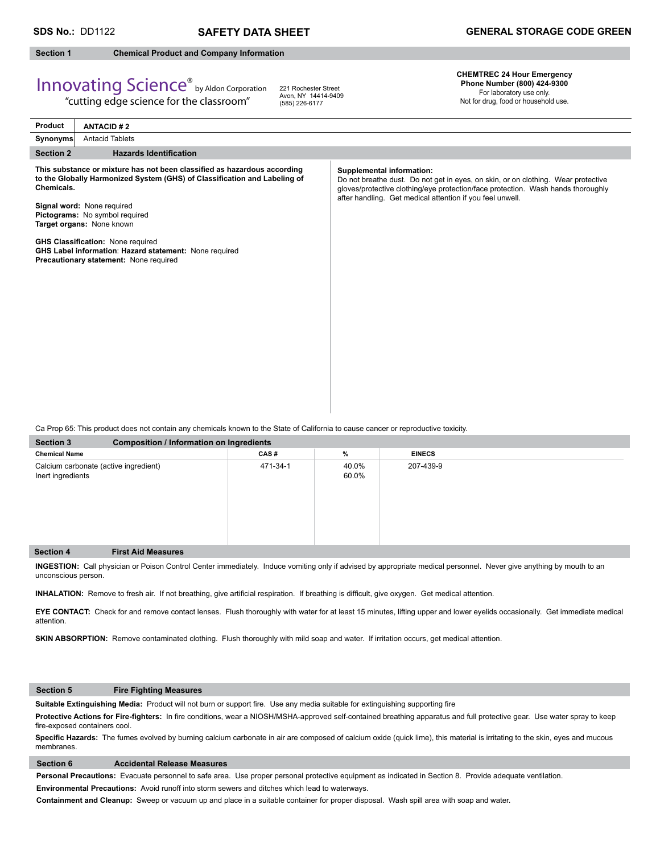#### **Section 1 Chemical Product and Company Information**

## Innovating Science® by Aldon Corporation

"cutting edge science for the classroom"

221 Rochester Street Avon, NY 14414-9409 (585) 226-6177

**CHEMTREC 24 Hour Emergency Phone Number (800) 424-9300**  For laboratory use only.

Not for drug, food or household use.

| Product          | <b>ANTACID#2</b>                                                                                                                                                                                                                                                                                                                                                                                   |                                                                                                                                                                                                                                                                        |
|------------------|----------------------------------------------------------------------------------------------------------------------------------------------------------------------------------------------------------------------------------------------------------------------------------------------------------------------------------------------------------------------------------------------------|------------------------------------------------------------------------------------------------------------------------------------------------------------------------------------------------------------------------------------------------------------------------|
| Synonyms         | <b>Antacid Tablets</b>                                                                                                                                                                                                                                                                                                                                                                             |                                                                                                                                                                                                                                                                        |
| <b>Section 2</b> | <b>Hazards Identification</b>                                                                                                                                                                                                                                                                                                                                                                      |                                                                                                                                                                                                                                                                        |
| Chemicals.       | This substance or mixture has not been classified as hazardous according<br>to the Globally Harmonized System (GHS) of Classification and Labeling of<br>Signal word: None required<br>Pictograms: No symbol required<br>Target organs: None known<br><b>GHS Classification: None required</b><br>GHS Label information: Hazard statement: None required<br>Precautionary statement: None required | <b>Supplemental information:</b><br>Do not breathe dust. Do not get in eyes, on skin, or on clothing. Wear protective<br>gloves/protective clothing/eye protection/face protection. Wash hands thoroughly<br>after handling. Get medical attention if you feel unwell. |
|                  |                                                                                                                                                                                                                                                                                                                                                                                                    |                                                                                                                                                                                                                                                                        |

Ca Prop 65: This product does not contain any chemicals known to the State of California to cause cancer or reproductive toxicity.

| <b>Section 3</b>                                           | <b>Composition / Information on Ingredients</b> |          |                |               |  |
|------------------------------------------------------------|-------------------------------------------------|----------|----------------|---------------|--|
| <b>Chemical Name</b>                                       |                                                 | CAS#     | %              | <b>EINECS</b> |  |
| Calcium carbonate (active ingredient)<br>Inert ingredients |                                                 | 471-34-1 | 40.0%<br>60.0% | 207-439-9     |  |
| <b>Section 4</b>                                           | <b>First Aid Measures</b>                       |          |                |               |  |

**INGESTION:** Call physician or Poison Control Center immediately. Induce vomiting only if advised by appropriate medical personnel.Never give anything by mouth to an unconscious person.

INHALATION: Remove to fresh air. If not breathing, give artificial respiration. If breathing is difficult, give oxygen. Get medical attention.

**EYE CONTACT:** Check for and remove contact lenses. Flush thoroughly with water for at least 15 minutes, lifting upper and lower eyelids occasionally. Get immediate medical attention.

**SKIN ABSORPTION:** Remove contaminated clothing. Flush thoroughly with mild soap and water. If irritation occurs, get medical attention.

### **Section 5 Fire Fighting Measures**

Suitable Extinguishing Media: Product will not burn or support fire. Use any media suitable for extinguishing supporting fire

Protective Actions for Fire-fighters: In fire conditions, wear a NIOSH/MSHA-approved self-contained breathing apparatus and full protective gear. Use water spray to keep fire-exposed containers cool.

Specific Hazards: The fumes evolved by burning calcium carbonate in air are composed of calcium oxide (quick lime), this material is irritating to the skin, eyes and mucous membranes.

#### **Section 6 Accidental Release Measures**

**Personal Precautions:** Evacuate personnel to safe area. Use proper personal protective equipment as indicated in Section 8. Provide adequate ventilation.

**Environmental Precautions:** Avoid runoff into storm sewers and ditches which lead to waterways.

**Containment and Cleanup:** Sweep or vacuum up and place in a suitable container for proper disposal. Wash spill area with soap and water.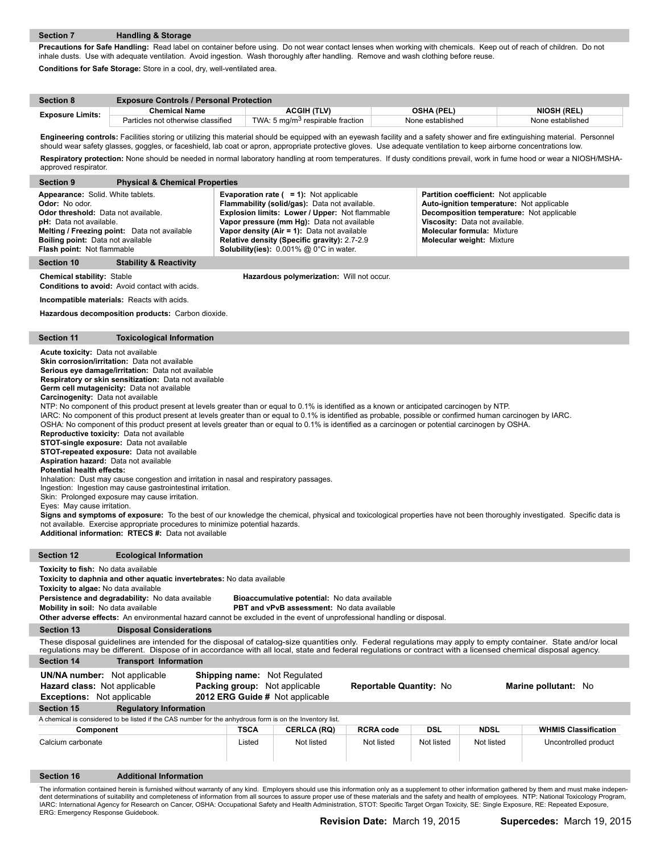**Precautions for Safe Handling:** Read label on container before using. Do not wear contact lenses when working with chemicals. Keep out of reach of children. Do not inhale dusts. Use with adequate ventilation. Avoid ingestion. Wash thoroughly after handling. Remove and wash clothing before reuse. **Conditions for Safe Storage:** Store in a cool, dry, well-ventilated area.

| <b>Section 8</b>        | <b>Exposure Controls / Personal Protection</b> |                                              |                   |                    |  |  |  |  |
|-------------------------|------------------------------------------------|----------------------------------------------|-------------------|--------------------|--|--|--|--|
|                         | <b>Chemical Name</b>                           | ACGIH (TLV)                                  | <b>OSHA (PEL)</b> | <b>NIOSH (REL)</b> |  |  |  |  |
| <b>Exposure Limits:</b> | Particles not otherwise classified             | TWA: 5 mg/m <sup>3</sup> respirable fraction | None established  | None established   |  |  |  |  |

Engineering controls: Facilities storing or utilizing this material should be equipped with an eyewash facility and a safety shower and fire extinguishing material. Personnel should wear safety glasses, goggles, or faceshield, lab coat or apron, appropriate protective gloves. Use adequate ventilation to keep airborne concentrations low. **Respiratory protection:** None should be needed in normal laboratory handling at room temperatures. If dusty conditions prevail, work in fume hood or wear a NIOSH/MSHA-

| approved respirator.                                                                                                                                                                                                                                                                                                                                                                                                                                                     |                                                                                                                                                                                                                                                                                                                                                                                                                                                                                                                                                                                                                                                                                                                                                                                                                                                                                                                                                                                                                                                                                                                                                                                                                                                                                                                                                                                                                                                                                                      |             |                                           |                  |            |             |                                                                                                                                                                                                                                                                                                                                                                                                              |
|--------------------------------------------------------------------------------------------------------------------------------------------------------------------------------------------------------------------------------------------------------------------------------------------------------------------------------------------------------------------------------------------------------------------------------------------------------------------------|------------------------------------------------------------------------------------------------------------------------------------------------------------------------------------------------------------------------------------------------------------------------------------------------------------------------------------------------------------------------------------------------------------------------------------------------------------------------------------------------------------------------------------------------------------------------------------------------------------------------------------------------------------------------------------------------------------------------------------------------------------------------------------------------------------------------------------------------------------------------------------------------------------------------------------------------------------------------------------------------------------------------------------------------------------------------------------------------------------------------------------------------------------------------------------------------------------------------------------------------------------------------------------------------------------------------------------------------------------------------------------------------------------------------------------------------------------------------------------------------------|-------------|-------------------------------------------|------------------|------------|-------------|--------------------------------------------------------------------------------------------------------------------------------------------------------------------------------------------------------------------------------------------------------------------------------------------------------------------------------------------------------------------------------------------------------------|
| <b>Section 9</b>                                                                                                                                                                                                                                                                                                                                                                                                                                                         | <b>Physical &amp; Chemical Properties</b>                                                                                                                                                                                                                                                                                                                                                                                                                                                                                                                                                                                                                                                                                                                                                                                                                                                                                                                                                                                                                                                                                                                                                                                                                                                                                                                                                                                                                                                            |             |                                           |                  |            |             |                                                                                                                                                                                                                                                                                                                                                                                                              |
| Odor: No odor.                                                                                                                                                                                                                                                                                                                                                                                                                                                           | Appearance: Solid. White tablets.<br><b>Evaporation rate (<math>= 1</math>):</b> Not applicable<br>Partition coefficient: Not applicable<br>Flammability (solid/gas): Data not available.<br>Auto-ignition temperature: Not applicable<br>Odor threshold: Data not available.<br>Explosion limits: Lower / Upper: Not flammable<br>Decomposition temperature: Not applicable<br>pH: Data not available.<br>Vapor pressure (mm Hg): Data not available<br>Viscosity: Data not available.<br>Melting / Freezing point: Data not available<br>Vapor density (Air = 1): Data not available<br><b>Molecular formula: Mixture</b><br><b>Boiling point: Data not available</b><br>Relative density (Specific gravity): 2.7-2.9<br><b>Molecular weight: Mixture</b><br>Solubility(ies): 0.001% @ 0°C in water.<br>Flash point: Not flammable                                                                                                                                                                                                                                                                                                                                                                                                                                                                                                                                                                                                                                                                 |             |                                           |                  |            |             |                                                                                                                                                                                                                                                                                                                                                                                                              |
| Section 10                                                                                                                                                                                                                                                                                                                                                                                                                                                               | <b>Stability &amp; Reactivity</b>                                                                                                                                                                                                                                                                                                                                                                                                                                                                                                                                                                                                                                                                                                                                                                                                                                                                                                                                                                                                                                                                                                                                                                                                                                                                                                                                                                                                                                                                    |             |                                           |                  |            |             |                                                                                                                                                                                                                                                                                                                                                                                                              |
| <b>Chemical stability: Stable</b>                                                                                                                                                                                                                                                                                                                                                                                                                                        | Conditions to avoid: Avoid contact with acids.                                                                                                                                                                                                                                                                                                                                                                                                                                                                                                                                                                                                                                                                                                                                                                                                                                                                                                                                                                                                                                                                                                                                                                                                                                                                                                                                                                                                                                                       |             | Hazardous polymerization: Will not occur. |                  |            |             |                                                                                                                                                                                                                                                                                                                                                                                                              |
|                                                                                                                                                                                                                                                                                                                                                                                                                                                                          | <b>Incompatible materials:</b> Reacts with acids.                                                                                                                                                                                                                                                                                                                                                                                                                                                                                                                                                                                                                                                                                                                                                                                                                                                                                                                                                                                                                                                                                                                                                                                                                                                                                                                                                                                                                                                    |             |                                           |                  |            |             |                                                                                                                                                                                                                                                                                                                                                                                                              |
|                                                                                                                                                                                                                                                                                                                                                                                                                                                                          | Hazardous decomposition products: Carbon dioxide.                                                                                                                                                                                                                                                                                                                                                                                                                                                                                                                                                                                                                                                                                                                                                                                                                                                                                                                                                                                                                                                                                                                                                                                                                                                                                                                                                                                                                                                    |             |                                           |                  |            |             |                                                                                                                                                                                                                                                                                                                                                                                                              |
| <b>Section 11</b>                                                                                                                                                                                                                                                                                                                                                                                                                                                        | <b>Toxicological Information</b>                                                                                                                                                                                                                                                                                                                                                                                                                                                                                                                                                                                                                                                                                                                                                                                                                                                                                                                                                                                                                                                                                                                                                                                                                                                                                                                                                                                                                                                                     |             |                                           |                  |            |             |                                                                                                                                                                                                                                                                                                                                                                                                              |
| Additional information: RTECS #: Data not available                                                                                                                                                                                                                                                                                                                                                                                                                      | Acute toxicity: Data not available<br>Skin corrosion/irritation: Data not available<br>Serious eye damage/irritation: Data not available<br>Respiratory or skin sensitization: Data not available<br>Germ cell mutagenicity: Data not available<br>Carcinogenity: Data not available<br>NTP: No component of this product present at levels greater than or equal to 0.1% is identified as a known or anticipated carcinogen by NTP.<br>IARC: No component of this product present at levels greater than or equal to 0.1% is identified as probable, possible or confirmed human carcinogen by IARC.<br>OSHA: No component of this product present at levels greater than or equal to 0.1% is identified as a carcinogen or potential carcinogen by OSHA.<br>Reproductive toxicity: Data not available<br><b>STOT-single exposure:</b> Data not available<br>STOT-repeated exposure: Data not available<br><b>Aspiration hazard:</b> Data not available<br><b>Potential health effects:</b><br>Inhalation: Dust may cause congestion and irritation in nasal and respiratory passages.<br>Ingestion: Ingestion may cause gastrointestinal irritation.<br>Skin: Prolonged exposure may cause irritation.<br>Eyes: May cause irritation.<br>Signs and symptoms of exposure: To the best of our knowledge the chemical, physical and toxicological properties have not been thoroughly investigated. Specific data is<br>not available. Exercise appropriate procedures to minimize potential hazards. |             |                                           |                  |            |             |                                                                                                                                                                                                                                                                                                                                                                                                              |
| <b>Section 12</b>                                                                                                                                                                                                                                                                                                                                                                                                                                                        | <b>Ecological Information</b>                                                                                                                                                                                                                                                                                                                                                                                                                                                                                                                                                                                                                                                                                                                                                                                                                                                                                                                                                                                                                                                                                                                                                                                                                                                                                                                                                                                                                                                                        |             |                                           |                  |            |             |                                                                                                                                                                                                                                                                                                                                                                                                              |
| Toxicity to fish: No data available<br>Toxicity to daphnia and other aquatic invertebrates: No data available<br>Toxicity to algae: No data available<br>Persistence and degradability: No data available<br>Bioaccumulative potential: No data available<br>PBT and vPvB assessment: No data available<br>Mobility in soil: No data available<br>Other adverse effects: An environmental hazard cannot be excluded in the event of unprofessional handling or disposal. |                                                                                                                                                                                                                                                                                                                                                                                                                                                                                                                                                                                                                                                                                                                                                                                                                                                                                                                                                                                                                                                                                                                                                                                                                                                                                                                                                                                                                                                                                                      |             |                                           |                  |            |             |                                                                                                                                                                                                                                                                                                                                                                                                              |
| <b>Section 13</b>                                                                                                                                                                                                                                                                                                                                                                                                                                                        | <b>Disposal Considerations</b>                                                                                                                                                                                                                                                                                                                                                                                                                                                                                                                                                                                                                                                                                                                                                                                                                                                                                                                                                                                                                                                                                                                                                                                                                                                                                                                                                                                                                                                                       |             |                                           |                  |            |             |                                                                                                                                                                                                                                                                                                                                                                                                              |
|                                                                                                                                                                                                                                                                                                                                                                                                                                                                          | These disposal guidelines are intended for the disposal of catalog-size quantities only. Federal regulations may apply to empty container. State and/or local<br>regulations may be different. Dispose of in accordance with all local, state and federal regulations or contract with a licensed chemical disposal agency.                                                                                                                                                                                                                                                                                                                                                                                                                                                                                                                                                                                                                                                                                                                                                                                                                                                                                                                                                                                                                                                                                                                                                                          |             |                                           |                  |            |             |                                                                                                                                                                                                                                                                                                                                                                                                              |
| <b>Section 14</b>                                                                                                                                                                                                                                                                                                                                                                                                                                                        | <b>Transport Information</b>                                                                                                                                                                                                                                                                                                                                                                                                                                                                                                                                                                                                                                                                                                                                                                                                                                                                                                                                                                                                                                                                                                                                                                                                                                                                                                                                                                                                                                                                         |             |                                           |                  |            |             |                                                                                                                                                                                                                                                                                                                                                                                                              |
|                                                                                                                                                                                                                                                                                                                                                                                                                                                                          | <b>UN/NA number:</b> Not applicable<br><b>Shipping name:</b> Not Regulated<br>Packing group: Not applicable<br>Reportable Quantity: No<br>Marine pollutant: No<br><b>Hazard class:</b> Not applicable<br>Exceptions: Not applicable<br>2012 ERG Guide # Not applicable                                                                                                                                                                                                                                                                                                                                                                                                                                                                                                                                                                                                                                                                                                                                                                                                                                                                                                                                                                                                                                                                                                                                                                                                                               |             |                                           |                  |            |             |                                                                                                                                                                                                                                                                                                                                                                                                              |
| <b>Section 15</b>                                                                                                                                                                                                                                                                                                                                                                                                                                                        | <b>Regulatory Information</b>                                                                                                                                                                                                                                                                                                                                                                                                                                                                                                                                                                                                                                                                                                                                                                                                                                                                                                                                                                                                                                                                                                                                                                                                                                                                                                                                                                                                                                                                        |             |                                           |                  |            |             |                                                                                                                                                                                                                                                                                                                                                                                                              |
|                                                                                                                                                                                                                                                                                                                                                                                                                                                                          | A chemical is considered to be listed if the CAS number for the anhydrous form is on the Inventory list.                                                                                                                                                                                                                                                                                                                                                                                                                                                                                                                                                                                                                                                                                                                                                                                                                                                                                                                                                                                                                                                                                                                                                                                                                                                                                                                                                                                             |             |                                           |                  |            |             |                                                                                                                                                                                                                                                                                                                                                                                                              |
| Component                                                                                                                                                                                                                                                                                                                                                                                                                                                                |                                                                                                                                                                                                                                                                                                                                                                                                                                                                                                                                                                                                                                                                                                                                                                                                                                                                                                                                                                                                                                                                                                                                                                                                                                                                                                                                                                                                                                                                                                      | <b>TSCA</b> | <b>CERLCA (RQ)</b>                        | <b>RCRA code</b> | <b>DSL</b> | <b>NDSL</b> | <b>WHMIS Classification</b>                                                                                                                                                                                                                                                                                                                                                                                  |
| Calcium carbonate                                                                                                                                                                                                                                                                                                                                                                                                                                                        |                                                                                                                                                                                                                                                                                                                                                                                                                                                                                                                                                                                                                                                                                                                                                                                                                                                                                                                                                                                                                                                                                                                                                                                                                                                                                                                                                                                                                                                                                                      | Listed      | Not listed                                | Not listed       | Not listed | Not listed  | Uncontrolled product                                                                                                                                                                                                                                                                                                                                                                                         |
| <b>Section 16</b>                                                                                                                                                                                                                                                                                                                                                                                                                                                        | <b>Additional Information</b>                                                                                                                                                                                                                                                                                                                                                                                                                                                                                                                                                                                                                                                                                                                                                                                                                                                                                                                                                                                                                                                                                                                                                                                                                                                                                                                                                                                                                                                                        |             |                                           |                  |            |             |                                                                                                                                                                                                                                                                                                                                                                                                              |
| ERG: Emergency Response Guidebook.                                                                                                                                                                                                                                                                                                                                                                                                                                       | IARC: International Agency for Research on Cancer, OSHA: Occupational Safety and Health Administration, STOT: Specific Target Organ Toxicity, SE: Single Exposure, RE: Repeated Exposure,                                                                                                                                                                                                                                                                                                                                                                                                                                                                                                                                                                                                                                                                                                                                                                                                                                                                                                                                                                                                                                                                                                                                                                                                                                                                                                            |             |                                           |                  |            |             | The information contained herein is furnished without warranty of any kind. Employers should use this information only as a supplement to other information gathered by them and must make indepen-<br>dent determinations of suitability and completeness of information from all sources to assure proper use of these materials and the safety and health of employees. NTP: National Toxicology Program, |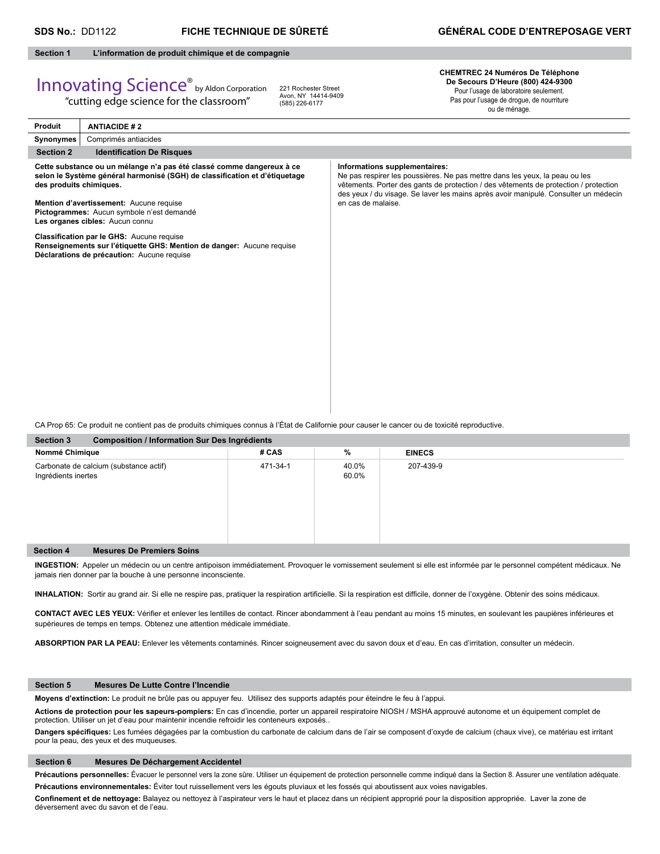#### **Section 1 L'information de produit chimique et de compagnie**

# Innovating Science® by Aldon Corporation

"cutting edge science for the classroom"

221 Rochester Street Avon, NY 14414-9409 (585) 226-6177

#### **CHEMTREC 24 Numéros De Téléphone De Secours D'Heure (800) 424-9300** Pour l'usage de laboratoire seulement. Pas pour l'usage de drogue, de nourriture

ou de ménage.

| Produit                 | <b>ANTIACIDE #2</b>                                                                                                                                                                                                                                                                                                                                                                                                                                |                                                                                                                                                                                                                                                                                                                   |  |  |  |
|-------------------------|----------------------------------------------------------------------------------------------------------------------------------------------------------------------------------------------------------------------------------------------------------------------------------------------------------------------------------------------------------------------------------------------------------------------------------------------------|-------------------------------------------------------------------------------------------------------------------------------------------------------------------------------------------------------------------------------------------------------------------------------------------------------------------|--|--|--|
| Synonymes               | Comprimés antiacides                                                                                                                                                                                                                                                                                                                                                                                                                               |                                                                                                                                                                                                                                                                                                                   |  |  |  |
| <b>Section 2</b>        | <b>Identification De Risques</b>                                                                                                                                                                                                                                                                                                                                                                                                                   |                                                                                                                                                                                                                                                                                                                   |  |  |  |
| des produits chimiques. | Cette substance ou un mélange n'a pas été classé comme dangereux à ce<br>selon le Système général harmonisé (SGH) de classification et d'étiquetage<br>Mention d'avertissement: Aucune requise<br>Pictogrammes: Aucun symbole n'est demandé<br>Les organes cibles: Aucun connu<br>Classification par le GHS: Aucune requise<br>Renseignements sur l'étiquette GHS: Mention de danger: Aucune requise<br>Déclarations de précaution: Aucune requise | Informations supplementaires:<br>Ne pas respirer les poussières. Ne pas mettre dans les yeux, la peau ou les<br>vêtements. Porter des gants de protection / des vêtements de protection / protection<br>des yeux / du visage. Se laver les mains après avoir manipulé. Consulter un médecin<br>en cas de malaise. |  |  |  |
|                         |                                                                                                                                                                                                                                                                                                                                                                                                                                                    |                                                                                                                                                                                                                                                                                                                   |  |  |  |
|                         |                                                                                                                                                                                                                                                                                                                                                                                                                                                    |                                                                                                                                                                                                                                                                                                                   |  |  |  |
|                         | CA Prop 65: Ce produit ne contient pas de produits chimiques connus à l'État de Californie pour causer le cancer ou de toxicité reproductive.                                                                                                                                                                                                                                                                                                      |                                                                                                                                                                                                                                                                                                                   |  |  |  |
| Section 3               | Composition / Information Sur Des Ingrédients                                                                                                                                                                                                                                                                                                                                                                                                      |                                                                                                                                                                                                                                                                                                                   |  |  |  |

| <b>OUGLOFF</b><br><b>Pomposition</b> / implifiation our Des ingredients |                                        |          |                |               |  |  |
|-------------------------------------------------------------------------|----------------------------------------|----------|----------------|---------------|--|--|
| Nommé Chimique                                                          |                                        | # CAS    | %              | <b>EINECS</b> |  |  |
| Ingrédients inertes                                                     | Carbonate de calcium (substance actif) | 471-34-1 | 40.0%<br>60.0% | 207-439-9     |  |  |
| <b>Section 4</b>                                                        | <b>Mesures De Premiers Soins</b>       |          |                |               |  |  |

**INGESTION:** Appeler un médecin ou un centre antipoison immédiatement. Provoquer le vomissement seulement si elle est informée par le personnel compétent médicaux. Ne jamais rien donner par la bouche à une personne inconsciente.

INHALATION: Sortir au grand air. Si elle ne respire pas, pratiquer la respiration artificielle. Si la respiration est difficile, donner de l'oxygène. Obtenir des soins médicaux.

CONTACT AVEC LES YEUX: Vérifier et enlever les lentilles de contact. Rincer abondamment à l'eau pendant au moins 15 minutes, en soulevant les paupières inférieures et supérieures de temps en temps. Obtenez une attention médicale immédiate.

**ABSORPTION PAR LA PEAU:** Enlever les vêtements contaminés. Rincer soigneusement avec du savon doux et d'eau. En cas d'irritation, consulter un médecin.

#### **Section 5 Mesures De Lutte Contre l'Incendie**

**Moyens d'extinction:** Le produit ne brûle pas ou appuyer feu. Utilisez des supports adaptés pour éteindre le feu à l'appui.

**Actions de protection pour les sapeurs-pompiers:** En cas d'incendie, porter un appareil respiratoire NIOSH / MSHA approuvé autonome et un équipement complet de protection. Utiliser un jet d'eau pour maintenir incendie refroidir les conteneurs exposés..

Dangers spécifiques: Les fumées dégagées par la combustion du carbonate de calcium dans de l'air se composent d'oxyde de calcium (chaux vive), ce matériau est irritant pour la peau, des yeux et des muqueuses.

#### **Section 6 Mesures De Déchargement Accidentel**

Précautions personnelles: Évacuer le personnel vers la zone sûre. Utiliser un équipement de protection personnelle comme indiqué dans la Section 8. Assurer une ventilation adéquate. **Précautions environnementales:** Éviter tout ruissellement vers les égouts pluviaux et les fossés qui aboutissent aux voies navigables.

Confinement et de nettoyage: Balayez ou nettoyez à l'aspirateur vers le haut et placez dans un récipient approprié pour la disposition appropriée. Laver la zone de déversement avec du savon et de l'eau.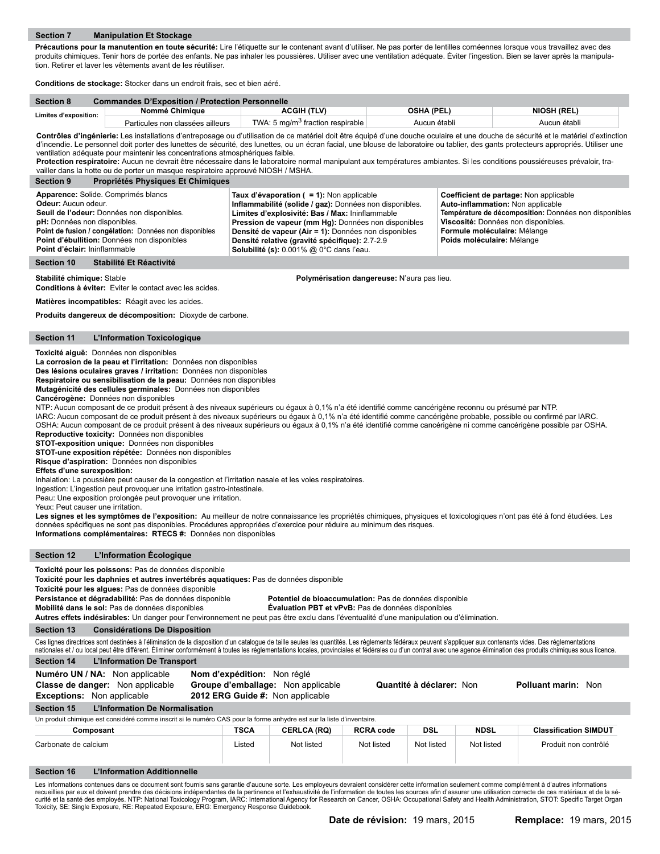Précautions pour la manutention en toute sécurité: Lire l'étiquette sur le contenant avant d'utiliser. Ne pas porter de lentilles cornéennes lorsque vous travaillez avec des produits chimiques. Tenir hors de portée des enfants. Ne pas inhaler les poussières. Utiliser avec une ventilation adéquate. Éviter l'ingestion. Bien se laver après la manipulation. Retirer et laver les vêtements avant de les réutiliser.

**Conditions de stockage:** Stocker dans un endroit frais, sec et bien aéré.

| <b>Section 8</b>      | <b>Commandes D'Exposition / Protection Personnelle</b> |                                              |              |                    |  |  |
|-----------------------|--------------------------------------------------------|----------------------------------------------|--------------|--------------------|--|--|
| Limites d'exposition: | Nommé Chimiaue                                         | ACGIH (TLV)                                  | OSHA (PEL)   | <b>NIOSH (REL)</b> |  |  |
|                       | Particules non classées ailleurs                       | TWA: 5 mg/m <sup>3</sup> fraction respirable | Aucun établi | Aucun établi       |  |  |

Contrôles d'ingénierie: Les installations d'entreposage ou d'utilisation de ce matériel doit être équipé d'une douche oculaire et une douche de sécurité et le matériel d'extinction d'incendie. Le personnel doit porter des lunettes de sécurité, des lunettes, ou un écran facial, une blouse de laboratoire ou tablier, des gants protecteurs appropriés. Utiliser une ventilation adéquate pour maintenir les concentrations atmosphériques faible.

**Protection respiratoire:** Aucun ne devrait être nécessaire dans le laboratoire normal manipulant aux températures ambiantes. Si les conditions poussiéreuses prévaloir, travailler dans la hotte ou de porter un masque respiratoire approuvé NIOSH / MSHA.

| <b>Propriétés Physiques Et Chimiques</b><br><b>Section 9</b>                                                                                                                                                                                                                              |                                                                                                                                                                                                                                                                                                                                                                      |                                                                                                                                                                                                                                           |
|-------------------------------------------------------------------------------------------------------------------------------------------------------------------------------------------------------------------------------------------------------------------------------------------|----------------------------------------------------------------------------------------------------------------------------------------------------------------------------------------------------------------------------------------------------------------------------------------------------------------------------------------------------------------------|-------------------------------------------------------------------------------------------------------------------------------------------------------------------------------------------------------------------------------------------|
| Apparence: Solide. Comprimés blancs<br>Odeur: Aucun odeur.<br>Seuil de l'odeur: Données non disponibles.<br><b>pH:</b> Données non disponibles.<br>Point de fusion / congélation: Données non disponibles<br>Point d'ébullition: Données non disponibles<br>Point d'éclair: Ininflammable | Taux d'évaporation ( = 1): Non applicable<br>Inflammabilité (solide / gaz): Données non disponibles.<br>Limites d'explosivité: Bas / Max: Ininflammable<br>Pression de vapeur (mm Hg): Données non disponibles<br>Densité de vapeur (Air = 1): Données non disponibles<br>Densité relative (gravité spécifique): 2.7-2.9<br>Solubilité (s): 0.001% @ 0°C dans l'eau. | Coefficient de partage: Non applicable<br>Auto-inflammation: Non applicable<br>Température de décomposition: Données non disponibles<br>Viscosité: Données non disponibles.<br>Formule moléculaire: Mélange<br>Poids moléculaire: Mélange |
| Stabilité Et Réactivité<br>Section 10                                                                                                                                                                                                                                                     |                                                                                                                                                                                                                                                                                                                                                                      |                                                                                                                                                                                                                                           |

**Stabilité chimique:** Stable **Polymérisation dangereuse:** N'aura pas lieu.

**Conditions à éviter:** Eviter le contact avec les acides.

**Matières incompatibles:** Réagit avec les acides.

**Produits dangereux de décomposition:** Dioxyde de carbone.

#### **Section 11 L'Information Toxicologique**

**Toxicité aiguë:** Données non disponibles

**La corrosion de la peau et l'irritation:** Données non disponibles

**Des lésions oculaires graves / irritation:** Données non disponibles

**Respiratoire ou sensibilisation de la peau:** Données non disponibles **Mutagénicité des cellules germinales:** Données non disponibles

**Cancérogène:** Données non disponibles

NTP: Aucun composant de ce produit présent à des niveaux supérieurs ou égaux à 0,1% n'a été identifié comme cancérigène reconnu ou présumé par NTP.

IARC: Aucun composant de ce produit présent à des niveaux supérieurs ou égaux à 0,1% n'a été identifié comme cancérigène probable, possible ou confirmé par IARC. OSHA: Aucun composant de ce produit présent à des niveaux supérieurs ou égaux à 0,1% n'a été identifié comme cancérigène ni comme cancérigène possible par OSHA.

**Reproductive toxicity:** Données non disponibles

**STOT-exposition unique:** Données non disponibles

**STOT-une exposition répétée:** Données non disponibles

**Risque d'aspiration:** Données non disponibles

**Effets d'une surexposition:** 

Inhalation: La poussière peut causer de la congestion et l'irritation nasale et les voies respiratoires.

Ingestion: L'ingestion peut provoquer une irritation gastro-intestinale.

Peau: Une exposition prolongée peut provoquer une irritation.

Yeux: Peut causer une irritation.

Les signes et les symptômes de l'exposition: Au meilleur de notre connaissance les propriétés chimiques, physiques et toxicologiques n'ont pas été à fond étudiées. Les données spécifiques ne sont pas disponibles. Procédures appropriées d'exercice pour réduire au minimum des risques. **Informations complémentaires: RTECS #:** Données non disponibles

**Section 12 L'Information Écologique**

**Toxicité pour les poissons:** Pas de données disponible

**Toxicité pour les daphnies et autres invertébrés aquatiques:** Pas de données disponible

**Toxicité pour les algues:** Pas de données disponible

**Persistance et dégradabilité:** Pas de données disponible **Potentiel de bioaccumulation:** Pas de données disponible

**Mobilité dans le sol:** Pas de données disponibles **Évaluation PBT et vPvB:** Pas de données disponibles

**Autres effets indésirables:** Un danger pour l'environnement ne peut pas être exclu dans l'éventualité d'une manipulation ou d'élimination.

**Section 13 Considérations De Disposition**

Ces lignes directrices sont destinées à l'élimination de la disposition d'un catalogue de taille seules les quantités. Les règlements fédéraux peuvent s'appliquer aux contenants vides. Des réglementations nationales et / ou local peut être différent. Éliminer conformément à toutes les réglementations locales, provinciales et fédérales ou d'un contrat avec une agence élimination des produits chimiques sous liquids chimiques

| nationaloo oce ou looal poac otto allionomi. Elliminol oomomomenta toatoo loo roqiomomatoho loodioo, promiotaloo ottoaonaloo od a ah oomattu aqomoo olimiination doo prodatto ommiqaoo oodo hoorloo.                                                                                                                                                                                                                 |                                                                                                       |                    |                  |                          |             |                              |  |
|----------------------------------------------------------------------------------------------------------------------------------------------------------------------------------------------------------------------------------------------------------------------------------------------------------------------------------------------------------------------------------------------------------------------|-------------------------------------------------------------------------------------------------------|--------------------|------------------|--------------------------|-------------|------------------------------|--|
| <b>Section 14</b><br><b>L'Information De Transport</b>                                                                                                                                                                                                                                                                                                                                                               |                                                                                                       |                    |                  |                          |             |                              |  |
| Numéro UN / NA: Non applicable<br>Classe de danger: Non applicable<br><b>Exceptions:</b> Non applicable                                                                                                                                                                                                                                                                                                              | Nom d'expédition: Non réglé<br>Groupe d'emballage: Non applicable<br>2012 ERG Guide #: Non applicable |                    |                  | Quantité à déclarer: Non |             | <b>Polluant marin: Non</b>   |  |
| Section 15<br><b>L'Information De Normalisation</b>                                                                                                                                                                                                                                                                                                                                                                  |                                                                                                       |                    |                  |                          |             |                              |  |
| Un produit chimique est considéré comme inscrit si le numéro CAS pour la forme anhydre est sur la liste d'inventaire.                                                                                                                                                                                                                                                                                                |                                                                                                       |                    |                  |                          |             |                              |  |
| Composant                                                                                                                                                                                                                                                                                                                                                                                                            | <b>TSCA</b>                                                                                           | <b>CERLCA (RQ)</b> | <b>RCRA code</b> | DSL                      | <b>NDSL</b> | <b>Classification SIMDUT</b> |  |
| Carbonate de calcium                                                                                                                                                                                                                                                                                                                                                                                                 | Listed                                                                                                | Not listed         | Not listed       | Not listed               | Not listed  | Produit non contrôlé         |  |
| <b>Section 16</b><br><b>L'Information Additionnelle</b>                                                                                                                                                                                                                                                                                                                                                              |                                                                                                       |                    |                  |                          |             |                              |  |
| Les informations contenues dans ce document sont fournis sans garantie d'aucune sorte. Les employeurs devraient considérer cette information seulement comme complément à d'autres informations<br>requeillige nor eux et doivent prendre des décisions indépendantes de la pertinence et l'exhaustivité de l'information de toutes les sources afin d'assurer une utilisation correcte de ces matériaux et de la sé |                                                                                                       |                    |                  |                          |             |                              |  |

recueillies par eux et doivent prendre des décisions indépendantes de la pertinence et l'exhaustivité de l'information de toutes les sources afin d'assurer une utilisation correcte de ces matériaux et de la sé-<br>curité et l Toxicity, SE: Single Exposure, RE: Repeated Exposure, ERG: Emergency Response Guidebook.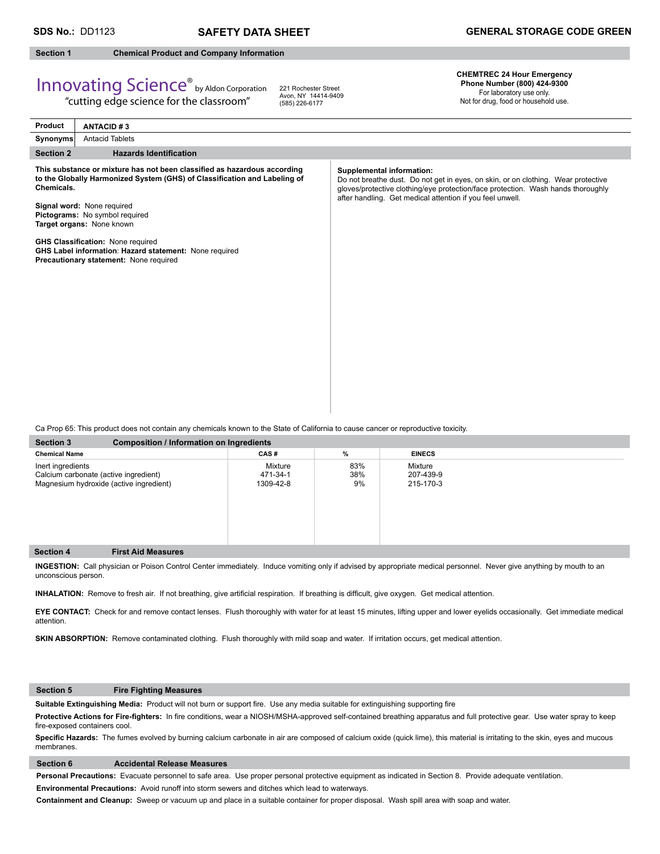#### **Section 1 Chemical Product and Company Information**

## Innovating Science® by Aldon Corporation

"cutting edge science for the classroom"

221 Rochester Street Avon, NY 14414-9409 (585) 226-6177

**CHEMTREC 24 Hour Emergency Phone Number (800) 424-9300**  For laboratory use only.

Not for drug, food or household use.

| Product          | <b>ANTACID#3</b>                                                                                                                                                                                                                                                                                                                                                                                   |                                                                                                                                                                                                                                                                 |
|------------------|----------------------------------------------------------------------------------------------------------------------------------------------------------------------------------------------------------------------------------------------------------------------------------------------------------------------------------------------------------------------------------------------------|-----------------------------------------------------------------------------------------------------------------------------------------------------------------------------------------------------------------------------------------------------------------|
| Synonyms         | <b>Antacid Tablets</b>                                                                                                                                                                                                                                                                                                                                                                             |                                                                                                                                                                                                                                                                 |
| <b>Section 2</b> | <b>Hazards Identification</b>                                                                                                                                                                                                                                                                                                                                                                      |                                                                                                                                                                                                                                                                 |
| Chemicals.       | This substance or mixture has not been classified as hazardous according<br>to the Globally Harmonized System (GHS) of Classification and Labeling of<br>Signal word: None required<br>Pictograms: No symbol required<br>Target organs: None known<br><b>GHS Classification: None required</b><br>GHS Label information: Hazard statement: None required<br>Precautionary statement: None required | Supplemental information:<br>Do not breathe dust. Do not get in eyes, on skin, or on clothing. Wear protective<br>gloves/protective clothing/eye protection/face protection. Wash hands thoroughly<br>after handling. Get medical attention if you feel unwell. |
|                  |                                                                                                                                                                                                                                                                                                                                                                                                    |                                                                                                                                                                                                                                                                 |

Ca Prop 65: This product does not contain any chemicals known to the State of California to cause cancer or reproductive toxicity.

| <b>Composition / Information on Ingredients</b><br><b>Section 3</b>                                   |                           |                                  |                  |                                   |  |
|-------------------------------------------------------------------------------------------------------|---------------------------|----------------------------------|------------------|-----------------------------------|--|
| <b>Chemical Name</b>                                                                                  |                           | CAS#                             | %                | <b>EINECS</b>                     |  |
| Inert ingredients<br>Calcium carbonate (active ingredient)<br>Magnesium hydroxide (active ingredient) |                           | Mixture<br>471-34-1<br>1309-42-8 | 83%<br>38%<br>9% | Mixture<br>207-439-9<br>215-170-3 |  |
| <b>Section 4</b>                                                                                      | <b>First Aid Measures</b> |                                  |                  |                                   |  |

**INGESTION:** Call physician or Poison Control Center immediately. Induce vomiting only if advised by appropriate medical personnel.Never give anything by mouth to an unconscious person.

INHALATION: Remove to fresh air. If not breathing, give artificial respiration. If breathing is difficult, give oxygen. Get medical attention.

**EYE CONTACT:** Check for and remove contact lenses. Flush thoroughly with water for at least 15 minutes, lifting upper and lower eyelids occasionally. Get immediate medical attention.

**SKIN ABSORPTION:** Remove contaminated clothing. Flush thoroughly with mild soap and water. If irritation occurs, get medical attention.

### **Section 5 Fire Fighting Measures**

Suitable Extinguishing Media: Product will not burn or support fire. Use any media suitable for extinguishing supporting fire

Protective Actions for Fire-fighters: In fire conditions, wear a NIOSH/MSHA-approved self-contained breathing apparatus and full protective gear. Use water spray to keep fire-exposed containers cool.

Specific Hazards: The fumes evolved by burning calcium carbonate in air are composed of calcium oxide (quick lime), this material is irritating to the skin, eyes and mucous membranes.

#### **Section 6 Accidental Release Measures**

**Personal Precautions:** Evacuate personnel to safe area. Use proper personal protective equipment as indicated in Section 8. Provide adequate ventilation.

**Environmental Precautions:** Avoid runoff into storm sewers and ditches which lead to waterways.

**Containment and Cleanup:** Sweep or vacuum up and place in a suitable container for proper disposal. Wash spill area with soap and water.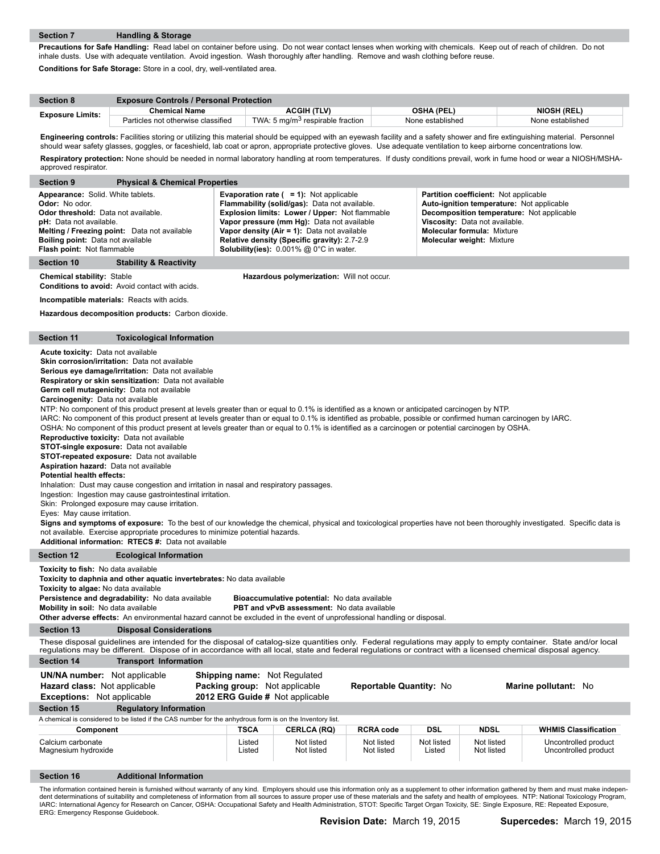**Precautions for Safe Handling:** Read label on container before using. Do not wear contact lenses when working with chemicals. Keep out of reach of children. Do not inhale dusts. Use with adequate ventilation. Avoid ingestion. Wash thoroughly after handling. Remove and wash clothing before reuse. **Conditions for Safe Storage:** Store in a cool, dry, well-ventilated area.

| <b>Section 8</b>        | <b>Exposure Controls / Personal Protection</b> |                                              |                   |                    |  |  |
|-------------------------|------------------------------------------------|----------------------------------------------|-------------------|--------------------|--|--|
| <b>Exposure Limits:</b> | <b>Chemical Name</b>                           | <b>ACGIH (TLV)</b>                           | <b>OSHA (PEL)</b> | <b>NIOSH (REL)</b> |  |  |
|                         | Particles not otherwise classified             | TWA: 5 mg/m <sup>3</sup> respirable fraction | None established  | None established   |  |  |

Engineering controls: Facilities storing or utilizing this material should be equipped with an eyewash facility and a safety shower and fire extinguishing material. Personnel should wear safety glasses, goggles, or faceshield, lab coat or apron, appropriate protective gloves. Use adequate ventilation to keep airborne concentrations low. **Respiratory protection:** None should be needed in normal laboratory handling at room temperatures. If dusty conditions prevail, work in fume hood or wear a NIOSH/MSHA-

| approved respirator.                                                                                                                                                                                                                                                                                                                                                                                                                                                                                                                                                                                                                                                                                                                                                                                                                                                                                                                                                                                                                                                                                                                                                                                                                                                                                                                                                                                                                                                                                                                                        |                                                                                                                                                                                                                                                                                                                             |                                     |                                                                                                                                                                                                                                                                                                                                                       |                          |                      |                                                                                                                                                                                                                                            |                                              |
|-------------------------------------------------------------------------------------------------------------------------------------------------------------------------------------------------------------------------------------------------------------------------------------------------------------------------------------------------------------------------------------------------------------------------------------------------------------------------------------------------------------------------------------------------------------------------------------------------------------------------------------------------------------------------------------------------------------------------------------------------------------------------------------------------------------------------------------------------------------------------------------------------------------------------------------------------------------------------------------------------------------------------------------------------------------------------------------------------------------------------------------------------------------------------------------------------------------------------------------------------------------------------------------------------------------------------------------------------------------------------------------------------------------------------------------------------------------------------------------------------------------------------------------------------------------|-----------------------------------------------------------------------------------------------------------------------------------------------------------------------------------------------------------------------------------------------------------------------------------------------------------------------------|-------------------------------------|-------------------------------------------------------------------------------------------------------------------------------------------------------------------------------------------------------------------------------------------------------------------------------------------------------------------------------------------------------|--------------------------|----------------------|--------------------------------------------------------------------------------------------------------------------------------------------------------------------------------------------------------------------------------------------|----------------------------------------------|
| <b>Section 9</b>                                                                                                                                                                                                                                                                                                                                                                                                                                                                                                                                                                                                                                                                                                                                                                                                                                                                                                                                                                                                                                                                                                                                                                                                                                                                                                                                                                                                                                                                                                                                            | <b>Physical &amp; Chemical Properties</b>                                                                                                                                                                                                                                                                                   |                                     |                                                                                                                                                                                                                                                                                                                                                       |                          |                      |                                                                                                                                                                                                                                            |                                              |
| Appearance: Solid. White tablets.<br>Odor: No odor.<br>Odor threshold: Data not available.<br>pH: Data not available.<br><b>Boiling point:</b> Data not available<br>Flash point: Not flammable                                                                                                                                                                                                                                                                                                                                                                                                                                                                                                                                                                                                                                                                                                                                                                                                                                                                                                                                                                                                                                                                                                                                                                                                                                                                                                                                                             | Melting / Freezing point: Data not available                                                                                                                                                                                                                                                                                |                                     | <b>Evaporation rate (<math>= 1</math>):</b> Not applicable<br>Flammability (solid/gas): Data not available.<br>Explosion limits: Lower / Upper: Not flammable<br>Vapor pressure (mm Hg): Data not available<br>Vapor density (Air = 1): Data not available<br>Relative density (Specific gravity): 2.7-2.9<br>Solubility(ies): 0.001% @ 0°C in water. |                          |                      | Partition coefficient: Not applicable<br>Auto-ignition temperature: Not applicable<br>Decomposition temperature: Not applicable<br>Viscosity: Data not available.<br><b>Molecular formula: Mixture</b><br><b>Molecular weight: Mixture</b> |                                              |
| Section 10                                                                                                                                                                                                                                                                                                                                                                                                                                                                                                                                                                                                                                                                                                                                                                                                                                                                                                                                                                                                                                                                                                                                                                                                                                                                                                                                                                                                                                                                                                                                                  | <b>Stability &amp; Reactivity</b>                                                                                                                                                                                                                                                                                           |                                     |                                                                                                                                                                                                                                                                                                                                                       |                          |                      |                                                                                                                                                                                                                                            |                                              |
| <b>Chemical stability: Stable</b>                                                                                                                                                                                                                                                                                                                                                                                                                                                                                                                                                                                                                                                                                                                                                                                                                                                                                                                                                                                                                                                                                                                                                                                                                                                                                                                                                                                                                                                                                                                           | Conditions to avoid: Avoid contact with acids.                                                                                                                                                                                                                                                                              |                                     | Hazardous polymerization: Will not occur.                                                                                                                                                                                                                                                                                                             |                          |                      |                                                                                                                                                                                                                                            |                                              |
|                                                                                                                                                                                                                                                                                                                                                                                                                                                                                                                                                                                                                                                                                                                                                                                                                                                                                                                                                                                                                                                                                                                                                                                                                                                                                                                                                                                                                                                                                                                                                             | Incompatible materials: Reacts with acids.                                                                                                                                                                                                                                                                                  |                                     |                                                                                                                                                                                                                                                                                                                                                       |                          |                      |                                                                                                                                                                                                                                            |                                              |
|                                                                                                                                                                                                                                                                                                                                                                                                                                                                                                                                                                                                                                                                                                                                                                                                                                                                                                                                                                                                                                                                                                                                                                                                                                                                                                                                                                                                                                                                                                                                                             | Hazardous decomposition products: Carbon dioxide.                                                                                                                                                                                                                                                                           |                                     |                                                                                                                                                                                                                                                                                                                                                       |                          |                      |                                                                                                                                                                                                                                            |                                              |
| Section 11                                                                                                                                                                                                                                                                                                                                                                                                                                                                                                                                                                                                                                                                                                                                                                                                                                                                                                                                                                                                                                                                                                                                                                                                                                                                                                                                                                                                                                                                                                                                                  | <b>Toxicological Information</b>                                                                                                                                                                                                                                                                                            |                                     |                                                                                                                                                                                                                                                                                                                                                       |                          |                      |                                                                                                                                                                                                                                            |                                              |
| Acute toxicity: Data not available<br>Skin corrosion/irritation: Data not available<br>Serious eye damage/irritation: Data not available<br>Respiratory or skin sensitization: Data not available<br>Germ cell mutagenicity: Data not available<br>Carcinogenity: Data not available<br>NTP: No component of this product present at levels greater than or equal to 0.1% is identified as a known or anticipated carcinogen by NTP.<br>IARC: No component of this product present at levels greater than or equal to 0.1% is identified as probable, possible or confirmed human carcinogen by IARC.<br>OSHA: No component of this product present at levels greater than or equal to 0.1% is identified as a carcinogen or potential carcinogen by OSHA.<br>Reproductive toxicity: Data not available<br><b>STOT-single exposure:</b> Data not available<br><b>STOT-repeated exposure:</b> Data not available<br>Aspiration hazard: Data not available<br><b>Potential health effects:</b><br>Inhalation: Dust may cause congestion and irritation in nasal and respiratory passages.<br>Ingestion: Ingestion may cause gastrointestinal irritation.<br>Skin: Prolonged exposure may cause irritation.<br>Eyes: May cause irritation.<br>Signs and symptoms of exposure: To the best of our knowledge the chemical, physical and toxicological properties have not been thoroughly investigated. Specific data is<br>not available. Exercise appropriate procedures to minimize potential hazards.<br>Additional information: RTECS #: Data not available |                                                                                                                                                                                                                                                                                                                             |                                     |                                                                                                                                                                                                                                                                                                                                                       |                          |                      |                                                                                                                                                                                                                                            |                                              |
| <b>Section 12</b>                                                                                                                                                                                                                                                                                                                                                                                                                                                                                                                                                                                                                                                                                                                                                                                                                                                                                                                                                                                                                                                                                                                                                                                                                                                                                                                                                                                                                                                                                                                                           | <b>Ecological Information</b>                                                                                                                                                                                                                                                                                               |                                     |                                                                                                                                                                                                                                                                                                                                                       |                          |                      |                                                                                                                                                                                                                                            |                                              |
| Toxicity to fish: No data available<br>Toxicity to algae: No data available<br>Mobility in soil: No data available                                                                                                                                                                                                                                                                                                                                                                                                                                                                                                                                                                                                                                                                                                                                                                                                                                                                                                                                                                                                                                                                                                                                                                                                                                                                                                                                                                                                                                          | Toxicity to daphnia and other aquatic invertebrates: No data available<br>Persistence and degradability: No data available<br>Other adverse effects: An environmental hazard cannot be excluded in the event of unprofessional handling or disposal.                                                                        |                                     | Bioaccumulative potential: No data available<br>PBT and vPvB assessment: No data available                                                                                                                                                                                                                                                            |                          |                      |                                                                                                                                                                                                                                            |                                              |
| <b>Section 13</b>                                                                                                                                                                                                                                                                                                                                                                                                                                                                                                                                                                                                                                                                                                                                                                                                                                                                                                                                                                                                                                                                                                                                                                                                                                                                                                                                                                                                                                                                                                                                           | <b>Disposal Considerations</b>                                                                                                                                                                                                                                                                                              |                                     |                                                                                                                                                                                                                                                                                                                                                       |                          |                      |                                                                                                                                                                                                                                            |                                              |
|                                                                                                                                                                                                                                                                                                                                                                                                                                                                                                                                                                                                                                                                                                                                                                                                                                                                                                                                                                                                                                                                                                                                                                                                                                                                                                                                                                                                                                                                                                                                                             | These disposal guidelines are intended for the disposal of catalog-size quantities only. Federal regulations may apply to empty container. State and/or local<br>regulations may be different. Dispose of in accordance with all local, state and federal regulations or contract with a licensed chemical disposal agency. |                                     |                                                                                                                                                                                                                                                                                                                                                       |                          |                      |                                                                                                                                                                                                                                            |                                              |
| <b>Section 14</b>                                                                                                                                                                                                                                                                                                                                                                                                                                                                                                                                                                                                                                                                                                                                                                                                                                                                                                                                                                                                                                                                                                                                                                                                                                                                                                                                                                                                                                                                                                                                           | <b>Transport Information</b>                                                                                                                                                                                                                                                                                                |                                     |                                                                                                                                                                                                                                                                                                                                                       |                          |                      |                                                                                                                                                                                                                                            |                                              |
| <b>UN/NA number:</b> Not applicable                                                                                                                                                                                                                                                                                                                                                                                                                                                                                                                                                                                                                                                                                                                                                                                                                                                                                                                                                                                                                                                                                                                                                                                                                                                                                                                                                                                                                                                                                                                         |                                                                                                                                                                                                                                                                                                                             | <b>Shipping name:</b> Not Regulated |                                                                                                                                                                                                                                                                                                                                                       |                          |                      |                                                                                                                                                                                                                                            |                                              |
| <b>Hazard class:</b> Not applicable                                                                                                                                                                                                                                                                                                                                                                                                                                                                                                                                                                                                                                                                                                                                                                                                                                                                                                                                                                                                                                                                                                                                                                                                                                                                                                                                                                                                                                                                                                                         |                                                                                                                                                                                                                                                                                                                             | Packing group: Not applicable       |                                                                                                                                                                                                                                                                                                                                                       | Reportable Quantity: No  |                      |                                                                                                                                                                                                                                            | Marine pollutant: No                         |
| <b>Exceptions:</b> Not applicable                                                                                                                                                                                                                                                                                                                                                                                                                                                                                                                                                                                                                                                                                                                                                                                                                                                                                                                                                                                                                                                                                                                                                                                                                                                                                                                                                                                                                                                                                                                           |                                                                                                                                                                                                                                                                                                                             | 2012 ERG Guide # Not applicable     |                                                                                                                                                                                                                                                                                                                                                       |                          |                      |                                                                                                                                                                                                                                            |                                              |
| <b>Section 15</b>                                                                                                                                                                                                                                                                                                                                                                                                                                                                                                                                                                                                                                                                                                                                                                                                                                                                                                                                                                                                                                                                                                                                                                                                                                                                                                                                                                                                                                                                                                                                           | <b>Regulatory Information</b><br>A chemical is considered to be listed if the CAS number for the anhydrous form is on the Inventory list.                                                                                                                                                                                   |                                     |                                                                                                                                                                                                                                                                                                                                                       |                          |                      |                                                                                                                                                                                                                                            |                                              |
| Component                                                                                                                                                                                                                                                                                                                                                                                                                                                                                                                                                                                                                                                                                                                                                                                                                                                                                                                                                                                                                                                                                                                                                                                                                                                                                                                                                                                                                                                                                                                                                   |                                                                                                                                                                                                                                                                                                                             | <b>TSCA</b>                         | <b>CERLCA (RQ)</b>                                                                                                                                                                                                                                                                                                                                    | <b>RCRA code</b>         | <b>DSL</b>           | <b>NDSL</b>                                                                                                                                                                                                                                | <b>WHMIS Classification</b>                  |
| Calcium carbonate<br>Magnesium hydroxide                                                                                                                                                                                                                                                                                                                                                                                                                                                                                                                                                                                                                                                                                                                                                                                                                                                                                                                                                                                                                                                                                                                                                                                                                                                                                                                                                                                                                                                                                                                    |                                                                                                                                                                                                                                                                                                                             | Listed<br>Listed                    | Not listed<br>Not listed                                                                                                                                                                                                                                                                                                                              | Not listed<br>Not listed | Not listed<br>Listed | Not listed<br>Not listed                                                                                                                                                                                                                   | Uncontrolled product<br>Uncontrolled product |
| <b>Section 16</b>                                                                                                                                                                                                                                                                                                                                                                                                                                                                                                                                                                                                                                                                                                                                                                                                                                                                                                                                                                                                                                                                                                                                                                                                                                                                                                                                                                                                                                                                                                                                           | <b>Additional Information</b>                                                                                                                                                                                                                                                                                               |                                     |                                                                                                                                                                                                                                                                                                                                                       |                          |                      |                                                                                                                                                                                                                                            |                                              |
|                                                                                                                                                                                                                                                                                                                                                                                                                                                                                                                                                                                                                                                                                                                                                                                                                                                                                                                                                                                                                                                                                                                                                                                                                                                                                                                                                                                                                                                                                                                                                             | The information contained herein is furnished without warranty of any kind. Employers should use this information only as a supplement to other information gathered by them and must make indepen                                                                                                                          |                                     |                                                                                                                                                                                                                                                                                                                                                       |                          |                      |                                                                                                                                                                                                                                            |                                              |

The information contained herein is furnished without warranty of any kind. Employers should use this information only as a supplement to other information gathered by them and must make indepen-<br>dent determinations of sui IARC: International Agency for Research on Cancer, OSHA: Occupational Safety and Health Administration, STOT: Specific Target Organ Toxicity, SE: Single Exposure, RE: Repeated Exposure,<br>ERG: Emergency Response Guidebook.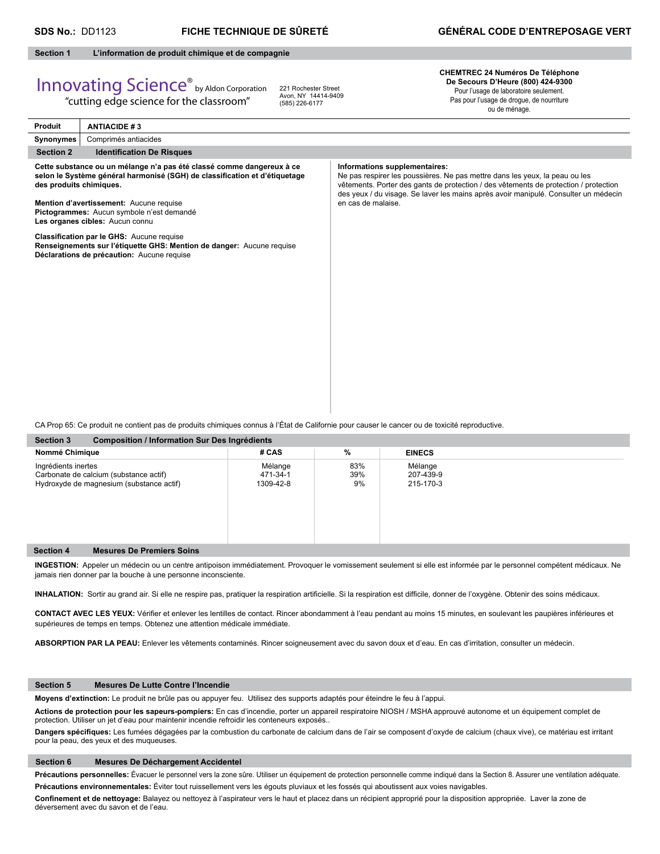#### **Section 1 L'information de produit chimique et de compagnie**

# Innovating Science® by Aldon Corporation

"cutting edge science for the classroom"

221 Rochester Street Avon, NY 14414-9409 (585) 226-6177

#### **CHEMTREC 24 Numéros De Téléphone De Secours D'Heure (800) 424-9300** Pour l'usage de laboratoire seulement. Pas pour l'usage de drogue, de nourriture

ou de ménage.

| Produit                 | <b>ANTIACIDE #3</b>                                                                                                                                                                                                                                                                                                                                                                                                                                |                                                                                                                                                                                                                                                                                                                   |  |  |  |  |
|-------------------------|----------------------------------------------------------------------------------------------------------------------------------------------------------------------------------------------------------------------------------------------------------------------------------------------------------------------------------------------------------------------------------------------------------------------------------------------------|-------------------------------------------------------------------------------------------------------------------------------------------------------------------------------------------------------------------------------------------------------------------------------------------------------------------|--|--|--|--|
| Synonymes               | Comprimés antiacides                                                                                                                                                                                                                                                                                                                                                                                                                               |                                                                                                                                                                                                                                                                                                                   |  |  |  |  |
| <b>Section 2</b>        | <b>Identification De Risques</b>                                                                                                                                                                                                                                                                                                                                                                                                                   |                                                                                                                                                                                                                                                                                                                   |  |  |  |  |
| des produits chimiques. | Cette substance ou un mélange n'a pas été classé comme dangereux à ce<br>selon le Système général harmonisé (SGH) de classification et d'étiquetage<br>Mention d'avertissement: Aucune requise<br>Pictogrammes: Aucun symbole n'est demandé<br>Les organes cibles: Aucun connu<br>Classification par le GHS: Aucune requise<br>Renseignements sur l'étiquette GHS: Mention de danger: Aucune requise<br>Déclarations de précaution: Aucune requise | Informations supplementaires:<br>Ne pas respirer les poussières. Ne pas mettre dans les yeux, la peau ou les<br>vêtements. Porter des gants de protection / des vêtements de protection / protection<br>des yeux / du visage. Se laver les mains après avoir manipulé. Consulter un médecin<br>en cas de malaise. |  |  |  |  |
|                         |                                                                                                                                                                                                                                                                                                                                                                                                                                                    |                                                                                                                                                                                                                                                                                                                   |  |  |  |  |
|                         |                                                                                                                                                                                                                                                                                                                                                                                                                                                    |                                                                                                                                                                                                                                                                                                                   |  |  |  |  |
|                         | CA Prop 65: Ce produit ne contient pas de produits chimiques connus à l'État de Californie pour causer le cancer ou de toxicité reproductive.                                                                                                                                                                                                                                                                                                      |                                                                                                                                                                                                                                                                                                                   |  |  |  |  |
|                         | <b>Section 3</b><br><b>Composition / Information Sur Des Ingrédients</b>                                                                                                                                                                                                                                                                                                                                                                           |                                                                                                                                                                                                                                                                                                                   |  |  |  |  |

| Nommé Chimique      |                                                                                    | # CAS                            | %                | <b>EINECS</b>                     |  |  |
|---------------------|------------------------------------------------------------------------------------|----------------------------------|------------------|-----------------------------------|--|--|
| Ingrédients inertes | Carbonate de calcium (substance actif)<br>Hydroxyde de magnesium (substance actif) | Mélange<br>471-34-1<br>1309-42-8 | 83%<br>39%<br>9% | Mélange<br>207-439-9<br>215-170-3 |  |  |
| <b>Section 4</b>    | <b>Mesures De Premiers Soins</b>                                                   |                                  |                  |                                   |  |  |

**INGESTION:** Appeler un médecin ou un centre antipoison immédiatement. Provoquer le vomissement seulement si elle est informée par le personnel compétent médicaux. Ne jamais rien donner par la bouche à une personne inconsciente.

INHALATION: Sortir au grand air. Si elle ne respire pas, pratiquer la respiration artificielle. Si la respiration est difficile, donner de l'oxygène. Obtenir des soins médicaux.

CONTACT AVEC LES YEUX: Vérifier et enlever les lentilles de contact. Rincer abondamment à l'eau pendant au moins 15 minutes, en soulevant les paupières inférieures et supérieures de temps en temps. Obtenez une attention médicale immédiate.

**ABSORPTION PAR LA PEAU:** Enlever les vêtements contaminés. Rincer soigneusement avec du savon doux et d'eau. En cas d'irritation, consulter un médecin.

#### **Section 5 Mesures De Lutte Contre l'Incendie**

**Moyens d'extinction:** Le produit ne brûle pas ou appuyer feu. Utilisez des supports adaptés pour éteindre le feu à l'appui.

**Actions de protection pour les sapeurs-pompiers:** En cas d'incendie, porter un appareil respiratoire NIOSH / MSHA approuvé autonome et un équipement complet de protection. Utiliser un jet d'eau pour maintenir incendie refroidir les conteneurs exposés..

Dangers spécifiques: Les fumées dégagées par la combustion du carbonate de calcium dans de l'air se composent d'oxyde de calcium (chaux vive), ce matériau est irritant pour la peau, des yeux et des muqueuses.

#### **Section 6 Mesures De Déchargement Accidentel**

Précautions personnelles: Évacuer le personnel vers la zone sûre. Utiliser un équipement de protection personnelle comme indiqué dans la Section 8. Assurer une ventilation adéquate. **Précautions environnementales:** Éviter tout ruissellement vers les égouts pluviaux et les fossés qui aboutissent aux voies navigables.

Confinement et de nettoyage: Balayez ou nettoyez à l'aspirateur vers le haut et placez dans un récipient approprié pour la disposition appropriée. Laver la zone de déversement avec du savon et de l'eau.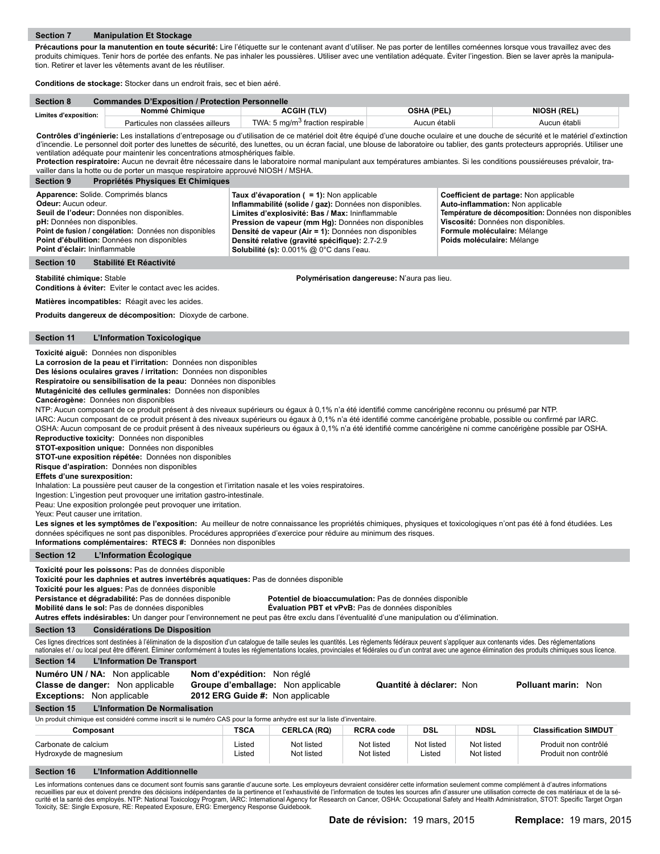Précautions pour la manutention en toute sécurité: Lire l'étiquette sur le contenant avant d'utiliser. Ne pas porter de lentilles cornéennes lorsque vous travaillez avec des produits chimiques. Tenir hors de portée des enfants. Ne pas inhaler les poussières. Utiliser avec une ventilation adéquate. Éviter l'ingestion. Bien se laver après la manipulation. Retirer et laver les vêtements avant de les réutiliser.

**Conditions de stockage:** Stocker dans un endroit frais, sec et bien aéré.

| <b>Section 8</b>      | <b>Commandes D'Exposition / Protection Personnelle</b> |                                              |              |                    |  |  |
|-----------------------|--------------------------------------------------------|----------------------------------------------|--------------|--------------------|--|--|
| Limites d'exposition: | Nommé Chimiaue                                         | ACGIH (TLV)                                  | OSHA (PEL)   | <b>NIOSH (REL)</b> |  |  |
|                       | Particules non classées ailleurs                       | TWA: 5 mg/m <sup>3</sup> fraction respirable | Aucun établi | Aucun établi       |  |  |

**Contrôles d'ingénierie:** Les installations d'entreposage ou d'utilisation de ce matériel doit être équipé d'une douche oculaire et une douche de sécurité et le matériel d'extinction d'incendie. Le personnel doit porter des lunettes de sécurité, des lunettes, ou un écran facial, une blouse de laboratoire ou tablier, des gants protecteurs appropriés. Utiliser une ventilation adéquate pour maintenir les concentrations atmosphériques faible.

**Protection respiratoire:** Aucun ne devrait être nécessaire dans le laboratoire normal manipulant aux températures ambiantes. Si les conditions poussiéreuses prévaloir, travailler dans la hotte ou de porter un masque respiratoire approuvé NIOSH / MSHA.

| <b>Section 9</b>                                                                                                                                                                                                                                                                                                                                                                                                                                                                                                                                                                                                                                                                                                 | vallier dans la notte ou de porter un masque respiratoire approuve NIOSH / MSHA.<br>Propriétés Physiques Et Chimiques                                                                                                                                                                                                                                                                                                                                                                                                                                                                                                                                                                                                                                                                                                                                                                                                                                                                                                                                                                                                                                                                                                                                                                                                                                                                                                                                                                                                                                                                                                                                                                                                |                                    |                  |                                                                        |                                                       |                      |                                        |                                              |
|------------------------------------------------------------------------------------------------------------------------------------------------------------------------------------------------------------------------------------------------------------------------------------------------------------------------------------------------------------------------------------------------------------------------------------------------------------------------------------------------------------------------------------------------------------------------------------------------------------------------------------------------------------------------------------------------------------------|----------------------------------------------------------------------------------------------------------------------------------------------------------------------------------------------------------------------------------------------------------------------------------------------------------------------------------------------------------------------------------------------------------------------------------------------------------------------------------------------------------------------------------------------------------------------------------------------------------------------------------------------------------------------------------------------------------------------------------------------------------------------------------------------------------------------------------------------------------------------------------------------------------------------------------------------------------------------------------------------------------------------------------------------------------------------------------------------------------------------------------------------------------------------------------------------------------------------------------------------------------------------------------------------------------------------------------------------------------------------------------------------------------------------------------------------------------------------------------------------------------------------------------------------------------------------------------------------------------------------------------------------------------------------------------------------------------------------|------------------------------------|------------------|------------------------------------------------------------------------|-------------------------------------------------------|----------------------|----------------------------------------|----------------------------------------------|
|                                                                                                                                                                                                                                                                                                                                                                                                                                                                                                                                                                                                                                                                                                                  | Apparence: Solide. Comprimés blancs                                                                                                                                                                                                                                                                                                                                                                                                                                                                                                                                                                                                                                                                                                                                                                                                                                                                                                                                                                                                                                                                                                                                                                                                                                                                                                                                                                                                                                                                                                                                                                                                                                                                                  |                                    |                  | Taux d'évaporation ( = 1): Non applicable                              |                                                       |                      | Coefficient de partage: Non applicable |                                              |
| Odeur: Aucun odeur.<br>Auto-inflammation: Non applicable<br>Inflammabilité (solide / gaz): Données non disponibles.<br>Seuil de l'odeur: Données non disponibles.<br>Limites d'explosivité: Bas / Max: Ininflammable<br>pH: Données non disponibles.<br>Viscosité: Données non disponibles.<br>Pression de vapeur (mm Hg): Données non disponibles<br>Point de fusion / congélation: Données non disponibles<br>Formule moléculaire: Mélange<br>Densité de vapeur (Air = 1): Données non disponibles<br>Point d'ébullition: Données non disponibles<br>Densité relative (gravité spécifique): 2.7-2.9<br>Poids moléculaire: Mélange<br>Point d'éclair: Ininflammable<br>Solubilité (s): 0.001% @ 0°C dans l'eau. |                                                                                                                                                                                                                                                                                                                                                                                                                                                                                                                                                                                                                                                                                                                                                                                                                                                                                                                                                                                                                                                                                                                                                                                                                                                                                                                                                                                                                                                                                                                                                                                                                                                                                                                      |                                    |                  |                                                                        | Température de décomposition: Données non disponibles |                      |                                        |                                              |
| <b>Section 10</b>                                                                                                                                                                                                                                                                                                                                                                                                                                                                                                                                                                                                                                                                                                | Stabilité Et Réactivité                                                                                                                                                                                                                                                                                                                                                                                                                                                                                                                                                                                                                                                                                                                                                                                                                                                                                                                                                                                                                                                                                                                                                                                                                                                                                                                                                                                                                                                                                                                                                                                                                                                                                              |                                    |                  |                                                                        |                                                       |                      |                                        |                                              |
| Stabilité chimique: Stable                                                                                                                                                                                                                                                                                                                                                                                                                                                                                                                                                                                                                                                                                       | Conditions à éviter: Eviter le contact avec les acides.                                                                                                                                                                                                                                                                                                                                                                                                                                                                                                                                                                                                                                                                                                                                                                                                                                                                                                                                                                                                                                                                                                                                                                                                                                                                                                                                                                                                                                                                                                                                                                                                                                                              |                                    |                  |                                                                        | Polymérisation dangereuse: N'aura pas lieu.           |                      |                                        |                                              |
|                                                                                                                                                                                                                                                                                                                                                                                                                                                                                                                                                                                                                                                                                                                  | Matières incompatibles: Réagit avec les acides.                                                                                                                                                                                                                                                                                                                                                                                                                                                                                                                                                                                                                                                                                                                                                                                                                                                                                                                                                                                                                                                                                                                                                                                                                                                                                                                                                                                                                                                                                                                                                                                                                                                                      |                                    |                  |                                                                        |                                                       |                      |                                        |                                              |
|                                                                                                                                                                                                                                                                                                                                                                                                                                                                                                                                                                                                                                                                                                                  | Produits dangereux de décomposition: Dioxyde de carbone.                                                                                                                                                                                                                                                                                                                                                                                                                                                                                                                                                                                                                                                                                                                                                                                                                                                                                                                                                                                                                                                                                                                                                                                                                                                                                                                                                                                                                                                                                                                                                                                                                                                             |                                    |                  |                                                                        |                                                       |                      |                                        |                                              |
| <b>Section 11</b>                                                                                                                                                                                                                                                                                                                                                                                                                                                                                                                                                                                                                                                                                                | L'Information Toxicologique                                                                                                                                                                                                                                                                                                                                                                                                                                                                                                                                                                                                                                                                                                                                                                                                                                                                                                                                                                                                                                                                                                                                                                                                                                                                                                                                                                                                                                                                                                                                                                                                                                                                                          |                                    |                  |                                                                        |                                                       |                      |                                        |                                              |
| Informations complémentaires: RTECS #: Données non disponibles                                                                                                                                                                                                                                                                                                                                                                                                                                                                                                                                                                                                                                                   | Toxicité aiguë: Données non disponibles<br>La corrosion de la peau et l'irritation: Données non disponibles<br>Des lésions oculaires graves / irritation: Données non disponibles<br>Respiratoire ou sensibilisation de la peau: Données non disponibles<br>Mutagénicité des cellules germinales: Données non disponibles<br>Cancérogène: Données non disponibles<br>NTP: Aucun composant de ce produit présent à des niveaux supérieurs ou égaux à 0,1% n'a été identifié comme cancérigène reconnu ou présumé par NTP.<br>IARC: Aucun composant de ce produit présent à des niveaux supérieurs ou égaux à 0,1% n'a été identifié comme cancérigène probable, possible ou confirmé par IARC.<br>OSHA: Aucun composant de ce produit présent à des niveaux supérieurs ou égaux à 0,1% n'a été identifié comme cancérigène ni comme cancérigène possible par OSHA.<br>Reproductive toxicity: Données non disponibles<br><b>STOT-exposition unique: Données non disponibles</b><br>STOT-une exposition répétée: Données non disponibles<br>Risque d'aspiration: Données non disponibles<br>Effets d'une surexposition:<br>Inhalation: La poussière peut causer de la congestion et l'irritation nasale et les voies respiratoires.<br>Ingestion: L'ingestion peut provoquer une irritation gastro-intestinale.<br>Peau: Une exposition prolongée peut provoquer une irritation.<br>Yeux: Peut causer une irritation.<br>Les signes et les symptômes de l'exposition: Au meilleur de notre connaissance les propriétés chimiques, physiques et toxicologiques n'ont pas été à fond étudiées. Les<br>données spécifiques ne sont pas disponibles. Procédures appropriées d'exercice pour réduire au minimum des risques. |                                    |                  |                                                                        |                                                       |                      |                                        |                                              |
| <b>Section 12</b>                                                                                                                                                                                                                                                                                                                                                                                                                                                                                                                                                                                                                                                                                                | L'Information Écologique                                                                                                                                                                                                                                                                                                                                                                                                                                                                                                                                                                                                                                                                                                                                                                                                                                                                                                                                                                                                                                                                                                                                                                                                                                                                                                                                                                                                                                                                                                                                                                                                                                                                                             |                                    |                  |                                                                        |                                                       |                      |                                        |                                              |
| Toxicité pour les poissons: Pas de données disponible<br>Toxicité pour les daphnies et autres invertébrés aquatiques: Pas de données disponible<br>Toxicité pour les algues: Pas de données disponible<br>Persistance et dégradabilité: Pas de données disponible<br>Potentiel de bioaccumulation: Pas de données disponible<br>Mobilité dans le sol: Pas de données disponibles<br>Evaluation PBT et vPvB: Pas de données disponibles<br>Autres effets indésirables: Un danger pour l'environnement ne peut pas être exclu dans l'éventualité d'une manipulation ou d'élimination.                                                                                                                              |                                                                                                                                                                                                                                                                                                                                                                                                                                                                                                                                                                                                                                                                                                                                                                                                                                                                                                                                                                                                                                                                                                                                                                                                                                                                                                                                                                                                                                                                                                                                                                                                                                                                                                                      |                                    |                  |                                                                        |                                                       |                      |                                        |                                              |
| <b>Section 13</b>                                                                                                                                                                                                                                                                                                                                                                                                                                                                                                                                                                                                                                                                                                | <b>Considérations De Disposition</b>                                                                                                                                                                                                                                                                                                                                                                                                                                                                                                                                                                                                                                                                                                                                                                                                                                                                                                                                                                                                                                                                                                                                                                                                                                                                                                                                                                                                                                                                                                                                                                                                                                                                                 |                                    |                  |                                                                        |                                                       |                      |                                        |                                              |
| <b>Section 14</b>                                                                                                                                                                                                                                                                                                                                                                                                                                                                                                                                                                                                                                                                                                | Ces lignes directrices sont destinées à l'élimination de la disposition d'un catalogue de taille seules les quantités. Les règlements fédéraux peuvent s'appliquer aux contenants vides. Des réglementations<br>nationales et / ou local peut être différent. Eliminer conformément à toutes les réglementations locales, provinciales et fédérales ou d'un contrat avec une agence élimination des produits chimiques sous licence.<br><b>L'Information De Transport</b>                                                                                                                                                                                                                                                                                                                                                                                                                                                                                                                                                                                                                                                                                                                                                                                                                                                                                                                                                                                                                                                                                                                                                                                                                                            |                                    |                  |                                                                        |                                                       |                      |                                        |                                              |
|                                                                                                                                                                                                                                                                                                                                                                                                                                                                                                                                                                                                                                                                                                                  | Numéro UN / NA: Non applicable                                                                                                                                                                                                                                                                                                                                                                                                                                                                                                                                                                                                                                                                                                                                                                                                                                                                                                                                                                                                                                                                                                                                                                                                                                                                                                                                                                                                                                                                                                                                                                                                                                                                                       | <b>Nom d'expédition:</b> Non réglé |                  |                                                                        |                                                       |                      |                                        |                                              |
|                                                                                                                                                                                                                                                                                                                                                                                                                                                                                                                                                                                                                                                                                                                  | Classe de danger: Non applicable<br><b>Exceptions:</b> Non applicable                                                                                                                                                                                                                                                                                                                                                                                                                                                                                                                                                                                                                                                                                                                                                                                                                                                                                                                                                                                                                                                                                                                                                                                                                                                                                                                                                                                                                                                                                                                                                                                                                                                |                                    |                  | Groupe d'emballage: Non applicable<br>2012 ERG Guide #: Non applicable |                                                       |                      | Quantité à déclarer: Non               | <b>Polluant marin: Non</b>                   |
| <b>Section 15</b>                                                                                                                                                                                                                                                                                                                                                                                                                                                                                                                                                                                                                                                                                                | <b>L'Information De Normalisation</b>                                                                                                                                                                                                                                                                                                                                                                                                                                                                                                                                                                                                                                                                                                                                                                                                                                                                                                                                                                                                                                                                                                                                                                                                                                                                                                                                                                                                                                                                                                                                                                                                                                                                                |                                    |                  |                                                                        |                                                       |                      |                                        |                                              |
|                                                                                                                                                                                                                                                                                                                                                                                                                                                                                                                                                                                                                                                                                                                  | Un produit chimique est considéré comme inscrit si le numéro CAS pour la forme anhydre est sur la liste d'inventaire.                                                                                                                                                                                                                                                                                                                                                                                                                                                                                                                                                                                                                                                                                                                                                                                                                                                                                                                                                                                                                                                                                                                                                                                                                                                                                                                                                                                                                                                                                                                                                                                                |                                    |                  |                                                                        |                                                       |                      |                                        |                                              |
|                                                                                                                                                                                                                                                                                                                                                                                                                                                                                                                                                                                                                                                                                                                  | Composant                                                                                                                                                                                                                                                                                                                                                                                                                                                                                                                                                                                                                                                                                                                                                                                                                                                                                                                                                                                                                                                                                                                                                                                                                                                                                                                                                                                                                                                                                                                                                                                                                                                                                                            |                                    | <b>TSCA</b>      | <b>CERLCA (RQ)</b>                                                     | <b>RCRA code</b>                                      | <b>DSL</b>           | <b>NDSL</b>                            | <b>Classification SIMDUT</b>                 |
| Carbonate de calcium<br>Hydroxyde de magnesium                                                                                                                                                                                                                                                                                                                                                                                                                                                                                                                                                                                                                                                                   |                                                                                                                                                                                                                                                                                                                                                                                                                                                                                                                                                                                                                                                                                                                                                                                                                                                                                                                                                                                                                                                                                                                                                                                                                                                                                                                                                                                                                                                                                                                                                                                                                                                                                                                      |                                    | Listed<br>Listed | Not listed<br>Not listed                                               | Not listed<br>Not listed                              | Not listed<br>Listed | Not listed<br>Not listed               | Produit non contrôlé<br>Produit non contrôlé |
| <b>Section 16</b>                                                                                                                                                                                                                                                                                                                                                                                                                                                                                                                                                                                                                                                                                                | <b>L'Information Additionnelle</b>                                                                                                                                                                                                                                                                                                                                                                                                                                                                                                                                                                                                                                                                                                                                                                                                                                                                                                                                                                                                                                                                                                                                                                                                                                                                                                                                                                                                                                                                                                                                                                                                                                                                                   |                                    |                  |                                                                        |                                                       |                      |                                        |                                              |

Les informations contenues dans ce document sont fournis sans garantie d'aucune sorte. Les employeurs devraient considérer cette information seulement comme complément à d'autres informations<br>recueillies par eux et doivent Toxicity, SE: Single Exposure, RE: Repeated Exposure, ERG: Emergency Response Guidebook.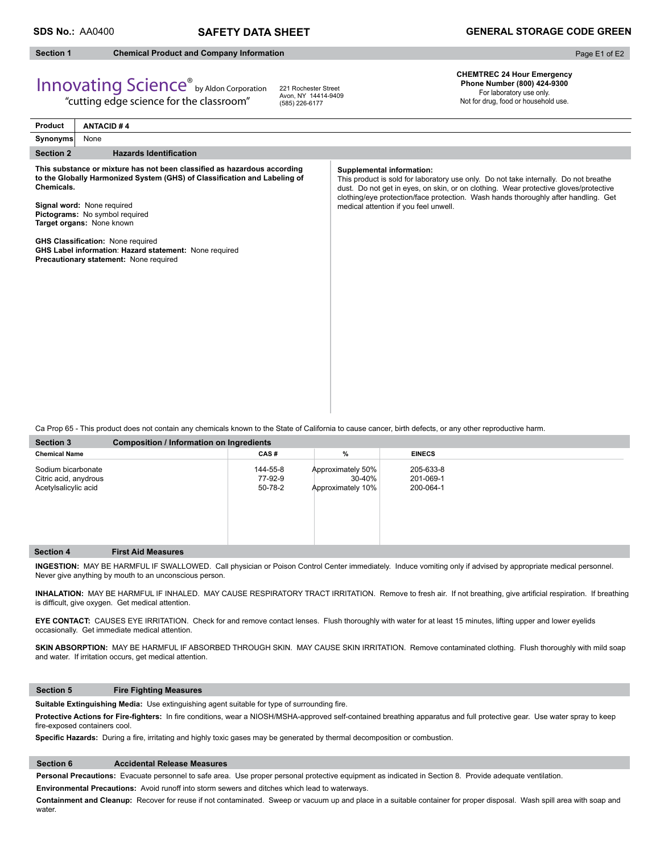### **SDS No.:** AA0400 **SAFETY DATA SHEET GENERAL STORAGE CODE GREEN**

## **Section 1 Chemical Product and Company Information**

Page E1 of E2

# Innovating Science® by Aldon Corporation

"cutting edge science for the classroom"

221 Rochester Street Avon, NY 14414-9409 (585) 226-6177

**CHEMTREC 24 Hour Emergency Phone Number (800) 424-9300**  For laboratory use only. Not for drug, food or household use.

| <b>Product</b>   | <b>ANTACID#4</b>                                                                                                                                                                                                                                                                                                                                                                                   |                                                                                                                                                                                                                                                                                                                                          |
|------------------|----------------------------------------------------------------------------------------------------------------------------------------------------------------------------------------------------------------------------------------------------------------------------------------------------------------------------------------------------------------------------------------------------|------------------------------------------------------------------------------------------------------------------------------------------------------------------------------------------------------------------------------------------------------------------------------------------------------------------------------------------|
| Synonyms         | None                                                                                                                                                                                                                                                                                                                                                                                               |                                                                                                                                                                                                                                                                                                                                          |
| <b>Section 2</b> | <b>Hazards Identification</b>                                                                                                                                                                                                                                                                                                                                                                      |                                                                                                                                                                                                                                                                                                                                          |
| Chemicals.       | This substance or mixture has not been classified as hazardous according<br>to the Globally Harmonized System (GHS) of Classification and Labeling of<br>Signal word: None required<br>Pictograms: No symbol required<br>Target organs: None known<br><b>GHS Classification: None required</b><br>GHS Label information: Hazard statement: None required<br>Precautionary statement: None required | Supplemental information:<br>This product is sold for laboratory use only. Do not take internally. Do not breathe<br>dust. Do not get in eyes, on skin, or on clothing. Wear protective gloves/protective<br>clothing/eye protection/face protection. Wash hands thoroughly after handling. Get<br>medical attention if you feel unwell. |

Ca Prop 65 - This product does not contain any chemicals known to the State of California to cause cancer, birth defects, or any other reproductive harm.

| <b>Section 3</b>                                                    | <b>Composition / Information on Ingredients</b> |                                |                                                      |                                     |  |  |  |
|---------------------------------------------------------------------|-------------------------------------------------|--------------------------------|------------------------------------------------------|-------------------------------------|--|--|--|
| <b>Chemical Name</b>                                                |                                                 | CAS#                           | %                                                    | <b>EINECS</b>                       |  |  |  |
| Sodium bicarbonate<br>Citric acid, anydrous<br>Acetylsalicylic acid |                                                 | 144-55-8<br>77-92-9<br>50-78-2 | Approximately 50%<br>$30 - 40%$<br>Approximately 10% | 205-633-8<br>201-069-1<br>200-064-1 |  |  |  |
| <b>Section 4</b>                                                    | <b>First Aid Measures</b>                       |                                |                                                      |                                     |  |  |  |

**INGESTION:** MAY BE HARMFUL IF SWALLOWED. Call physician or Poison Control Center immediately. Induce vomiting only if advised by appropriate medical personnel. Never give anything by mouth to an unconscious person.

INHALATION: MAY BE HARMFUL IF INHALED. MAY CAUSE RESPIRATORY TRACT IRRITATION. Remove to fresh air. If not breathing, give artificial respiration. If breathing is difficult, give oxygen. Get medical attention.

**EYE CONTACT:** CAUSES EYE IRRITATION. Check for and remove contact lenses. Flush thoroughly with water for at least 15 minutes, lifting upper and lower eyelids occasionally. Get immediate medical attention.

SKIN ABSORPTION: MAY BE HARMFUL IF ABSORBED THROUGH SKIN. MAY CAUSE SKIN IRRITATION. Remove contaminated clothing. Flush thoroughly with mild soap and water. If irritation occurs, get medical attention.

#### **Section 5 Fire Fighting Measures**

Suitable Extinguishing Media: Use extinguishing agent suitable for type of surrounding fire.

Protective Actions for Fire-fighters: In fire conditions, wear a NIOSH/MSHA-approved self-contained breathing apparatus and full protective gear. Use water spray to keep fire-exposed containers cool.

Specific Hazards: During a fire, irritating and highly toxic gases may be generated by thermal decomposition or combustion.

#### **Section 6 Accidental Release Measures**

**Personal Precautions:** Evacuate personnel to safe area. Use proper personal protective equipment as indicated in Section 8. Provide adequate ventilation.

**Environmental Precautions:** Avoid runoff into storm sewers and ditches which lead to waterways.

**Containment and Cleanup:** Recover for reuse if not contaminated. Sweep or vacuum up and place in a suitable container for proper disposal. Wash spill area with soap and water.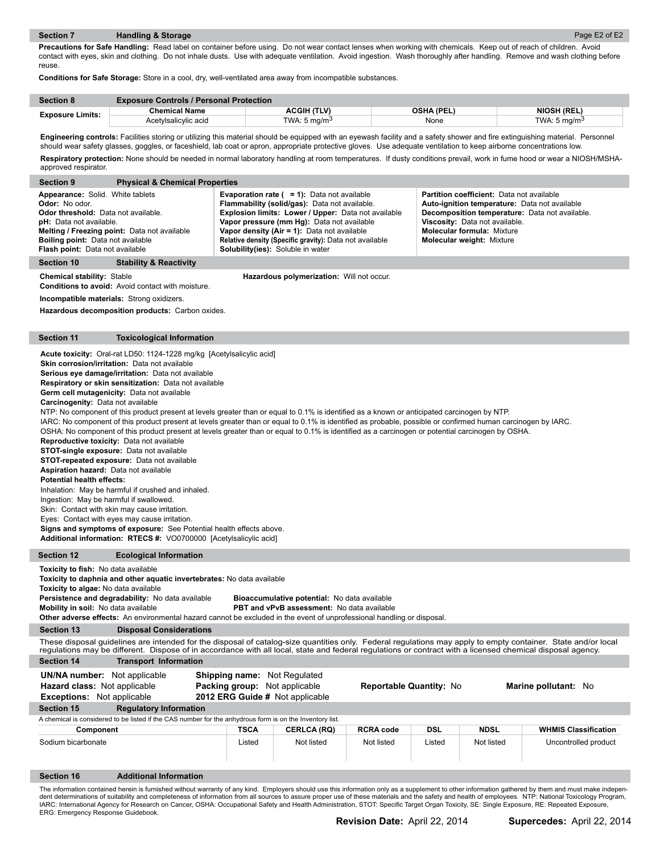**Precautions for Safe Handling:** Read label on container before using. Do not wear contact lenses when working with chemicals. Keep out of reach of children. Avoid contact with eyes, skin and clothing. Do not inhale dusts. Use with adequate ventilation. Avoid ingestion. Wash thoroughly after handling. Remove and wash clothing before reuse.

**Conditions for Safe Storage:** Store in a cool, dry, well-ventilated area away from incompatible substances.

| <b>Section 8</b>        | <b>Exposure Controls / Personal Protection</b> |                          |            |                          |  |  |  |
|-------------------------|------------------------------------------------|--------------------------|------------|--------------------------|--|--|--|
|                         | Chemical Name                                  | ACGIH (TLV)              | OSHA (PEL) | <b>NIOSH (REL)</b>       |  |  |  |
| <b>Exposure Limits:</b> | Acetylsalicylic acid                           | TWA: 5 mg/m <sup>3</sup> | None       | TWA: 5 mg/m <sup>3</sup> |  |  |  |

Engineering controls: Facilities storing or utilizing this material should be equipped with an eyewash facility and a safety shower and fire extinguishing material. Personnel should wear safety glasses, goggles, or faceshield, lab coat or apron, appropriate protective gloves. Use adequate ventilation to keep airborne concentrations low. Respiratory protection: None should be needed in normal laboratory handling at room temperatures. If dusty conditions prevail, work in fume hood or wear a NIOSH/MSHA-

| approved respirator.                                                                                                                                                                                                                                                                                                                                                                                                                                                                                                                                                                                                                                                                                                                                                                                                                                                                                                                                                                                                                                                                                                                                                                                                                                                                                                                                                                         |                                                                                                                                                                                                                                                                                                                                                             |             |                                                                                                         |                         |        |             |                                                                                                                                                                                                    |  |  |
|----------------------------------------------------------------------------------------------------------------------------------------------------------------------------------------------------------------------------------------------------------------------------------------------------------------------------------------------------------------------------------------------------------------------------------------------------------------------------------------------------------------------------------------------------------------------------------------------------------------------------------------------------------------------------------------------------------------------------------------------------------------------------------------------------------------------------------------------------------------------------------------------------------------------------------------------------------------------------------------------------------------------------------------------------------------------------------------------------------------------------------------------------------------------------------------------------------------------------------------------------------------------------------------------------------------------------------------------------------------------------------------------|-------------------------------------------------------------------------------------------------------------------------------------------------------------------------------------------------------------------------------------------------------------------------------------------------------------------------------------------------------------|-------------|---------------------------------------------------------------------------------------------------------|-------------------------|--------|-------------|----------------------------------------------------------------------------------------------------------------------------------------------------------------------------------------------------|--|--|
| <b>Section 9</b>                                                                                                                                                                                                                                                                                                                                                                                                                                                                                                                                                                                                                                                                                                                                                                                                                                                                                                                                                                                                                                                                                                                                                                                                                                                                                                                                                                             | <b>Physical &amp; Chemical Properties</b>                                                                                                                                                                                                                                                                                                                   |             |                                                                                                         |                         |        |             |                                                                                                                                                                                                    |  |  |
| Appearance: Solid. White tablets<br><b>Evaporation rate (<math>= 1</math>):</b> Data not available<br>Partition coefficient: Data not available<br>Odor: No odor.<br>Flammability (solid/gas): Data not available.<br>Auto-ignition temperature: Data not available<br>Explosion limits: Lower / Upper: Data not available<br>Odor threshold: Data not available.<br>Decomposition temperature: Data not available.<br>pH: Data not available.<br>Vapor pressure (mm Hg): Data not available<br>Viscosity: Data not available.<br>Melting / Freezing point: Data not available<br>Vapor density (Air = 1): Data not available<br><b>Molecular formula: Mixture</b><br><b>Boiling point:</b> Data not available<br>Relative density (Specific gravity): Data not available<br><b>Molecular weight: Mixture</b><br>Flash point: Data not available<br><b>Solubility(ies):</b> Soluble in water                                                                                                                                                                                                                                                                                                                                                                                                                                                                                                 |                                                                                                                                                                                                                                                                                                                                                             |             |                                                                                                         |                         |        |             |                                                                                                                                                                                                    |  |  |
| <b>Section 10</b>                                                                                                                                                                                                                                                                                                                                                                                                                                                                                                                                                                                                                                                                                                                                                                                                                                                                                                                                                                                                                                                                                                                                                                                                                                                                                                                                                                            | <b>Stability &amp; Reactivity</b>                                                                                                                                                                                                                                                                                                                           |             |                                                                                                         |                         |        |             |                                                                                                                                                                                                    |  |  |
| <b>Chemical stability: Stable</b><br>Hazardous polymerization: Will not occur.<br>Conditions to avoid: Avoid contact with moisture.<br>Incompatible materials: Strong oxidizers.<br>Hazardous decomposition products: Carbon oxides.                                                                                                                                                                                                                                                                                                                                                                                                                                                                                                                                                                                                                                                                                                                                                                                                                                                                                                                                                                                                                                                                                                                                                         |                                                                                                                                                                                                                                                                                                                                                             |             |                                                                                                         |                         |        |             |                                                                                                                                                                                                    |  |  |
| <b>Section 11</b>                                                                                                                                                                                                                                                                                                                                                                                                                                                                                                                                                                                                                                                                                                                                                                                                                                                                                                                                                                                                                                                                                                                                                                                                                                                                                                                                                                            | <b>Toxicological Information</b>                                                                                                                                                                                                                                                                                                                            |             |                                                                                                         |                         |        |             |                                                                                                                                                                                                    |  |  |
| Acute toxicity: Oral-rat LD50: 1124-1228 mg/kg [Acetylsalicylic acid]<br>Skin corrosion/irritation: Data not available<br>Serious eye damage/irritation: Data not available<br><b>Respiratory or skin sensitization:</b> Data not available<br><b>Germ cell mutagenicity:</b> Data not available<br>Carcinogenity: Data not available<br>NTP: No component of this product present at levels greater than or equal to 0.1% is identified as a known or anticipated carcinogen by NTP.<br>IARC: No component of this product present at levels greater than or equal to 0.1% is identified as probable, possible or confirmed human carcinogen by IARC.<br>OSHA: No component of this product present at levels greater than or equal to 0.1% is identified as a carcinogen or potential carcinogen by OSHA.<br>Reproductive toxicity: Data not available<br><b>STOT-single exposure:</b> Data not available<br><b>STOT-repeated exposure:</b> Data not available<br>Aspiration hazard: Data not available<br><b>Potential health effects:</b><br>Inhalation: May be harmful if crushed and inhaled.<br>Ingestion: May be harmful if swallowed.<br>Skin: Contact with skin may cause irritation.<br>Eyes: Contact with eyes may cause irritation.<br>Signs and symptoms of exposure: See Potential health effects above.<br>Additional information: RTECS #: VO0700000 [Acetylsalicylic acid] |                                                                                                                                                                                                                                                                                                                                                             |             |                                                                                                         |                         |        |             |                                                                                                                                                                                                    |  |  |
| <b>Section 12</b>                                                                                                                                                                                                                                                                                                                                                                                                                                                                                                                                                                                                                                                                                                                                                                                                                                                                                                                                                                                                                                                                                                                                                                                                                                                                                                                                                                            | <b>Ecological Information</b>                                                                                                                                                                                                                                                                                                                               |             |                                                                                                         |                         |        |             |                                                                                                                                                                                                    |  |  |
| Toxicity to fish: No data available<br>Toxicity to algae: No data available<br>Mobility in soil: No data available                                                                                                                                                                                                                                                                                                                                                                                                                                                                                                                                                                                                                                                                                                                                                                                                                                                                                                                                                                                                                                                                                                                                                                                                                                                                           | Toxicity to daphnia and other aquatic invertebrates: No data available<br>Persistence and degradability: No data available<br>Other adverse effects: An environmental hazard cannot be excluded in the event of unprofessional handling or disposal.                                                                                                        |             | Bioaccumulative potential: No data available<br>PBT and vPvB assessment: No data available              |                         |        |             |                                                                                                                                                                                                    |  |  |
| <b>Section 13</b>                                                                                                                                                                                                                                                                                                                                                                                                                                                                                                                                                                                                                                                                                                                                                                                                                                                                                                                                                                                                                                                                                                                                                                                                                                                                                                                                                                            | <b>Disposal Considerations</b>                                                                                                                                                                                                                                                                                                                              |             |                                                                                                         |                         |        |             |                                                                                                                                                                                                    |  |  |
| <b>Section 14</b>                                                                                                                                                                                                                                                                                                                                                                                                                                                                                                                                                                                                                                                                                                                                                                                                                                                                                                                                                                                                                                                                                                                                                                                                                                                                                                                                                                            | These disposal guidelines are intended for the disposal of catalog-size quantities only. Federal regulations may apply to empty container. State and/or local<br>regulations may be different. Dispose of in accordance with all local, state and federal regulations or contract with a licensed chemical disposal agency.<br><b>Transport Information</b> |             |                                                                                                         |                         |        |             |                                                                                                                                                                                                    |  |  |
| <b>UN/NA number:</b> Not applicable<br>Hazard class: Not applicable<br><b>Exceptions:</b> Not applicable<br>Section 15                                                                                                                                                                                                                                                                                                                                                                                                                                                                                                                                                                                                                                                                                                                                                                                                                                                                                                                                                                                                                                                                                                                                                                                                                                                                       | <b>Regulatory Information</b>                                                                                                                                                                                                                                                                                                                               |             | <b>Shipping name:</b> Not Regulated<br>Packing group: Not applicable<br>2012 ERG Guide # Not applicable | Reportable Quantity: No |        |             | Marine pollutant: No                                                                                                                                                                               |  |  |
|                                                                                                                                                                                                                                                                                                                                                                                                                                                                                                                                                                                                                                                                                                                                                                                                                                                                                                                                                                                                                                                                                                                                                                                                                                                                                                                                                                                              | A chemical is considered to be listed if the CAS number for the anhydrous form is on the Inventory list.                                                                                                                                                                                                                                                    |             |                                                                                                         |                         |        |             |                                                                                                                                                                                                    |  |  |
| Component                                                                                                                                                                                                                                                                                                                                                                                                                                                                                                                                                                                                                                                                                                                                                                                                                                                                                                                                                                                                                                                                                                                                                                                                                                                                                                                                                                                    |                                                                                                                                                                                                                                                                                                                                                             | <b>TSCA</b> | <b>CERLCA (RQ)</b>                                                                                      | <b>RCRA code</b>        | DSL    | <b>NDSL</b> | <b>WHMIS Classification</b>                                                                                                                                                                        |  |  |
| Sodium bicarbonate                                                                                                                                                                                                                                                                                                                                                                                                                                                                                                                                                                                                                                                                                                                                                                                                                                                                                                                                                                                                                                                                                                                                                                                                                                                                                                                                                                           |                                                                                                                                                                                                                                                                                                                                                             | Listed      | Not listed                                                                                              | Not listed              | Listed | Not listed  | Uncontrolled product                                                                                                                                                                               |  |  |
| <b>Section 16</b>                                                                                                                                                                                                                                                                                                                                                                                                                                                                                                                                                                                                                                                                                                                                                                                                                                                                                                                                                                                                                                                                                                                                                                                                                                                                                                                                                                            | <b>Additional Information</b>                                                                                                                                                                                                                                                                                                                               |             |                                                                                                         |                         |        |             |                                                                                                                                                                                                    |  |  |
|                                                                                                                                                                                                                                                                                                                                                                                                                                                                                                                                                                                                                                                                                                                                                                                                                                                                                                                                                                                                                                                                                                                                                                                                                                                                                                                                                                                              |                                                                                                                                                                                                                                                                                                                                                             |             |                                                                                                         |                         |        |             | The information contained herein is furnished without warranty of any kind. Employers should use this information only as a supplement to other information gathered by them and must make indepen |  |  |

The information contained herein is furnished without warranty of any kind. Employers should use this information only as a supplement to other information gathered by them and must make indepen-<br>dent determinations of sui IARC: International Agency for Research on Cancer, OSHA: Occupational Safety and Health Administration, STOT: Specific Target Organ Toxicity, SE: Single Exposure, RE: Repeated Exposure,<br>ERG: Emergency Response Guidebook.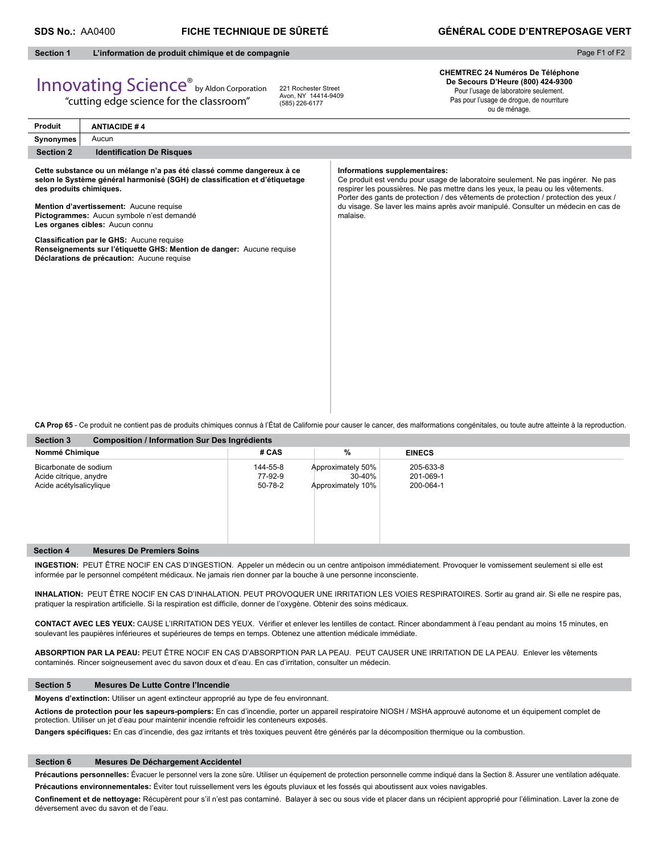Page F1 of F2

#### **Section 1 L'information de produit chimique et de compagnie**

# Innovating Science® by Aldon Corporation

"cutting edge science for the classroom"

221 Rochester Street Avon, NY 14414-9409 (585) 226-6177

**CHEMTREC 24 Numéros De Téléphone De Secours D'Heure (800) 424-9300** Pour l'usage de laboratoire seulement. Pas pour l'usage de drogue, de nourriture ou de ménage.

| Produit                 | <b>ANTIACIDE #4</b>                                                                                                                                                                                                                                                            |                                                                                                                                                                                                                                                                                                                                                                                                |
|-------------------------|--------------------------------------------------------------------------------------------------------------------------------------------------------------------------------------------------------------------------------------------------------------------------------|------------------------------------------------------------------------------------------------------------------------------------------------------------------------------------------------------------------------------------------------------------------------------------------------------------------------------------------------------------------------------------------------|
| Synonymes               | Aucun                                                                                                                                                                                                                                                                          |                                                                                                                                                                                                                                                                                                                                                                                                |
| <b>Section 2</b>        | <b>Identification De Risques</b>                                                                                                                                                                                                                                               |                                                                                                                                                                                                                                                                                                                                                                                                |
| des produits chimiques. | Cette substance ou un mélange n'a pas été classé comme dangereux à ce<br>selon le Système général harmonisé (SGH) de classification et d'étiquetage<br>Mention d'avertissement: Aucune requise<br>Pictogrammes: Aucun symbole n'est demandé<br>Les organes cibles: Aucun connu | Informations supplementaires:<br>Ce produit est vendu pour usage de laboratoire seulement. Ne pas ingérer. Ne pas<br>respirer les poussières. Ne pas mettre dans les yeux, la peau ou les vêtements.<br>Porter des gants de protection / des vêtements de protection / protection des yeux /<br>du visage. Se laver les mains après avoir manipulé. Consulter un médecin en cas de<br>malaise. |
|                         | Classification par le GHS: Aucune requise<br>Renseignements sur l'étiquette GHS: Mention de danger: Aucune requise<br>Déclarations de précaution: Aucune requise                                                                                                               |                                                                                                                                                                                                                                                                                                                                                                                                |
|                         |                                                                                                                                                                                                                                                                                | CA Prop 65 - Ce produit ne contient pas de produits chimiques connus à l'État de Californie pour causer le cancer, des malformations congénitales, ou toute autre atteinte à la reproduction.                                                                                                                                                                                                  |

| <b>Section 3</b><br>Composition / Information Sur Des Ingrédients          |                                |                                                  |                                     |  |
|----------------------------------------------------------------------------|--------------------------------|--------------------------------------------------|-------------------------------------|--|
| Nommé Chimique                                                             | # CAS                          | %                                                | <b>EINECS</b>                       |  |
| Bicarbonate de sodium<br>Acide citrique, anydre<br>Acide acétylsalicylique | 144-55-8<br>77-92-9<br>50-78-2 | Approximately 50%<br>30-40%<br>Approximately 10% | 205-633-8<br>201-069-1<br>200-064-1 |  |
| <b>Mesures De Premiers Soins</b><br><b>Section 4</b>                       |                                |                                                  |                                     |  |

**INGESTION:** PEUT ÊTRE NOCIF EN CAS D'INGESTION. Appeler un médecin ou un centre antipoison immédiatement. Provoquer le vomissement seulement si elle est informée par le personnel compétent médicaux. Ne jamais rien donner par la bouche à une personne inconsciente.

**INHALATION:** PEUT ÊTRE NOCIF EN CAS D'INHALATION. PEUT PROVOQUER UNE IRRITATION LES VOIES RESPIRATOIRES. Sortir au grand air. Si elle ne respire pas, pratiquer la respiration artificielle. Si la respiration est difficile, donner de l'oxygène. Obtenir des soins médicaux.

CONTACT AVEC LES YEUX: CAUSE L'IRRITATION DES YEUX. Vérifier et enlever les lentilles de contact. Rincer abondamment à l'eau pendant au moins 15 minutes, en soulevant les paupières inférieures et supérieures de temps en temps. Obtenez une attention médicale immédiate.

**ABSORPTION PAR LA PEAU:** PEUT ÊTRE NOCIF EN CAS D'ABSORPTION PAR LA PEAU. PEUT CAUSER UNE IRRITATION DE LA PEAU. Enlever les vêtements contaminés. Rincer soigneusement avec du savon doux et d'eau. En cas d'irritation, consulter un médecin.

#### **Section 5 Mesures De Lutte Contre l'Incendie**

**Moyens d'extinction:** Utiliser un agent extincteur approprié au type de feu environnant.

**Actions de protection pour les sapeurs-pompiers:** En cas d'incendie, porter un appareil respiratoire NIOSH / MSHA approuvé autonome et un équipement complet de protection. Utiliser un jet d'eau pour maintenir incendie refroidir les conteneurs exposés.

Dangers spécifiques: En cas d'incendie, des gaz irritants et très toxiques peuvent être générés par la décomposition thermique ou la combustion.

#### **Section 6 Mesures De Déchargement Accidentel**

Précautions personnelles: Évacuer le personnel vers la zone sûre. Utiliser un équipement de protection personnelle comme indiqué dans la Section 8. Assurer une ventilation adéquate. **Précautions environnementales:** Éviter tout ruissellement vers les égouts pluviaux et les fossés qui aboutissent aux voies navigables.

Confinement et de nettoyage: Récupèrent pour s'il n'est pas contaminé. Balayer à sec ou sous vide et placer dans un récipient approprié pour l'élimination. Laver la zone de déversement avec du savon et de l'eau.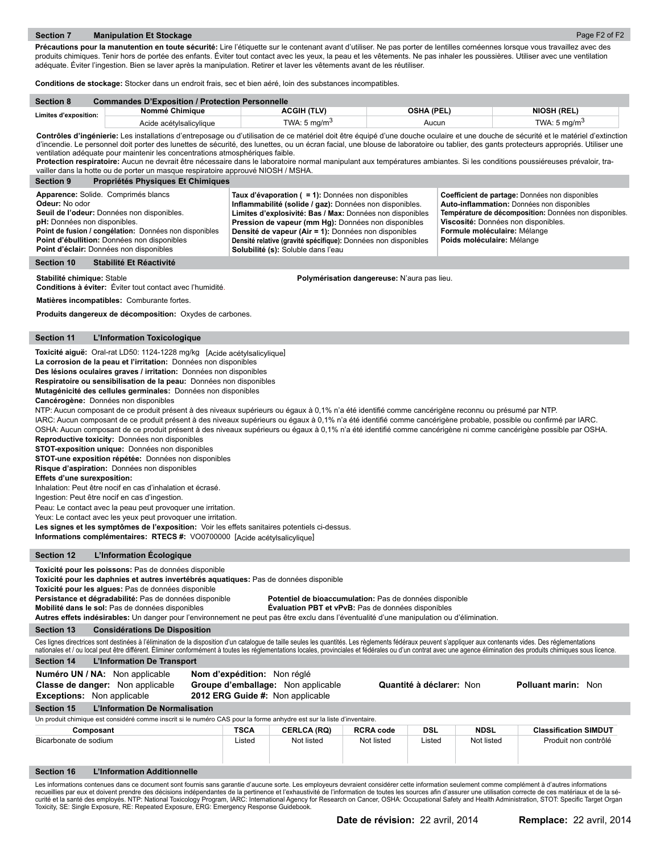Précautions pour la manutention en toute sécurité: Lire l'étiquette sur le contenant avant d'utiliser. Ne pas porter de lentilles cornéennes lorsque vous travaillez avec des produits chimiques. Tenir hors de portée des enfants. Éviter tout contact avec les yeux, la peau et les vêtements. Ne pas inhaler les poussières. Utiliser avec une ventilation adéquate. Éviter l'ingestion. Bien se laver après la manipulation. Retirer et laver les vêtements avant de les réutiliser.

**Conditions de stockage:** Stocker dans un endroit frais, sec et bien aéré, loin des substances incompatibles.

| <b>Section 8</b>             | <b>Commandes D'Exposition / Protection Personnelle</b> |                          |                   |                    |  |  |  |
|------------------------------|--------------------------------------------------------|--------------------------|-------------------|--------------------|--|--|--|
| <b>Limites d'exposition:</b> | Nommé Chimique                                         | ACGIH (TLV)              | <b>OSHA (PEL)</b> | <b>NIOSH (REL)</b> |  |  |  |
|                              | Acide acétylsalicylique                                | TWA: 5 mg/m <sup>3</sup> | Aucun             | TWA: 5 $ma/m3$     |  |  |  |

**Contrôles d'ingénierie:** Les installations d'entreposage ou d'utilisation de ce matériel doit être équipé d'une douche oculaire et une douche de sécurité et le matériel d'extinction d'incendie. Le personnel doit porter des lunettes de sécurité, des lunettes, ou un écran facial, une blouse de laboratoire ou tablier, des gants protecteurs appropriés. Utiliser une ventilation adéquate pour maintenir les concentrations atmosphériques faible.

**Protection respiratoire:** Aucun ne devrait être nécessaire dans le laboratoire normal manipulant aux températures ambiantes. Si les conditions poussiéreuses prévaloir, travailler dans la hotte ou de porter un masque respiratoire approuvé NIOSH / MSHA.

|                                                                                                                                                                                                                                                                                                                                                                                                                                                                                                                                                                                     | vailler dans la hotte ou de porter un masque respiratoire approuvé NIOSH / MSHA.                                                                                                                                                                                                                                                                                                                                                                                                                                                                                                                                                                                                                                                                                                                                                                                                                                                                                                                                                                                                                                                                                                                                                                                                                                                                                                                                                                                                                                                                                               |                             |                                                                                                                                                                                                                                                                                                                                                                                                   |                                             |            |                                                                                                   |                                                                                                                                                         |
|-------------------------------------------------------------------------------------------------------------------------------------------------------------------------------------------------------------------------------------------------------------------------------------------------------------------------------------------------------------------------------------------------------------------------------------------------------------------------------------------------------------------------------------------------------------------------------------|--------------------------------------------------------------------------------------------------------------------------------------------------------------------------------------------------------------------------------------------------------------------------------------------------------------------------------------------------------------------------------------------------------------------------------------------------------------------------------------------------------------------------------------------------------------------------------------------------------------------------------------------------------------------------------------------------------------------------------------------------------------------------------------------------------------------------------------------------------------------------------------------------------------------------------------------------------------------------------------------------------------------------------------------------------------------------------------------------------------------------------------------------------------------------------------------------------------------------------------------------------------------------------------------------------------------------------------------------------------------------------------------------------------------------------------------------------------------------------------------------------------------------------------------------------------------------------|-----------------------------|---------------------------------------------------------------------------------------------------------------------------------------------------------------------------------------------------------------------------------------------------------------------------------------------------------------------------------------------------------------------------------------------------|---------------------------------------------|------------|---------------------------------------------------------------------------------------------------|---------------------------------------------------------------------------------------------------------------------------------------------------------|
| <b>Section 9</b>                                                                                                                                                                                                                                                                                                                                                                                                                                                                                                                                                                    | Propriétés Physiques Et Chimiques                                                                                                                                                                                                                                                                                                                                                                                                                                                                                                                                                                                                                                                                                                                                                                                                                                                                                                                                                                                                                                                                                                                                                                                                                                                                                                                                                                                                                                                                                                                                              |                             |                                                                                                                                                                                                                                                                                                                                                                                                   |                                             |            |                                                                                                   |                                                                                                                                                         |
| Odeur: No odor<br>pH: Données non disponibles.                                                                                                                                                                                                                                                                                                                                                                                                                                                                                                                                      | Apparence: Solide. Comprimés blancs<br>Seuil de l'odeur: Données non disponibles.<br>Point de fusion / congélation: Données non disponibles<br>Point d'ébullition: Données non disponibles<br>Point d'éclair: Données non disponibles                                                                                                                                                                                                                                                                                                                                                                                                                                                                                                                                                                                                                                                                                                                                                                                                                                                                                                                                                                                                                                                                                                                                                                                                                                                                                                                                          |                             | Taux d'évaporation ( = 1): Données non disponibles<br>Inflammabilité (solide / gaz): Données non disponibles.<br>Limites d'explosivité: Bas / Max: Données non disponibles<br>Pression de vapeur (mm Hg): Données non disponibles<br>Densité de vapeur (Air = 1): Données non disponibles<br>Densité relative (gravité spécifique): Données non disponibles<br>Solubilité (s): Soluble dans l'eau |                                             |            | Viscosité: Données non disponibles.<br>Formule moléculaire: Mélange<br>Poids moléculaire: Mélange | Coefficient de partage: Données non disponibles<br>Auto-inflammation: Données non disponibles<br>Température de décomposition: Données non disponibles. |
| <b>Section 10</b>                                                                                                                                                                                                                                                                                                                                                                                                                                                                                                                                                                   | Stabilité Et Réactivité                                                                                                                                                                                                                                                                                                                                                                                                                                                                                                                                                                                                                                                                                                                                                                                                                                                                                                                                                                                                                                                                                                                                                                                                                                                                                                                                                                                                                                                                                                                                                        |                             |                                                                                                                                                                                                                                                                                                                                                                                                   |                                             |            |                                                                                                   |                                                                                                                                                         |
|                                                                                                                                                                                                                                                                                                                                                                                                                                                                                                                                                                                     |                                                                                                                                                                                                                                                                                                                                                                                                                                                                                                                                                                                                                                                                                                                                                                                                                                                                                                                                                                                                                                                                                                                                                                                                                                                                                                                                                                                                                                                                                                                                                                                |                             |                                                                                                                                                                                                                                                                                                                                                                                                   |                                             |            |                                                                                                   |                                                                                                                                                         |
| Stabilité chimique: Stable                                                                                                                                                                                                                                                                                                                                                                                                                                                                                                                                                          | Conditions à éviter: Éviter tout contact avec l'humidité.                                                                                                                                                                                                                                                                                                                                                                                                                                                                                                                                                                                                                                                                                                                                                                                                                                                                                                                                                                                                                                                                                                                                                                                                                                                                                                                                                                                                                                                                                                                      |                             |                                                                                                                                                                                                                                                                                                                                                                                                   | Polymérisation dangereuse: N'aura pas lieu. |            |                                                                                                   |                                                                                                                                                         |
|                                                                                                                                                                                                                                                                                                                                                                                                                                                                                                                                                                                     | Matières incompatibles: Comburante fortes.                                                                                                                                                                                                                                                                                                                                                                                                                                                                                                                                                                                                                                                                                                                                                                                                                                                                                                                                                                                                                                                                                                                                                                                                                                                                                                                                                                                                                                                                                                                                     |                             |                                                                                                                                                                                                                                                                                                                                                                                                   |                                             |            |                                                                                                   |                                                                                                                                                         |
|                                                                                                                                                                                                                                                                                                                                                                                                                                                                                                                                                                                     | Produits dangereux de décomposition: Oxydes de carbones.                                                                                                                                                                                                                                                                                                                                                                                                                                                                                                                                                                                                                                                                                                                                                                                                                                                                                                                                                                                                                                                                                                                                                                                                                                                                                                                                                                                                                                                                                                                       |                             |                                                                                                                                                                                                                                                                                                                                                                                                   |                                             |            |                                                                                                   |                                                                                                                                                         |
|                                                                                                                                                                                                                                                                                                                                                                                                                                                                                                                                                                                     |                                                                                                                                                                                                                                                                                                                                                                                                                                                                                                                                                                                                                                                                                                                                                                                                                                                                                                                                                                                                                                                                                                                                                                                                                                                                                                                                                                                                                                                                                                                                                                                |                             |                                                                                                                                                                                                                                                                                                                                                                                                   |                                             |            |                                                                                                   |                                                                                                                                                         |
| <b>Section 11</b>                                                                                                                                                                                                                                                                                                                                                                                                                                                                                                                                                                   | L'Information Toxicologique                                                                                                                                                                                                                                                                                                                                                                                                                                                                                                                                                                                                                                                                                                                                                                                                                                                                                                                                                                                                                                                                                                                                                                                                                                                                                                                                                                                                                                                                                                                                                    |                             |                                                                                                                                                                                                                                                                                                                                                                                                   |                                             |            |                                                                                                   |                                                                                                                                                         |
|                                                                                                                                                                                                                                                                                                                                                                                                                                                                                                                                                                                     | Toxicité aiguë: Oral-rat LD50: 1124-1228 mg/kg [Acide acétylsalicylique]<br>La corrosion de la peau et l'irritation: Données non disponibles<br>Des lésions oculaires graves / irritation: Données non disponibles<br>Respiratoire ou sensibilisation de la peau: Données non disponibles<br>Mutagénicité des cellules germinales: Données non disponibles<br>Cancérogène: Données non disponibles<br>NTP: Aucun composant de ce produit présent à des niveaux supérieurs ou égaux à 0,1% n'a été identifié comme cancérigène reconnu ou présumé par NTP.<br>IARC: Aucun composant de ce produit présent à des niveaux supérieurs ou égaux à 0,1% n'a été identifié comme cancérigène probable, possible ou confirmé par IARC.<br>OSHA: Aucun composant de ce produit présent à des niveaux supérieurs ou égaux à 0,1% n'a été identifié comme cancérigène ni comme cancérigène possible par OSHA.<br>Reproductive toxicity: Données non disponibles<br>STOT-exposition unique: Données non disponibles<br>STOT-une exposition répétée: Données non disponibles<br>Risque d'aspiration: Données non disponibles<br>Effets d'une surexposition:<br>Inhalation: Peut être nocif en cas d'inhalation et écrasé.<br>Ingestion: Peut être nocif en cas d'ingestion.<br>Peau: Le contact avec la peau peut provoquer une irritation.<br>Yeux: Le contact avec les yeux peut provoquer une irritation.<br>Les signes et les symptômes de l'exposition: Voir les effets sanitaires potentiels ci-dessus.<br>Informations complémentaires: RTECS #: VO0700000 [Acide acétylsalicylique] |                             |                                                                                                                                                                                                                                                                                                                                                                                                   |                                             |            |                                                                                                   |                                                                                                                                                         |
| <b>Section 12</b>                                                                                                                                                                                                                                                                                                                                                                                                                                                                                                                                                                   | L'Information Ecologique                                                                                                                                                                                                                                                                                                                                                                                                                                                                                                                                                                                                                                                                                                                                                                                                                                                                                                                                                                                                                                                                                                                                                                                                                                                                                                                                                                                                                                                                                                                                                       |                             |                                                                                                                                                                                                                                                                                                                                                                                                   |                                             |            |                                                                                                   |                                                                                                                                                         |
| Toxicité pour les poissons: Pas de données disponible<br>Toxicité pour les daphnies et autres invertébrés aquatiques: Pas de données disponible<br>Toxicité pour les algues: Pas de données disponible<br>Persistance et dégradabilité: Pas de données disponible<br>Potentiel de bioaccumulation: Pas de données disponible<br>Mobilité dans le sol: Pas de données disponibles<br>Evaluation PBT et vPvB: Pas de données disponibles<br>Autres effets indésirables: Un danger pour l'environnement ne peut pas être exclu dans l'éventualité d'une manipulation ou d'élimination. |                                                                                                                                                                                                                                                                                                                                                                                                                                                                                                                                                                                                                                                                                                                                                                                                                                                                                                                                                                                                                                                                                                                                                                                                                                                                                                                                                                                                                                                                                                                                                                                |                             |                                                                                                                                                                                                                                                                                                                                                                                                   |                                             |            |                                                                                                   |                                                                                                                                                         |
| <b>Section 13</b>                                                                                                                                                                                                                                                                                                                                                                                                                                                                                                                                                                   | <b>Considérations De Disposition</b>                                                                                                                                                                                                                                                                                                                                                                                                                                                                                                                                                                                                                                                                                                                                                                                                                                                                                                                                                                                                                                                                                                                                                                                                                                                                                                                                                                                                                                                                                                                                           |                             |                                                                                                                                                                                                                                                                                                                                                                                                   |                                             |            |                                                                                                   |                                                                                                                                                         |
|                                                                                                                                                                                                                                                                                                                                                                                                                                                                                                                                                                                     | Ces lignes directrices sont destinées à l'élimination de la disposition d'un catalogue de taille seules les quantités. Les règlements fédéraux peuvent s'appliquer aux contenants vides. Des réglementations<br>nationales et / ou local peut être différent. Éliminer conformément à toutes les réglementations locales, provinciales et fédérales ou d'un contrat avec une agence élimination des produits chimiques sous licence.                                                                                                                                                                                                                                                                                                                                                                                                                                                                                                                                                                                                                                                                                                                                                                                                                                                                                                                                                                                                                                                                                                                                           |                             |                                                                                                                                                                                                                                                                                                                                                                                                   |                                             |            |                                                                                                   |                                                                                                                                                         |
| <b>Section 14</b>                                                                                                                                                                                                                                                                                                                                                                                                                                                                                                                                                                   | <b>L'Information De Transport</b>                                                                                                                                                                                                                                                                                                                                                                                                                                                                                                                                                                                                                                                                                                                                                                                                                                                                                                                                                                                                                                                                                                                                                                                                                                                                                                                                                                                                                                                                                                                                              |                             |                                                                                                                                                                                                                                                                                                                                                                                                   |                                             |            |                                                                                                   |                                                                                                                                                         |
| <b>Exceptions:</b> Non applicable                                                                                                                                                                                                                                                                                                                                                                                                                                                                                                                                                   | Numéro UN / NA: Non applicable<br>Classe de danger: Non applicable                                                                                                                                                                                                                                                                                                                                                                                                                                                                                                                                                                                                                                                                                                                                                                                                                                                                                                                                                                                                                                                                                                                                                                                                                                                                                                                                                                                                                                                                                                             | Nom d'expédition: Non réglé | Groupe d'emballage: Non applicable<br>2012 ERG Guide #: Non applicable                                                                                                                                                                                                                                                                                                                            |                                             |            | Quantité à déclarer: Non                                                                          | <b>Polluant marin: Non</b>                                                                                                                              |
| <b>Section 15</b>                                                                                                                                                                                                                                                                                                                                                                                                                                                                                                                                                                   | L'Information De Normalisation                                                                                                                                                                                                                                                                                                                                                                                                                                                                                                                                                                                                                                                                                                                                                                                                                                                                                                                                                                                                                                                                                                                                                                                                                                                                                                                                                                                                                                                                                                                                                 |                             |                                                                                                                                                                                                                                                                                                                                                                                                   |                                             |            |                                                                                                   |                                                                                                                                                         |
|                                                                                                                                                                                                                                                                                                                                                                                                                                                                                                                                                                                     | Un produit chimique est considéré comme inscrit si le numéro CAS pour la forme anhydre est sur la liste d'inventaire.                                                                                                                                                                                                                                                                                                                                                                                                                                                                                                                                                                                                                                                                                                                                                                                                                                                                                                                                                                                                                                                                                                                                                                                                                                                                                                                                                                                                                                                          |                             |                                                                                                                                                                                                                                                                                                                                                                                                   |                                             |            |                                                                                                   |                                                                                                                                                         |
| Composant                                                                                                                                                                                                                                                                                                                                                                                                                                                                                                                                                                           |                                                                                                                                                                                                                                                                                                                                                                                                                                                                                                                                                                                                                                                                                                                                                                                                                                                                                                                                                                                                                                                                                                                                                                                                                                                                                                                                                                                                                                                                                                                                                                                | <b>TSCA</b>                 | <b>CERLCA (RQ)</b>                                                                                                                                                                                                                                                                                                                                                                                | <b>RCRA code</b>                            | <b>DSL</b> | <b>NDSL</b>                                                                                       | <b>Classification SIMDUT</b>                                                                                                                            |
| Bicarbonate de sodium                                                                                                                                                                                                                                                                                                                                                                                                                                                                                                                                                               |                                                                                                                                                                                                                                                                                                                                                                                                                                                                                                                                                                                                                                                                                                                                                                                                                                                                                                                                                                                                                                                                                                                                                                                                                                                                                                                                                                                                                                                                                                                                                                                | Listed                      | Not listed                                                                                                                                                                                                                                                                                                                                                                                        | Not listed                                  | Listed     | Not listed                                                                                        | Produit non contrôlé                                                                                                                                    |
|                                                                                                                                                                                                                                                                                                                                                                                                                                                                                                                                                                                     |                                                                                                                                                                                                                                                                                                                                                                                                                                                                                                                                                                                                                                                                                                                                                                                                                                                                                                                                                                                                                                                                                                                                                                                                                                                                                                                                                                                                                                                                                                                                                                                |                             |                                                                                                                                                                                                                                                                                                                                                                                                   |                                             |            |                                                                                                   |                                                                                                                                                         |
| <b>Section 16</b>                                                                                                                                                                                                                                                                                                                                                                                                                                                                                                                                                                   | <b>L'Information Additionnelle</b>                                                                                                                                                                                                                                                                                                                                                                                                                                                                                                                                                                                                                                                                                                                                                                                                                                                                                                                                                                                                                                                                                                                                                                                                                                                                                                                                                                                                                                                                                                                                             |                             |                                                                                                                                                                                                                                                                                                                                                                                                   |                                             |            |                                                                                                   |                                                                                                                                                         |
|                                                                                                                                                                                                                                                                                                                                                                                                                                                                                                                                                                                     | Les informations contenues dans ce document sont fournis sans garantie d'aucune sorte. Les employeurs devraient considérer cette information seulement comme complément à d'autres informations                                                                                                                                                                                                                                                                                                                                                                                                                                                                                                                                                                                                                                                                                                                                                                                                                                                                                                                                                                                                                                                                                                                                                                                                                                                                                                                                                                                |                             |                                                                                                                                                                                                                                                                                                                                                                                                   |                                             |            |                                                                                                   |                                                                                                                                                         |

Les informations contenues dans ce document sont fournis sans garantie d'aucune sorte. Les employeurs devraient considérer cette information seulement comme complément à d'autres informations<br>recueillies par eux et doivent Toxicity, SE: Single Exposure, RE: Repeated Exposure, ERG: Emergency Response Guidebook.

Page F2 of F2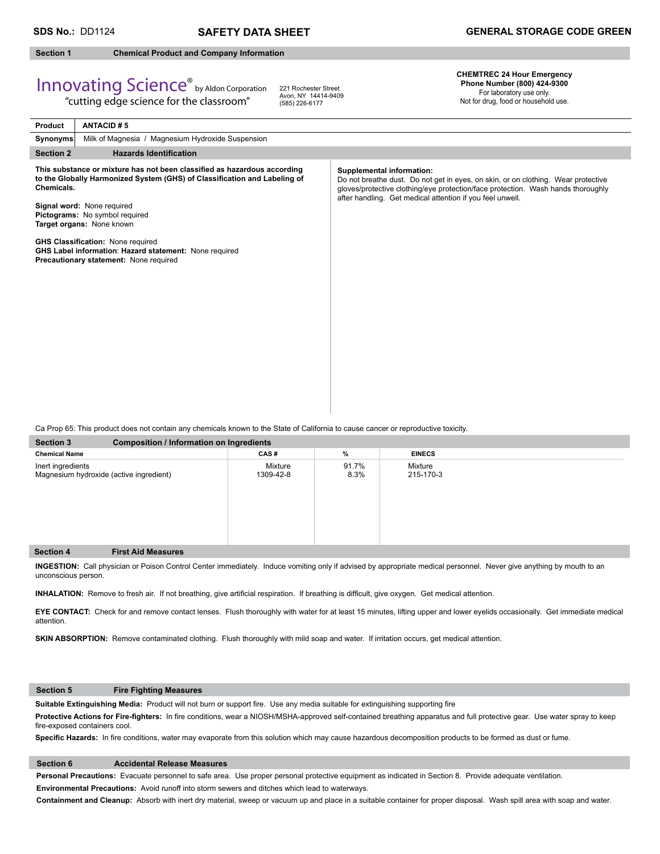#### **Section 1 Chemical Product and Company Information**

## Innovating Science® by Aldon Corporation "cutting edge science for the classroom"

221 Rochester Street Avon, NY 14414-9409 (585) 226-6177

### **CHEMTREC 24 Hour Emergency Phone Number (800) 424-9300**

For laboratory use only. Not for drug, food or household use.

| Product          | <b>ANTACID#5</b>                                                                                                                                                                                                                                                                                                                                                                                   |                                                                                                                                                                                                                                                                        |
|------------------|----------------------------------------------------------------------------------------------------------------------------------------------------------------------------------------------------------------------------------------------------------------------------------------------------------------------------------------------------------------------------------------------------|------------------------------------------------------------------------------------------------------------------------------------------------------------------------------------------------------------------------------------------------------------------------|
| Synonyms         | Milk of Magnesia / Magnesium Hydroxide Suspension                                                                                                                                                                                                                                                                                                                                                  |                                                                                                                                                                                                                                                                        |
| <b>Section 2</b> | <b>Hazards Identification</b>                                                                                                                                                                                                                                                                                                                                                                      |                                                                                                                                                                                                                                                                        |
| Chemicals.       | This substance or mixture has not been classified as hazardous according<br>to the Globally Harmonized System (GHS) of Classification and Labeling of<br>Signal word: None required<br>Pictograms: No symbol required<br>Target organs: None known<br><b>GHS Classification: None required</b><br>GHS Label information: Hazard statement: None required<br>Precautionary statement: None required | <b>Supplemental information:</b><br>Do not breathe dust. Do not get in eyes, on skin, or on clothing. Wear protective<br>gloves/protective clothing/eye protection/face protection. Wash hands thoroughly<br>after handling. Get medical attention if you feel unwell. |
|                  |                                                                                                                                                                                                                                                                                                                                                                                                    |                                                                                                                                                                                                                                                                        |

Ca Prop 65: This product does not contain any chemicals known to the State of California to cause cancer or reproductive toxicity.

| <b>Section 3</b>                                             | <b>Composition / Information on Ingredients</b> |                      |               |                      |  |  |  |
|--------------------------------------------------------------|-------------------------------------------------|----------------------|---------------|----------------------|--|--|--|
| <b>Chemical Name</b>                                         |                                                 | CAS#                 | %             | <b>EINECS</b>        |  |  |  |
| Inert ingredients<br>Magnesium hydroxide (active ingredient) |                                                 | Mixture<br>1309-42-8 | 91.7%<br>8.3% | Mixture<br>215-170-3 |  |  |  |
| <b>Section 4</b>                                             | <b>First Aid Measures</b>                       |                      |               |                      |  |  |  |

**INGESTION:** Call physician or Poison Control Center immediately. Induce vomiting only if advised by appropriate medical personnel.Never give anything by mouth to an unconscious person.

INHALATION: Remove to fresh air. If not breathing, give artificial respiration. If breathing is difficult, give oxygen. Get medical attention.

**EYE CONTACT:** Check for and remove contact lenses. Flush thoroughly with water for at least 15 minutes, lifting upper and lower eyelids occasionally. Get immediate medical attention.

**SKIN ABSORPTION:** Remove contaminated clothing. Flush thoroughly with mild soap and water. If irritation occurs, get medical attention.

### **Section 5 Fire Fighting Measures**

Suitable Extinguishing Media: Product will not burn or support fire. Use any media suitable for extinguishing supporting fire

Protective Actions for Fire-fighters: In fire conditions, wear a NIOSH/MSHA-approved self-contained breathing apparatus and full protective gear. Use water spray to keep fire-exposed containers cool.

Specific Hazards: In fire conditions, water may evaporate from this solution which may cause hazardous decomposition products to be formed as dust or fume.

#### **Section 6 Accidental Release Measures**

**Personal Precautions:** Evacuate personnel to safe area. Use proper personal protective equipment as indicated in Section 8. Provide adequate ventilation. **Environmental Precautions:** Avoid runoff into storm sewers and ditches which lead to waterways.

**Containment and Cleanup:** Absorb with inert dry material, sweep or vacuum up and place in a suitable container for proper disposal. Wash spill area with soap and water.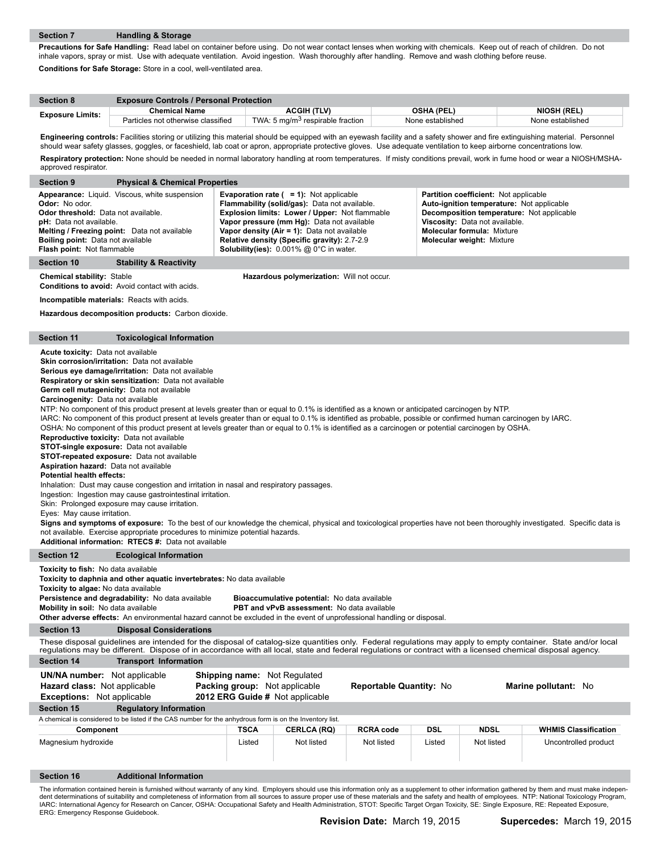ı

I.

ı

I

**Precautions for Safe Handling:** Read label on container before using. Do not wear contact lenses when working with chemicals. Keep out of reach of children. Do not inhale vapors, spray or mist. Use with adequate ventilation. Avoid ingestion. Wash thoroughly after handling. Remove and wash clothing before reuse. **Conditions for Safe Storage:** Store in a cool, well-ventilated area.

| <b>Section 8</b>        | <b>Exposure Controls / Personal Protection</b> |                                              |                   |                    |  |  |  |  |
|-------------------------|------------------------------------------------|----------------------------------------------|-------------------|--------------------|--|--|--|--|
| <b>Exposure Limits:</b> | <b>Chemical Name</b>                           | <b>ACGIH (TLV)</b>                           | <b>OSHA (PEL)</b> | <b>NIOSH (REL)</b> |  |  |  |  |
|                         | Particles not otherwise classified             | TWA: 5 mg/m <sup>3</sup> respirable fraction | None established  | None established   |  |  |  |  |
|                         |                                                |                                              |                   |                    |  |  |  |  |

Engineering controls: Facilities storing or utilizing this material should be equipped with an eyewash facility and a safety shower and fire extinguishing material. Personnel should wear safety glasses, goggles, or faceshield, lab coat or apron, appropriate protective gloves. Use adequate ventilation to keep airborne concentrations low. **Respiratory protection:** None should be needed in normal laboratory handling at room temperatures. If misty conditions prevail, work in fume hood or wear a NIOSH/MSHAapproved respirator.

| approved received.                                                                                                                                                                                                                                                                                                                                                                                                                                                                                                                                                                                                                                                                                                                                                                                                                                                                                                                                                                                                                                                                                                                                                                                                                                                                                                                                                                                                                                                                                                                                                                             |                                                                                                         |                                                                                                                                                                                                                                                                                                                                                                 |                         |            |                                                                                                                                                                                                                                                   |                             |  |
|------------------------------------------------------------------------------------------------------------------------------------------------------------------------------------------------------------------------------------------------------------------------------------------------------------------------------------------------------------------------------------------------------------------------------------------------------------------------------------------------------------------------------------------------------------------------------------------------------------------------------------------------------------------------------------------------------------------------------------------------------------------------------------------------------------------------------------------------------------------------------------------------------------------------------------------------------------------------------------------------------------------------------------------------------------------------------------------------------------------------------------------------------------------------------------------------------------------------------------------------------------------------------------------------------------------------------------------------------------------------------------------------------------------------------------------------------------------------------------------------------------------------------------------------------------------------------------------------|---------------------------------------------------------------------------------------------------------|-----------------------------------------------------------------------------------------------------------------------------------------------------------------------------------------------------------------------------------------------------------------------------------------------------------------------------------------------------------------|-------------------------|------------|---------------------------------------------------------------------------------------------------------------------------------------------------------------------------------------------------------------------------------------------------|-----------------------------|--|
| <b>Section 9</b><br><b>Physical &amp; Chemical Properties</b>                                                                                                                                                                                                                                                                                                                                                                                                                                                                                                                                                                                                                                                                                                                                                                                                                                                                                                                                                                                                                                                                                                                                                                                                                                                                                                                                                                                                                                                                                                                                  |                                                                                                         |                                                                                                                                                                                                                                                                                                                                                                 |                         |            |                                                                                                                                                                                                                                                   |                             |  |
| Appearance: Liquid. Viscous, white suspension<br>Odor: No odor.<br><b>Odor threshold:</b> Data not available.<br>pH: Data not available.<br>Melting / Freezing point: Data not available<br><b>Boiling point:</b> Data not available<br>Flash point: Not flammable                                                                                                                                                                                                                                                                                                                                                                                                                                                                                                                                                                                                                                                                                                                                                                                                                                                                                                                                                                                                                                                                                                                                                                                                                                                                                                                             |                                                                                                         | <b>Evaporation rate (<math>= 1</math>):</b> Not applicable<br>Flammability (solid/gas): Data not available.<br>Explosion limits: Lower / Upper: Not flammable<br>Vapor pressure (mm Hg): Data not available<br>Vapor density (Air = 1): Data not available<br>Relative density (Specific gravity): 2.7-2.9<br><b>Solubility(ies):</b> $0.001\%$ @ 0°C in water. |                         |            | <b>Partition coefficient:</b> Not applicable<br>Auto-ignition temperature: Not applicable<br>Decomposition temperature: Not applicable<br>Viscosity: Data not available.<br><b>Molecular formula: Mixture</b><br><b>Molecular weight: Mixture</b> |                             |  |
| <b>Section 10</b><br><b>Stability &amp; Reactivity</b>                                                                                                                                                                                                                                                                                                                                                                                                                                                                                                                                                                                                                                                                                                                                                                                                                                                                                                                                                                                                                                                                                                                                                                                                                                                                                                                                                                                                                                                                                                                                         |                                                                                                         |                                                                                                                                                                                                                                                                                                                                                                 |                         |            |                                                                                                                                                                                                                                                   |                             |  |
| <b>Chemical stability: Stable</b><br>Hazardous polymerization: Will not occur.<br><b>Conditions to avoid:</b> Avoid contact with acids.                                                                                                                                                                                                                                                                                                                                                                                                                                                                                                                                                                                                                                                                                                                                                                                                                                                                                                                                                                                                                                                                                                                                                                                                                                                                                                                                                                                                                                                        |                                                                                                         |                                                                                                                                                                                                                                                                                                                                                                 |                         |            |                                                                                                                                                                                                                                                   |                             |  |
| <b>Incompatible materials:</b> Reacts with acids.                                                                                                                                                                                                                                                                                                                                                                                                                                                                                                                                                                                                                                                                                                                                                                                                                                                                                                                                                                                                                                                                                                                                                                                                                                                                                                                                                                                                                                                                                                                                              |                                                                                                         |                                                                                                                                                                                                                                                                                                                                                                 |                         |            |                                                                                                                                                                                                                                                   |                             |  |
| Hazardous decomposition products: Carbon dioxide.                                                                                                                                                                                                                                                                                                                                                                                                                                                                                                                                                                                                                                                                                                                                                                                                                                                                                                                                                                                                                                                                                                                                                                                                                                                                                                                                                                                                                                                                                                                                              |                                                                                                         |                                                                                                                                                                                                                                                                                                                                                                 |                         |            |                                                                                                                                                                                                                                                   |                             |  |
|                                                                                                                                                                                                                                                                                                                                                                                                                                                                                                                                                                                                                                                                                                                                                                                                                                                                                                                                                                                                                                                                                                                                                                                                                                                                                                                                                                                                                                                                                                                                                                                                |                                                                                                         |                                                                                                                                                                                                                                                                                                                                                                 |                         |            |                                                                                                                                                                                                                                                   |                             |  |
| <b>Section 11</b><br><b>Toxicological Information</b>                                                                                                                                                                                                                                                                                                                                                                                                                                                                                                                                                                                                                                                                                                                                                                                                                                                                                                                                                                                                                                                                                                                                                                                                                                                                                                                                                                                                                                                                                                                                          |                                                                                                         |                                                                                                                                                                                                                                                                                                                                                                 |                         |            |                                                                                                                                                                                                                                                   |                             |  |
| <b>Acute toxicity:</b> Data not available<br><b>Skin corrosion/irritation:</b> Data not available<br>Serious eye damage/irritation: Data not available<br><b>Respiratory or skin sensitization:</b> Data not available<br>Germ cell mutagenicity: Data not available<br><b>Carcinogenity:</b> Data not available<br>NTP: No component of this product present at levels greater than or equal to 0.1% is identified as a known or anticipated carcinogen by NTP.<br>IARC: No component of this product present at levels greater than or equal to 0.1% is identified as probable, possible or confirmed human carcinogen by IARC.<br>OSHA: No component of this product present at levels greater than or equal to 0.1% is identified as a carcinogen or potential carcinogen by OSHA.<br>Reproductive toxicity: Data not available<br><b>STOT-single exposure:</b> Data not available<br><b>STOT-repeated exposure:</b> Data not available<br><b>Aspiration hazard:</b> Data not available<br><b>Potential health effects:</b><br>Inhalation: Dust may cause congestion and irritation in nasal and respiratory passages.<br>Ingestion: Ingestion may cause gastrointestinal irritation.<br>Skin: Prolonged exposure may cause irritation.<br>Eyes: May cause irritation.<br>Signs and symptoms of exposure: To the best of our knowledge the chemical, physical and toxicological properties have not been thoroughly investigated. Specific data is<br>not available. Exercise appropriate procedures to minimize potential hazards.<br>Additional information: RTECS #: Data not available |                                                                                                         |                                                                                                                                                                                                                                                                                                                                                                 |                         |            |                                                                                                                                                                                                                                                   |                             |  |
| <b>Section 12</b><br><b>Ecological Information</b>                                                                                                                                                                                                                                                                                                                                                                                                                                                                                                                                                                                                                                                                                                                                                                                                                                                                                                                                                                                                                                                                                                                                                                                                                                                                                                                                                                                                                                                                                                                                             |                                                                                                         |                                                                                                                                                                                                                                                                                                                                                                 |                         |            |                                                                                                                                                                                                                                                   |                             |  |
| <b>Toxicity to fish:</b> No data available<br><b>Toxicity to daphnia and other aquatic invertebrates:</b> No data available<br><b>Toxicity to algae:</b> No data available<br>Persistence and degradability: No data available<br>Mobility in soil: No data available<br>Other adverse effects: An environmental hazard cannot be excluded in the event of unprofessional handling or disposal.                                                                                                                                                                                                                                                                                                                                                                                                                                                                                                                                                                                                                                                                                                                                                                                                                                                                                                                                                                                                                                                                                                                                                                                                |                                                                                                         | Bioaccumulative potential: No data available<br><b>PBT and vPvB assessment:</b> No data available                                                                                                                                                                                                                                                               |                         |            |                                                                                                                                                                                                                                                   |                             |  |
| <b>Section 13</b><br><b>Disposal Considerations</b>                                                                                                                                                                                                                                                                                                                                                                                                                                                                                                                                                                                                                                                                                                                                                                                                                                                                                                                                                                                                                                                                                                                                                                                                                                                                                                                                                                                                                                                                                                                                            |                                                                                                         |                                                                                                                                                                                                                                                                                                                                                                 |                         |            |                                                                                                                                                                                                                                                   |                             |  |
| These disposal guidelines are intended for the disposal of catalog-size quantities only. Federal regulations may apply to empty container. State and/or local<br>requlations may be different. Dispose of in accordance with all local, state and federal requlations or contract with a licensed chemical disposal agency.                                                                                                                                                                                                                                                                                                                                                                                                                                                                                                                                                                                                                                                                                                                                                                                                                                                                                                                                                                                                                                                                                                                                                                                                                                                                    |                                                                                                         |                                                                                                                                                                                                                                                                                                                                                                 |                         |            |                                                                                                                                                                                                                                                   |                             |  |
| <b>Section 14</b><br><b>Transport Information</b>                                                                                                                                                                                                                                                                                                                                                                                                                                                                                                                                                                                                                                                                                                                                                                                                                                                                                                                                                                                                                                                                                                                                                                                                                                                                                                                                                                                                                                                                                                                                              |                                                                                                         |                                                                                                                                                                                                                                                                                                                                                                 |                         |            |                                                                                                                                                                                                                                                   |                             |  |
| <b>UN/NA number:</b> Not applicable<br>Hazard class: Not applicable<br><b>Exceptions:</b> Not applicable                                                                                                                                                                                                                                                                                                                                                                                                                                                                                                                                                                                                                                                                                                                                                                                                                                                                                                                                                                                                                                                                                                                                                                                                                                                                                                                                                                                                                                                                                       | <b>Shipping name: Not Regulated</b><br>Packing group: Not applicable<br>2012 ERG Guide # Not applicable |                                                                                                                                                                                                                                                                                                                                                                 | Reportable Quantity: No |            |                                                                                                                                                                                                                                                   | Marine pollutant: No        |  |
| <b>Section 15</b><br><b>Regulatory Information</b>                                                                                                                                                                                                                                                                                                                                                                                                                                                                                                                                                                                                                                                                                                                                                                                                                                                                                                                                                                                                                                                                                                                                                                                                                                                                                                                                                                                                                                                                                                                                             |                                                                                                         |                                                                                                                                                                                                                                                                                                                                                                 |                         |            |                                                                                                                                                                                                                                                   |                             |  |
| A chemical is considered to be listed if the CAS number for the anhydrous form is on the Inventory list.                                                                                                                                                                                                                                                                                                                                                                                                                                                                                                                                                                                                                                                                                                                                                                                                                                                                                                                                                                                                                                                                                                                                                                                                                                                                                                                                                                                                                                                                                       |                                                                                                         |                                                                                                                                                                                                                                                                                                                                                                 |                         |            |                                                                                                                                                                                                                                                   |                             |  |
| Component                                                                                                                                                                                                                                                                                                                                                                                                                                                                                                                                                                                                                                                                                                                                                                                                                                                                                                                                                                                                                                                                                                                                                                                                                                                                                                                                                                                                                                                                                                                                                                                      | <b>TSCA</b>                                                                                             | <b>CERLCA (RQ)</b>                                                                                                                                                                                                                                                                                                                                              | <b>RCRA code</b>        | <b>DSL</b> | <b>NDSL</b>                                                                                                                                                                                                                                       | <b>WHMIS Classification</b> |  |
| Magnesium hydroxide                                                                                                                                                                                                                                                                                                                                                                                                                                                                                                                                                                                                                                                                                                                                                                                                                                                                                                                                                                                                                                                                                                                                                                                                                                                                                                                                                                                                                                                                                                                                                                            | Listed                                                                                                  | Not listed                                                                                                                                                                                                                                                                                                                                                      | Not listed              | Listed     | Not listed                                                                                                                                                                                                                                        | Uncontrolled product        |  |
| Section 16<br><b>Additional Information</b>                                                                                                                                                                                                                                                                                                                                                                                                                                                                                                                                                                                                                                                                                                                                                                                                                                                                                                                                                                                                                                                                                                                                                                                                                                                                                                                                                                                                                                                                                                                                                    |                                                                                                         |                                                                                                                                                                                                                                                                                                                                                                 |                         |            |                                                                                                                                                                                                                                                   |                             |  |
| The information contained herein is furnished without warranty of any kind. Employers should use this information only as a supplement to other information gathered by them and must make indepen-<br>dent determinations of suitability and completeness of information from all sources to assure proper use of these materials and the safety and health of employees. NTP: National Toxicology Program,<br>IARC: International Agency for Research on Cancer, OSHA: Occupational Safety and Health Administration, STOT: Specific Target Organ Toxicity, SE: Single Exposure, RE: Repeated Exposure,<br>ERG: Emergency Response Guidebook.                                                                                                                                                                                                                                                                                                                                                                                                                                                                                                                                                                                                                                                                                                                                                                                                                                                                                                                                                |                                                                                                         |                                                                                                                                                                                                                                                                                                                                                                 |                         |            |                                                                                                                                                                                                                                                   |                             |  |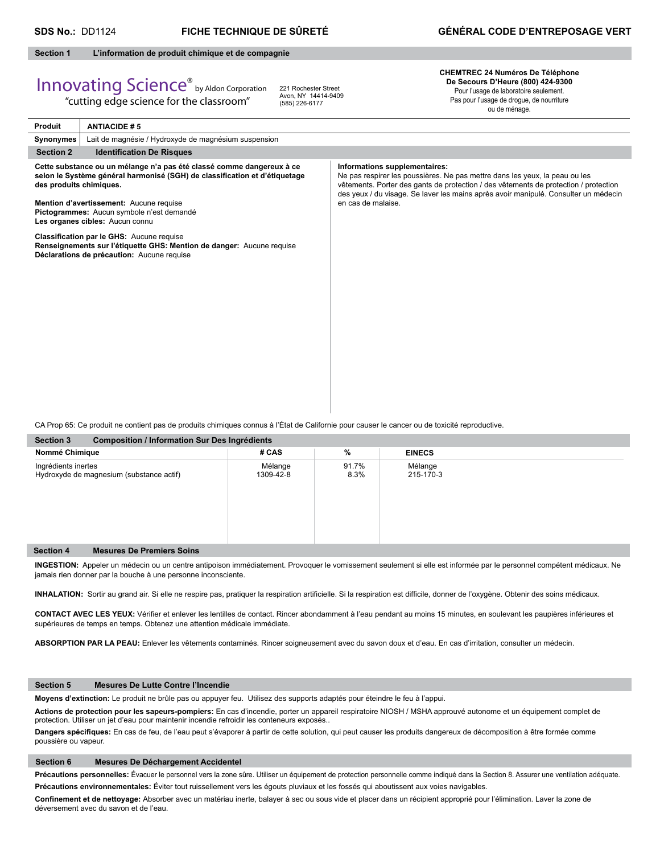#### **Section 1 L'information de produit chimique et de compagnie**

# Innovating Science® by Aldon Corporation

"cutting edge science for the classroom"

221 Rochester Street Avon, NY 14414-9409 (585) 226-6177

**CHEMTREC 24 Numéros De Téléphone De Secours D'Heure (800) 424-9300** Pour l'usage de laboratoire seulement. Pas pour l'usage de drogue, de nourriture

ou de ménage.

| Produit<br><b>ANTIACIDE #5</b>                                                                                                                                                                                                                                         |                                                                                                                                                                                                                                                                                                                   |  |  |  |  |  |  |  |
|------------------------------------------------------------------------------------------------------------------------------------------------------------------------------------------------------------------------------------------------------------------------|-------------------------------------------------------------------------------------------------------------------------------------------------------------------------------------------------------------------------------------------------------------------------------------------------------------------|--|--|--|--|--|--|--|
| Lait de magnésie / Hydroxyde de magnésium suspension<br>Synonymes                                                                                                                                                                                                      |                                                                                                                                                                                                                                                                                                                   |  |  |  |  |  |  |  |
| <b>Section 2</b><br><b>Identification De Risques</b>                                                                                                                                                                                                                   |                                                                                                                                                                                                                                                                                                                   |  |  |  |  |  |  |  |
| Cette substance ou un mélange n'a pas été classé comme dangereux à ce<br>selon le Système général harmonisé (SGH) de classification et d'étiquetage<br>des produits chimiques.<br>Mention d'avertissement: Aucune requise<br>Pictogrammes: Aucun symbole n'est demandé | Informations supplementaires:<br>Ne pas respirer les poussières. Ne pas mettre dans les yeux, la peau ou les<br>vêtements. Porter des gants de protection / des vêtements de protection / protection<br>des yeux / du visage. Se laver les mains après avoir manipulé. Consulter un médecin<br>en cas de malaise. |  |  |  |  |  |  |  |
| Les organes cibles: Aucun connu                                                                                                                                                                                                                                        |                                                                                                                                                                                                                                                                                                                   |  |  |  |  |  |  |  |
| Classification par le GHS: Aucune requise<br>Renseignements sur l'étiquette GHS: Mention de danger: Aucune requise<br>Déclarations de précaution: Aucune requise                                                                                                       |                                                                                                                                                                                                                                                                                                                   |  |  |  |  |  |  |  |

CA Prop 65: Ce produit ne contient pas de produits chimiques connus à l'État de Californie pour causer le cancer ou de toxicité reproductive.

| <b>Section 3</b><br>Composition / Information Sur Des Ingrédients |                      |               |                      |  |  |  |  |  |
|-------------------------------------------------------------------|----------------------|---------------|----------------------|--|--|--|--|--|
| Nommé Chimique                                                    | # CAS                | %             | <b>EINECS</b>        |  |  |  |  |  |
| Ingrédients inertes<br>Hydroxyde de magnesium (substance actif)   | Mélange<br>1309-42-8 | 91.7%<br>8.3% | Mélange<br>215-170-3 |  |  |  |  |  |
| <b>Mesures De Premiers Soins</b><br><b>Section 4</b>              |                      |               |                      |  |  |  |  |  |
|                                                                   |                      |               |                      |  |  |  |  |  |

**INGESTION:** Appeler un médecin ou un centre antipoison immédiatement. Provoquer le vomissement seulement si elle est informée par le personnel compétent médicaux. Ne jamais rien donner par la bouche à une personne inconsciente.

INHALATION: Sortir au grand air. Si elle ne respire pas, pratiquer la respiration artificielle. Si la respiration est difficile, donner de l'oxygène. Obtenir des soins médicaux.

CONTACT AVEC LES YEUX: Vérifier et enlever les lentilles de contact. Rincer abondamment à l'eau pendant au moins 15 minutes, en soulevant les paupières inférieures et supérieures de temps en temps. Obtenez une attention médicale immédiate.

**ABSORPTION PAR LA PEAU:** Enlever les vêtements contaminés. Rincer soigneusement avec du savon doux et d'eau. En cas d'irritation, consulter un médecin.

#### **Section 5 Mesures De Lutte Contre l'Incendie**

**Moyens d'extinction:** Le produit ne brûle pas ou appuyer feu. Utilisez des supports adaptés pour éteindre le feu à l'appui.

**Actions de protection pour les sapeurs-pompiers:** En cas d'incendie, porter un appareil respiratoire NIOSH / MSHA approuvé autonome et un équipement complet de protection. Utiliser un jet d'eau pour maintenir incendie refroidir les conteneurs exposés..

Dangers spécifiques: En cas de feu, de l'eau peut s'évaporer à partir de cette solution, qui peut causer les produits dangereux de décomposition à être formée comme poussière ou vapeur.

#### **Section 6 Mesures De Déchargement Accidentel**

Précautions personnelles: Évacuer le personnel vers la zone sûre. Utiliser un équipement de protection personnelle comme indiqué dans la Section 8. Assurer une ventilation adéquate. **Précautions environnementales:** Éviter tout ruissellement vers les égouts pluviaux et les fossés qui aboutissent aux voies navigables.

Confinement et de nettoyage: Absorber avec un matériau inerte, balayer à sec ou sous vide et placer dans un récipient approprié pour l'élimination. Laver la zone de déversement avec du savon et de l'eau.